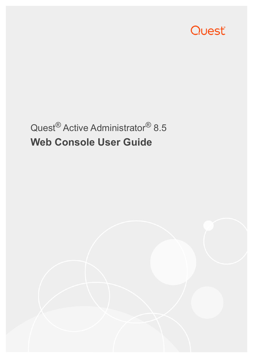

# Quest® Active Administrator® 8.5 **Web Console User Guide**

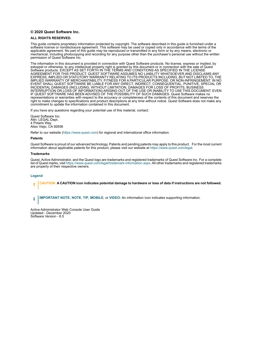#### **© 2020 Quest Software Inc.**

#### **ALL RIGHTS RESERVED.**

This guide contains proprietary information protected by copyright. The software described in this guide is furnished under a software license or nondisclosure agreement. This software may be used or copied only in accordance with the terms of the applicable agreement. No part of this guide may be reproduced or transmitted in any form or by any means, electronic or mechanical, including photocopying and recording for any purpose other than the purchaser's personal use without the written permission of Quest Software Inc.

The information in this document is provided in connection with Quest Software products. No license, express or implied, by estoppel or otherwise, to any intellectual property right is granted by this document or in connection with the sale of Quest<br>Software products. EXCEPT AS SET FORTH IN THE TERMS AND CONDITIONS AS SPECIFIED IN THE LICENSE<br>A EXPRESS, IMPLIED OR STATUTORY WARRANTY RELATING TO ITS PRODUCTS INCLUDING, BUT NOT LIMITED TO, THE IMPLIED WARRANTY OF MERCHANTABILITY, FITNESS FOR A PARTICULAR PURPOSE, OR NON-INFRINGEMENT. IN NO EVENT SHALL QUEST SOFTWARE BE LIABLE FOR ANY DIRECT, INDIRECT, CONSEQUENTIAL, PUNITIVE, SPECIAL OR INCIDENTAL DAMAGES (INCLUDING, WITHOUT LIMITATION, DAMAGES FOR LOSS OF PROFITS, BUSINESS<br>INTERRUPTION OR LOSS OF INFORMATION) ARISING OUT OF THE USE OR INABILITY TO USE THIS DOCUMENT, EVEN IF QUEST SOFTWARE HAS BEEN ADVISED OF THE POSSIBILITY OF SUCH DAMAGES. Quest Software makes no representations or warranties with respect to the accuracy or completeness of the contents of this document and reserves the right to make changes to specifications and product descriptions at any time without notice. Quest Software does not make any commitment to update the information contained in this document.

If you have any questions regarding your potential use of this material, contact:

Quest Software Inc. Attn: LEGAL Dept. 4 Polaris Way Aliso Viejo, CA 92656

Refer to our website [\(https://www.quest.com](https://www.quest.com)) for regional and international office information.

#### **Patents**

Quest Software is proud of our advanced technology. Patents and pending patents may apply to this product. For the most current information about applicable patents for this product, please visit our website at [https://www.quest.com/legal.](https://www.quest.com/legal)

#### **Trademarks**

Quest, Active Administrator, and the Quest logo are trademarks and registered trademarks of Quest Software Inc. For a complete list of Quest marks, visit<https://www.quest.com/legal/trademark-information.aspx>. All other trademarks and registered trademarks are property of their respective owners.

#### **Legend**

**CAUTION: A CAUTION icon indicates potential damage to hardware or loss of data if instructions are not followed.**

**IMPORTANT NOTE**, **NOTE**, **TIP**, **MOBILE**, or **VIDEO:** An information icon indicates supporting information.f

Active Administrator Web Console User Guide Updated - December 2020 Software Version - 8.5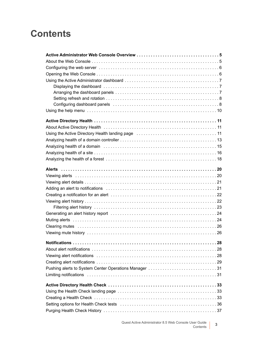### **Contents**

| About Active Directory Health (and the content of the content of the distribution of the About Active 11      |
|---------------------------------------------------------------------------------------------------------------|
| Using the Active Directory Health landing page manufactor contains and the Active Director                    |
|                                                                                                               |
| Analyzing health of a domain (educational contract entertainmental contract entertainmental and the Analyzing |
|                                                                                                               |
|                                                                                                               |
|                                                                                                               |
|                                                                                                               |
|                                                                                                               |
|                                                                                                               |
|                                                                                                               |
|                                                                                                               |
|                                                                                                               |
|                                                                                                               |
|                                                                                                               |
|                                                                                                               |
|                                                                                                               |
|                                                                                                               |
|                                                                                                               |
|                                                                                                               |
|                                                                                                               |
| Pushing alerts to System Center Operations Manager 31                                                         |
|                                                                                                               |
|                                                                                                               |
|                                                                                                               |
|                                                                                                               |
|                                                                                                               |
|                                                                                                               |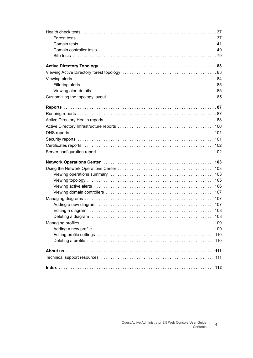| Active Directory Topology (and accommodation of Active Director of 33)                                         |
|----------------------------------------------------------------------------------------------------------------|
|                                                                                                                |
|                                                                                                                |
|                                                                                                                |
| Viewing alert details entertainment contains and the value of the value of the value of the value of the value |
|                                                                                                                |
|                                                                                                                |
|                                                                                                                |
|                                                                                                                |
|                                                                                                                |
|                                                                                                                |
|                                                                                                                |
|                                                                                                                |
|                                                                                                                |
|                                                                                                                |
|                                                                                                                |
|                                                                                                                |
|                                                                                                                |
|                                                                                                                |
|                                                                                                                |
|                                                                                                                |
|                                                                                                                |
|                                                                                                                |
|                                                                                                                |
|                                                                                                                |
|                                                                                                                |
|                                                                                                                |
|                                                                                                                |
|                                                                                                                |
|                                                                                                                |
|                                                                                                                |
|                                                                                                                |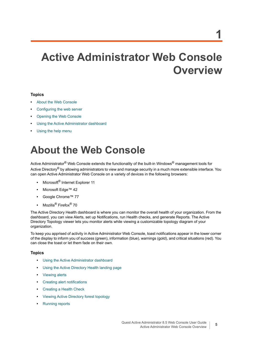# <span id="page-4-0"></span>**Active Administrator Web Console Overview**

#### **Topics**

- **•** [About the Web Console](#page-4-1)
- **•** [Configuring the web server](#page-5-0)
- **•** [Opening the Web Console](#page-5-1)
- **•** [Using the Active Administrator dashboard](#page-6-0)
- **•** [Using the help menu](#page-9-0)

# <span id="page-4-1"></span>**About the Web Console**

Active Administrator<sup>®</sup> Web Console extends the functionality of the built-in Windows<sup>®</sup> management tools for Active Directory<sup>®</sup> by allowing administrators to view and manage security in a much more extensible interface. You can open Active Administrator Web Console on a variety of devices in the following browsers:

- **•** Microsoft® Internet Explorer 11
- **•** Microsoft Edge™ 42
- **•** Google Chrome™ 77
- **•** Mozilla® Firefox® 70

The Active Directory Health dashboard is where you can monitor the overall health of your organization. From the dashboard, you can view Alerts, set up Notifications, run Health checks, and generate Reports. The Active Directory Topology viewer lets you monitor alerts while viewing a customizable topology diagram of your organization.

To keep you apprised of activity in Active Administrator Web Console, toast notifications appear in the lower corner of the display to inform you of success (green), information (blue), warnings (gold), and critical situations (red). You can close the toast or let them fade on their own.

#### **Topics**

- **•** [Using the Active Administrator dashboard](#page-6-0)
- **•** [Using the Active Directory Health landing page](#page-10-3)
- **•** [Viewing alerts](#page-19-2)
- **•** [Creating alert notifications](#page-28-1)
- **•** [Creating a Health Check](#page-32-3)
- **•** [Viewing Active Directory forest topology](#page-82-2)
- **•** [Running reports](#page-86-2)

**5**

**1**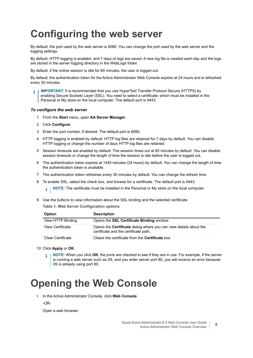# <span id="page-5-0"></span>**Configuring the web server**

By default, the port used by the web server is 8080. You can change the port used by the web server and the logging settings.

By default, HTTP logging is enabled, and 7 days of logs are saved. A new log file is created each day and the logs are stored in the server logging directory in the WebLogs folder.

By default, if the online session is idle for 60 minutes, the user is logged out.

By default, the authentication token for the Active Administrator Web Console expires at 24 hours and is refreshed every 30 minutes.

**IMPORTANT:** It is recommended that you use HyperText Transfer Protocol Secure (HTTPS) by enabling Secure Sockets Layer (SSL). You need to select a certificate, which must be installed in the Personal or My store on the local computer. The default port is 9443.

#### *To configure the web server*

- 1 From the **Start** menu, open **AA Server Manager**.
- 2 Click **Configure**.
- 3 Enter the port number, if desired. The default port is 8080.
- 4 HTTP logging is enabled by default. HTTP log files are retained for 7 days by default. You can disable HTTP logging or change the number of days HTTP log files are retained.
- 5 Session timeouts are enabled by default. The session times out at 60 minutes by default. You can disable session timeouts or change the length of time the session is idle before the user is logged out.
- 6 The authentication token expires at 1440 minutes (24 hours) by default. You can change the length of time the authentication token is available.
- 7 The authentication token refreshes every 30 minutes by default. You can change the refresh time.
- 8 To enable SSL, select the check box, and browse for a certificate. The default port is 9443.

**i** | NOTE: The certificate must be installed in the Personal or My store on the local computer.

9 Use the buttons to view information about the SSL binding and the selected certificate.

**Table 1. Web Server Configuration options**

| <b>Option</b>     | <b>Description</b>                                                                                                |
|-------------------|-------------------------------------------------------------------------------------------------------------------|
| View HTTP Binding | Opens the <b>SSL Certificate Binding</b> window.                                                                  |
| View Certificate  | Opens the <b>Certificate</b> dialog where you can view details about the<br>certificate and the certificate path. |
| Clear Certificate | Clears the certificate from the <b>Certificate</b> box.                                                           |

- 10 Click **Apply** or **OK**.
	- **i** | NOTE: When you click OK, the ports are checked to see if they are in use. For example, if the server is running a web server such as IIS, and you enter server port 80, you will receive an error because IIS is already using port 80.

## <span id="page-5-2"></span><span id="page-5-1"></span>**Opening the Web Console**

- **•** In the Active Administrator Console, click **Web Console**.
	- -OR-

Open a web browser.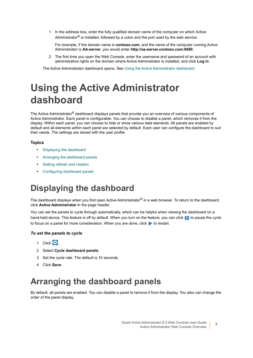1 In the address box, enter the fully qualified domain name of the computer on which Active Administrator<sup>®</sup> is installed, followed by a colon and the port used by the web service.

For example, if the domain name is **contoso.com**, and the name of the computer running Active Administrator is **AA-server**, you would enter **http://aa-server.contoso.com:8080**.

2 The first time you open the Web Console, enter the username and password of an account with administrative rights on the domain where Active Administrator is installed, and click **Log in**.

The Active Administrator dashboard opens. See [Using the Active Administrator dashboard](#page-6-0).

## <span id="page-6-0"></span>**Using the Active Administrator dashboard**

The Active Administrator® dashboard displays panels that provide you an overview of various components of Active Administrator. Each panel is configurable. You can choose to disable a panel, which removes it from the display. Within each panel, you can choose to hide or show various data elements. All panels are enabled by default and all elements within each panel are selected by default. Each user can configure the dashboard to suit their needs. The settings are stored with the user profile.

#### **Topics**

- **•** [Displaying the dashboard](#page-6-1)
- **•** [Arranging the dashboard panels](#page-6-2)
- **•** [Setting refresh and rotation](#page-7-0)
- **•** [Configuring dashboard panels](#page-7-1)

### <span id="page-6-1"></span>**Displaying the dashboard**

The dashboard displays when you first open Active Administrator<sup>®</sup> in a web browser. To return to the dashboard, click **Active Administrator** in the page header.

You can set the panels to cycle through automatically, which can be helpful when viewing the dashboard on a hand-held device. This feature is off by default. When you turn on the feature, you can click to pause the cycle to focus on a panel for more consideration. When you are done, click  $\blacktriangleright$  to restart.

#### *To set the panels to cycle*

- 1 Click  $\bullet$
- 2 Select **Cycle dashboard panels**.
- 3 Set the cycle rate. The default is 10 seconds.
- 4 Click **Save**.

### <span id="page-6-2"></span>**Arranging the dashboard panels**

By default, all panels are enabled. You can disable a panel to remove it from the display. You also can change the order of the panel display.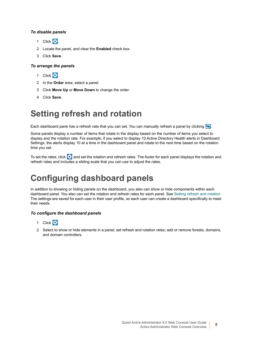#### *To disable panels*

- 1 Click **1**
- 2 Locate the panel, and clear the **Enabled** check box.
- 3 Click **Save**.

#### *To arrange the panels*

- 1 Click **1**
- 2 In the **Order** area, select a panel.
- 3 Click **Move Up** or **Move Down** to change the order.
- 4 Click **Save**.

### <span id="page-7-0"></span>**Setting refresh and rotation**

Each dashboard pane has a refresh rate that you can set. You can manually refresh a panel by clicking  $\Box$ .

Some panels display a number of items that rotate in the display based on the number of items you select to display and the rotation rate. For example, if you select to display 10 Active Directory Health alerts in Dashboard Settings, the alerts display 10 at a time in the dashboard panel and rotate to the next time based on the rotation time you set.

To set the rates, click  $\bullet$  and set the rotation and refresh rates. The footer for each panel displays the rotation and refresh rates and includes a sliding scale that you can use to adjust the rates.

### <span id="page-7-1"></span>**Configuring dashboard panels**

In addition to showing or hiding panels on the dashboard, you also can show or hide components within each dashboard panel. You also can set the rotation and refresh rates for each panel. See [Setting refresh and rotation](#page-7-0). The settings are saved for each user in their user profile, so each user can create a dashboard specifically to meet their needs.

#### *To configure the dashboard panels*

- 1 Click  $\ddot{c}$ .
- 2 Select to show or hide elements in a panel; set refresh and rotation rates; add or remove forests, domains, and domain controllers.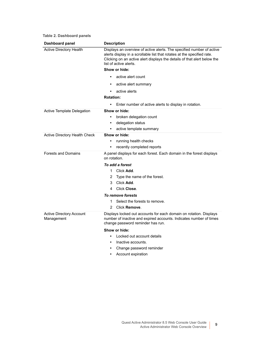|  |  | Table 2. Dashboard panels |  |
|--|--|---------------------------|--|
|--|--|---------------------------|--|

| Dashboard panel                        | <b>Description</b>                                                                                                                                                                                                                                     |
|----------------------------------------|--------------------------------------------------------------------------------------------------------------------------------------------------------------------------------------------------------------------------------------------------------|
| <b>Active Directory Health</b>         | Displays an overview of active alerts. The specified number of active<br>alerts display in a scrollable list that rotates at the specified rate.<br>Clicking on an active alert displays the details of that alert below the<br>list of active alerts. |
|                                        | Show or hide:                                                                                                                                                                                                                                          |
|                                        | active alert count<br>٠                                                                                                                                                                                                                                |
|                                        | active alert summary                                                                                                                                                                                                                                   |
|                                        | active alerts<br>٠                                                                                                                                                                                                                                     |
|                                        | <b>Rotation:</b>                                                                                                                                                                                                                                       |
|                                        | Enter number of active alerts to display in rotation.<br>٠                                                                                                                                                                                             |
| Active Template Delegation             | Show or hide:                                                                                                                                                                                                                                          |
|                                        | broken delegation count                                                                                                                                                                                                                                |
|                                        | delegation status<br>٠                                                                                                                                                                                                                                 |
|                                        | active template summary<br>٠                                                                                                                                                                                                                           |
| Active Directory Health Check          | Show or hide:                                                                                                                                                                                                                                          |
|                                        | running health checks<br>$\bullet$                                                                                                                                                                                                                     |
|                                        | recently completed reports<br>٠                                                                                                                                                                                                                        |
| <b>Forests and Domains</b>             | A panel displays for each forest. Each domain in the forest displays<br>on rotation.                                                                                                                                                                   |
|                                        | To add a forest                                                                                                                                                                                                                                        |
|                                        | 1.<br>Click Add.                                                                                                                                                                                                                                       |
|                                        | 2<br>Type the name of the forest.                                                                                                                                                                                                                      |
|                                        | Click Add.<br>3                                                                                                                                                                                                                                        |
|                                        | Click Close.<br>4                                                                                                                                                                                                                                      |
|                                        | To remove forests                                                                                                                                                                                                                                      |
|                                        | Select the forests to remove.<br>1                                                                                                                                                                                                                     |
|                                        | Click Remove.<br>2                                                                                                                                                                                                                                     |
| Active Directory Account<br>Management | Displays locked out accounts for each domain on rotation. Displays<br>number of inactive and expired accounts. Indicates number of times<br>change password reminder has run.                                                                          |
|                                        | Show or hide:                                                                                                                                                                                                                                          |
|                                        | Locked out account details<br>$\bullet$                                                                                                                                                                                                                |
|                                        | Inactive accounts.                                                                                                                                                                                                                                     |
|                                        | Change password reminder<br>$\bullet$                                                                                                                                                                                                                  |

**•** Account expiration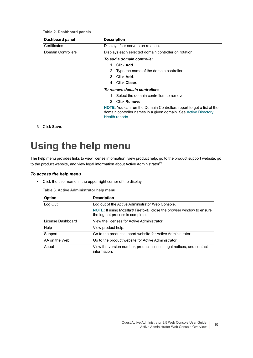**Table 2. Dashboard panels**

| Dashboard panel           | <b>Description</b>                                                                                                                                                |
|---------------------------|-------------------------------------------------------------------------------------------------------------------------------------------------------------------|
| Certificates              | Displays four servers on rotation.                                                                                                                                |
| <b>Domain Controllers</b> | Displays each selected domain controller on rotation.                                                                                                             |
|                           | To add a domain controller                                                                                                                                        |
|                           | Click Add.<br>1                                                                                                                                                   |
|                           | Type the name of the domain controller.<br>2                                                                                                                      |
|                           | Click Add.<br>3                                                                                                                                                   |
|                           | Click Close.<br>4                                                                                                                                                 |
|                           | To remove domain controllers                                                                                                                                      |
|                           | Select the domain controllers to remove.                                                                                                                          |
|                           | Click Remove.<br>2                                                                                                                                                |
|                           | <b>NOTE:</b> You can run the Domain Controllers report to get a list of the<br>domain controller names in a given domain. See Active Directory<br>Health reports. |

3 Click **Save**.

## <span id="page-9-0"></span>**Using the help menu**

The help menu provides links to view license information, view product help, go to the product support website, go to the product website, and view legal information about Active Administrator®.

#### *To access the help menu*

**•** Click the user name in the upper right corner of the display.

**Table 3. Active Administrator help menu**

| <b>Option</b>     | <b>Description</b>                                                                                                                       |
|-------------------|------------------------------------------------------------------------------------------------------------------------------------------|
| Log Out           | Log out of the Active Administrator Web Console.                                                                                         |
|                   | <b>NOTE:</b> If using Mozilla <sup>®</sup> Firefox <sup>®</sup> , close the browser window to ensure<br>the log out process is complete. |
| License Dashboard | View the licenses for Active Administrator.                                                                                              |
| Help              | View product help.                                                                                                                       |
| Support           | Go to the product support website for Active Administrator.                                                                              |
| AA on the Web     | Go to the product website for Active Administrator.                                                                                      |
| About             | View the version number, product license, legal notices, and contact<br>information.                                                     |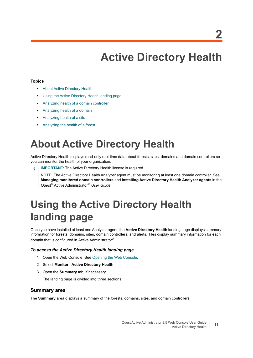# **Active Directory Health**

#### <span id="page-10-0"></span>**Topics**

- **•** [About Active Directory Health](#page-10-1)
- **•** [Using the Active Directory Health landing page](#page-10-2)
- **•** [Analyzing health of a domain controller](#page-12-0)
- **•** [Analyzing health of a domain](#page-14-0)
- **•** [Analyzing health of a site](#page-15-0)
- **•** [Analyzing the health of a forest](#page-17-0)

## <span id="page-10-1"></span>**About Active Directory Health**

Active Directory Health displays read-only real-time data about forests, sites, domains and domain controllers so you can monitor the health of your organization.

**IMPORTANT:** The Active Directory Health license is required. f.

**NOTE:** The Active Directory Health Analyzer agent must be monitoring at least one domain controller. See **Managing monitored domain controllers** and **Installing Active Directory Health Analyzer agents** in the *Quest®* Active Administrator® *User Guide*.

# <span id="page-10-3"></span><span id="page-10-2"></span>**Using the Active Directory Health landing page**

Once you have installed at least one Analyzer agent, the **Active Directory Health** landing page displays summary information for forests, domains, sites, domain controllers, and alerts. Tiles display summary information for each domain that is configured in Active Administrator®.

#### *To access the Active Directory Health landing page*

- 1 Open the Web Console. [See Opening the Web Console.](#page-5-2)
- 2 Select **Monitor | Active Directory Health**.
- 3 Open the **Summary** tab, if necessary.

The landing page is divided into three sections.

#### **Summary area**

The **Summary** area displays a summary of the forests, domains, sites, and domain controllers.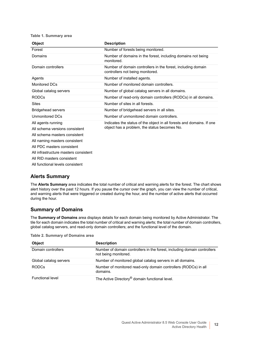**Table 1. Summary area**

| <b>Object</b>                                                                                                                                                                                                                                                   | <b>Description</b>                                                                                                    |
|-----------------------------------------------------------------------------------------------------------------------------------------------------------------------------------------------------------------------------------------------------------------|-----------------------------------------------------------------------------------------------------------------------|
| Forest                                                                                                                                                                                                                                                          | Number of forests being monitored.                                                                                    |
| Domains                                                                                                                                                                                                                                                         | Number of domains in the forest, including domains not being<br>monitored.                                            |
| Domain controllers                                                                                                                                                                                                                                              | Number of domain controllers in the forest, including domain<br>controllers not being monitored.                      |
| Agents                                                                                                                                                                                                                                                          | Number of installed agents.                                                                                           |
| <b>Monitored DCs</b>                                                                                                                                                                                                                                            | Number of monitored domain controllers.                                                                               |
| Global catalog servers                                                                                                                                                                                                                                          | Number of global catalog servers in all domains.                                                                      |
| <b>RODCs</b>                                                                                                                                                                                                                                                    | Number of read-only domain controllers (RODCs) in all domains.                                                        |
| <b>Sites</b>                                                                                                                                                                                                                                                    | Number of sites in all forests.                                                                                       |
| <b>Bridgehead servers</b>                                                                                                                                                                                                                                       | Number of bridgehead servers in all sites.                                                                            |
| Unmonitored DCs                                                                                                                                                                                                                                                 | Number of unmonitored domain controllers.                                                                             |
| All agents running<br>All schema versions consistent<br>All schema masters consistent<br>All naming masters consistent<br>All PDC masters consistent<br>All infrastructure masters consistent<br>All RID masters consistent<br>All functional levels consistent | Indicates the status of the object in all forests and domains. If one<br>object has a problem, the status becomes No. |

#### **Alerts Summary**

The **Alerts Summary** area indicates the total number of critical and warning alerts for the forest. The chart shows alert history over the past 12 hours. If you pause the cursor over the graph, you can view the number of critical, and warning alerts that were triggered or created during the hour, and the number of active alerts that occurred during the hour.

#### **Summary of Domains**

The **Summary of Domains** area displays details for each domain being monitored by Active Administrator. The tile for each domain indicates the total number of critical and warning alerts; the total number of domain controllers, global catalog servers, and read-only domain controllers; and the functional level of the domain.

| <b>Table 2. Summary of Domains area</b> |  |
|-----------------------------------------|--|
|-----------------------------------------|--|

| <b>Object</b>           | <b>Description</b>                                                                               |
|-------------------------|--------------------------------------------------------------------------------------------------|
| Domain controllers      | Number of domain controllers in the forest, including domain controllers<br>not being monitored. |
| Global catalog servers  | Number of monitored global catalog servers in all domains.                                       |
| <b>RODCs</b>            | Number of monitored read-only domain controllers (RODCs) in all<br>domains.                      |
| <b>Functional level</b> | The Active Directory <sup>®</sup> domain functional level.                                       |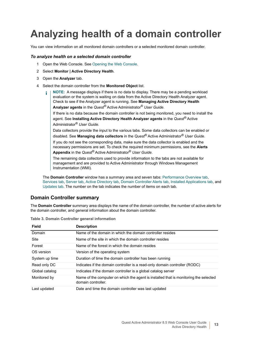# <span id="page-12-0"></span>**Analyzing health of a domain controller**

You can view information on all monitored domain controllers or a selected monitored domain controller.

#### *To analyze health on a selected domain controller*

- 1 Open the Web Console. [See Opening the Web Console.](#page-5-2)
- 2 Select **Monitor | Active Directory Health**.
- 3 Open the **Analyzer** tab.
- 4 Select the domain controller from the **Monitored Object** list.
	- **NOTE:** A message displays if there is no data to display. There may be a pending workload ÷ evaluation or the system is waiting on data from the Active Directory Health Analyzer agent. Check to see if the Analyzer agent is running. See **Managing Active Directory Health Analyzer agents** in the *Quest®* Active Administrator® *User Guide*.

If there is no data because the domain controller is not being monitored, you need to install the agent. See **Installing Active Directory Health Analyzer agents** in the *Quest®* Active Administrator® *User Guide*.

Data collectors provide the input to the various tabs. Some data collectors can be enabled or disabled. See **Managing data collectors** in the *Quest®* Active Administrator® *User Guide*. If you do not see the corresponding data, make sure the data collector is enabled and the necessary permissions are set. To check the required minimum permissions, see the **Alerts Appendix** in the *Quest®* Active Administrator® *User Guide*.

The remaining data collectors used to provide information to the tabs are not available for management and are provided to Active Administrator through Windows Management Instrumentation (WMI).

The **Domain Controller** window has a summary area and seven tabs: Performance Overview tab, [Services tab](#page-13-0), [Server tab,](#page-13-1) [Active Directory tab,](#page-13-2) [Domain Controller Alerts tab,](#page-13-3) [Installed Applications tab,](#page-13-4) and [Updates tab](#page-14-1). The number on the tab indicates the number of items on each tab.

#### **Domain Controller summary**

The **Domain Controller** summary area displays the name of the domain controller, the number of active alerts for the domain controller, and general information about the domain controller.

| <b>Field</b>   | <b>Description</b>                                                                                         |
|----------------|------------------------------------------------------------------------------------------------------------|
| Domain         | Name of the domain in which the domain controller resides                                                  |
| Site           | Name of the site in which the domain controller resides                                                    |
| Forest         | Name of the forest in which the domain resides                                                             |
| OS version     | Version of the operating system                                                                            |
| System up time | Duration of time the domain controller has been running                                                    |
| Read only DC   | Indicates if the domain controller is a read-only domain controller (RODC)                                 |
| Global catalog | Indicates if the domain controller is a global catalog server                                              |
| Monitored by   | Name of the computer on which the agent is installed that is monitoring the selected<br>domain controller. |
| Last updated   | Date and time the domain controller was last updated                                                       |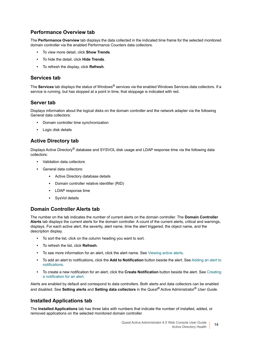#### **Performance Overview tab**

The **Performance Overview** tab displays the data collected in the indicated time frame for the selected monitored domain controller via the enabled Performance Counters data collectors.

- **•** To view more detail, click **Show Trends**.
- **•** To hide the detail, click **Hide Trends**.
- **•** To refresh the display, click **Refresh**.

#### <span id="page-13-0"></span>**Services tab**

The **Services** tab displays the status of Windows® services via the enabled Windows Services data collectors. If a service is running, but has stopped at a point in time, that stoppage is indicated with red.

#### <span id="page-13-1"></span>**Server tab**

Displays information about the logical disks on the domain controller and the network adapter via the following General data collectors:

- **•** Domain controller time synchronization
- **•** Logic disk details

#### <span id="page-13-2"></span>**Active Directory tab**

Displays Active Directory® database and SYSVOL disk usage and LDAP response time via the following data collectors:

- **•** Validation data collectors
- **•** General data collectors:
	- **▪** Active Directory database details
	- **▪** Domain controller relative identifier (RID)
	- **▪** LDAP response time
	- **▪** SysVol details

#### <span id="page-13-3"></span>**Domain Controller Alerts tab**

The number on the tab indicates the number of current alerts on the domain controller. The **Domain Controller Alerts** tab displays the current alerts for the domain controller. A count of the current alerts, critical and warnings, displays. For each active alert, the severity, alert name, time the alert triggered, the object name, and the description display.

- **•** To sort the list, click on the column heading you want to sort.
- **•** To refresh the list, click **Refresh**.
- **•** To see more information for an alert, click the alert name. [See Viewing active alerts.](#page-105-1)
- **•** To add an alert to notifications, click the **Add to Notification** button beside the alert. [See Adding an alert to](#page-20-2)  [notifications.](#page-20-2)
- **•** To create a new notification for an alert, click the **Create Notification** button beside the alert. [See Creating](#page-21-2)  [a notification for an alert.](#page-21-2)

Alerts are enabled by default and correspond to data controllers. Both alerts and data collectors can be enabled and disabled. See **Setting alerts** and **Setting data collectors** in the *Quest®* Active Administrator® *User Guide*.

#### <span id="page-13-4"></span>**Installed Applications tab**

The **Installed Applications** tab has three tabs with numbers that indicate the number of installed, added, or removed applications on the selected monitored domain controller.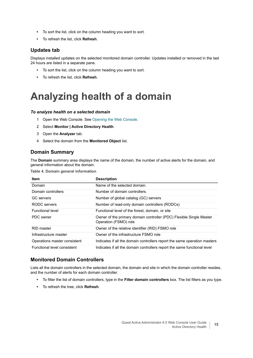- **•** To sort the list, click on the column heading you want to sort.
- **•** To refresh the list, click **Refresh**.

#### <span id="page-14-1"></span>**Updates tab**

Displays installed updates on the selected monitored domain controller. Updates installed or removed in the last 24 hours are listed in a separate pane.

- **•** To sort the list, click on the column heading you want to sort.
- **•** To refresh the list, click **Refresh**.

# <span id="page-14-0"></span>**Analyzing health of a domain**

#### *To analyze health on a selected domain*

- 1 Open the Web Console. [See Opening the Web Console.](#page-5-2)
- 2 Select **Monitor | Active Directory Health**.
- 3 Open the **Analyzer** tab.
- 4 Select the domain from the **Monitored Object** list.

#### **Domain Summary**

The **Domain** summary area displays the name of the domain, the number of active alerts for the domain, and general information about the domain.

**Table 4. Domain general information**

| <b>Item</b>                  | <b>Description</b>                                                                           |
|------------------------------|----------------------------------------------------------------------------------------------|
| Domain                       | Name of the selected domain.                                                                 |
| Domain controllers           | Number of domain controllers.                                                                |
| <b>GC</b> servers            | Number of global catalog (GC) servers                                                        |
| RODC servers                 | Number of read-only domain controllers (RODCs)                                               |
| <b>Functional level</b>      | Functional level of the forest, domain, or site                                              |
| PDC owner                    | Owner of the primary domain controller (PDC) Flexible Single Master<br>Operation (FSMO) role |
| RID master                   | Owner of the relative identifier (RID) FSMO role                                             |
| Infrastructure master        | Owner of the infrastructure FSMO role                                                        |
| Operations master consistent | Indicates if all the domain controllers report the same operation masters                    |
| Functional level consistent  | Indicates if all the domain controllers report the same functional level                     |

#### **Monitored Domain Controllers**

Lists all the domain controllers in the selected domain, the domain and site in which the domain controller resides, and the number of alerts for each domain controller.

- **•** To filter the list of domain controllers, type in the **Filter domain controllers** box. The list filters as you type.
- **•** To refresh the tree, click **Refresh**.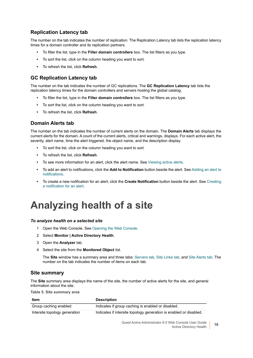#### **Replication Latency tab**

The number on the tab indicates the number of replication. The Replication Latency tab lists the replication latency times for a domain controller and its replication partners.

- **•** To filter the list, type in the **Filter domain controllers** box. The list filters as you type.
- **•** To sort the list, click on the column heading you want to sort.
- **•** To refresh the list, click **Refresh**.

#### **GC Replication Latency tab**

The number on the tab indicates the number of GC replications. The **GC Replication Latency** tab lists the replication latency times for the domain controllers and servers hosting the global catalog.

- **•** To filter the list, type in the **Filter domain controllers** box. The list filters as you type.
- **•** To sort the list, click on the column heading you want to sort.
- **•** To refresh the list, click **Refresh**.

#### **Domain Alerts tab**

The number on the tab indicates the number of current alerts on the domain. The **Domain Alerts** tab displays the current alerts for the domain. A count of the current alerts, critical and warnings, displays. For each active alert, the severity, alert name, time the alert triggered, the object name, and the description display.

- **•** To sort the list, click on the column heading you want to sort.
- **•** To refresh the list, click **Refresh**.
- **•** To see more information for an alert, click the alert name. [See Viewing active alerts.](#page-105-1)
- **•** To add an alert to notifications, click the **Add to Notification** button beside the alert. [See Adding an alert to](#page-20-2)  [notifications.](#page-20-2)
- **•** To create a new notification for an alert, click the **Create Notification** button beside the alert. [See Creating](#page-21-2)  [a notification for an alert.](#page-21-2)

# <span id="page-15-0"></span>**Analyzing health of a site**

#### *To analyze health on a selected site*

- 1 Open the Web Console. [See Opening the Web Console.](#page-5-2)
- 2 Select **Monitor | Active Directory Health**.
- 3 Open the **Analyzer** tab.
- 4 Select the site from the **Monitored Object** list.

The **Site** window has a summary area and three tabs: [Servers tab,](#page-16-0) [Site Links tab,](#page-16-1) and [Site Alerts tab.](#page-16-2) The number on the tab indicates the number of items on each tab.

#### **Site summary**

The **Site** summary area displays the name of the site, the number of active alerts for the site, and general information about the site.

**Table 5. Site summary area**

| Item                          | <b>Description</b>                                                 |
|-------------------------------|--------------------------------------------------------------------|
| Group caching enabled         | Indicates if group caching is enabled or disabled.                 |
| Intersite topology generation | Indicates if intersite topology generation is enabled or disabled. |

Quest Active Administrator 8.5 Web Console User Guide Active Directory Health **<sup>16</sup>**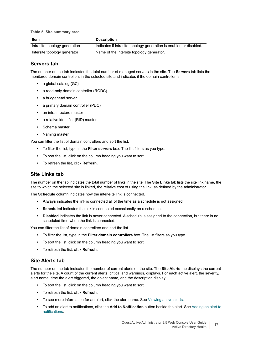**Table 5. Site summary area**

| Item                          | <b>Description</b>                                                 |
|-------------------------------|--------------------------------------------------------------------|
| Intrasite topology generation | Indicates if intrasite topology generation is enabled or disabled. |
| Intersite topology generator  | Name of the intersite topology generator.                          |

#### <span id="page-16-0"></span>**Servers tab**

The number on the tab indicates the total number of managed servers in the site. The **Servers** tab lists the monitored domain controllers in the selected site and indicates if the domain controller is:

- **•** a global catalog (GC}
- **•** a read-only domain controller (RODC)
- **•** a bridgehead server
- **•** a primary domain controller (PDC)
- **•** an infrastructure master
- **•** a relative identifier (RID) master
- **•** Schema master
- **•** Naming master

You can filter the list of domain controllers and sort the list.

- **•** To filter the list, type in the **Filter servers** box. The list filters as you type.
- **•** To sort the list, click on the column heading you want to sort.
- **•** To refresh the list, click **Refresh**.

#### <span id="page-16-1"></span>**Site Links tab**

The number on the tab indicates the total number of links in the site. The **Site Links** tab lists the site link name, the site to which the selected site is linked, the relative cost of using the link, as defined by the administrator.

The **Schedule** column indicates how the inter-site link is connected.

- **Always** indicates the link is connected all of the time as a schedule is not assigned.
- **Scheduled** indicates the link is connected occasionally on a schedule.
- **Disabled** indicates the link is never connected. A schedule is assigned to the connection, but there is no scheduled time when the link is connected.

You can filter the list of domain controllers and sort the list.

- **•** To filter the list, type in the **Filter domain controllers** box. The list filters as you type.
- **•** To sort the list, click on the column heading you want to sort.
- **•** To refresh the list, click **Refresh**.

#### <span id="page-16-2"></span>**Site Alerts tab**

The number on the tab indicates the number of current alerts on the site. The **Site Alerts** tab displays the current alerts for the site. A count of the current alerts, critical and warnings, displays. For each active alert, the severity, alert name, time the alert triggered, the object name, and the description display.

- **•** To sort the list, click on the column heading you want to sort.
- **•** To refresh the list, click **Refresh**.
- **•** To see more information for an alert, click the alert name. [See Viewing active alerts.](#page-105-1)
- **•** To add an alert to notifications, click the **Add to Notification** button beside the alert. [See Adding an alert to](#page-20-2)  [notifications.](#page-20-2)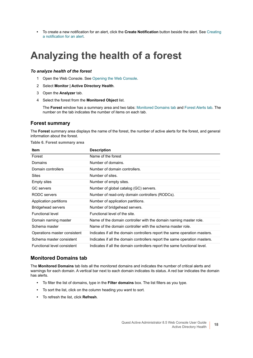**•** To create a new notification for an alert, click the **Create Notification** button beside the alert. [See Creating](#page-21-2)  [a notification for an alert.](#page-21-2)

### <span id="page-17-0"></span>**Analyzing the health of a forest**

#### *To analyze health of the forest*

- 1 Open the Web Console. [See Opening the Web Console.](#page-5-2)
- 2 Select **Monitor | Active Directory Health**.
- 3 Open the **Analyzer** tab.
- 4 Select the forest from the **Monitored Object** list.

The **Forest** window has a summary area and two tabs: [Monitored Domains tab](#page-17-1) and [Forest Alerts tab.](#page-18-0) The number on the tab indicates the number of items on each tab.

#### **Forest summary**

The **Forest** summary area displays the name of the forest, the number of active alerts for the forest, and general information about the forest.

**Table 6. Forest summary area**

| <b>Item</b>                  | <b>Description</b>                                                         |
|------------------------------|----------------------------------------------------------------------------|
| Forest                       | Name of the forest                                                         |
| <b>Domains</b>               | Number of domains.                                                         |
| Domain controllers           | Number of domain controllers.                                              |
| <b>Sites</b>                 | Number of sites.                                                           |
| <b>Empty sites</b>           | Number of empty sites.                                                     |
| <b>GC</b> servers            | Number of global catalog (GC) servers.                                     |
| RODC servers                 | Number of read-only domain controllers (RODCs).                            |
| Application partitions       | Number of application partitions.                                          |
| Bridgehead servers           | Number of bridgehead servers.                                              |
| <b>Functional level</b>      | Functional level of the site.                                              |
| Domain naming master         | Name of the domain controller with the domain naming master role.          |
| Schema master                | Name of the domain controller with the schema master role.                 |
| Operations master consistent | Indicates if all the domain controllers report the same operation masters. |
| Schema master consistent     | Indicates if all the domain controllers report the same operation masters. |
| Functional level consistent  | Indicates if all the domain controllers report the same functional level.  |

#### <span id="page-17-1"></span>**Monitored Domains tab**

The **Monitored Domains** tab lists all the monitored domains and indicates the number of critical alerts and warnings for each domain. A vertical bar next to each domain indicates its status. A red bar indicates the domain has alerts.

- **•** To filter the list of domains, type in the **Filter domains** box. The list filters as you type.
- **•** To sort the list, click on the column heading you want to sort.
- **•** To refresh the list, click **Refresh**.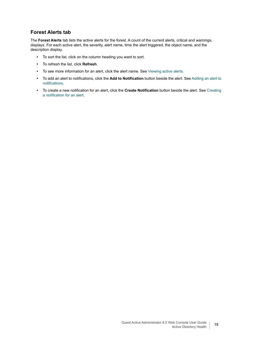#### <span id="page-18-0"></span>**Forest Alerts tab**

The **Forest Alerts** tab lists the active alerts for the forest. A count of the current alerts, critical and warnings, displays. For each active alert, the severity, alert name, time the alert triggered, the object name, and the description display.

- **•** To sort the list, click on the column heading you want to sort.
- **•** To refresh the list, click **Refresh**.
- **•** To see more information for an alert, click the alert name. [See Viewing active alerts.](#page-105-1)
- **•** To add an alert to notifications, click the **Add to Notification** button beside the alert. [See Adding an alert to](#page-20-2)  [notifications.](#page-20-2)
- **•** To create a new notification for an alert, click the **Create Notification** button beside the alert. [See Creating](#page-21-2)  [a notification for an alert.](#page-21-2)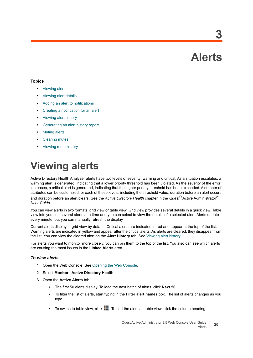**Alerts**

**3**

#### <span id="page-19-0"></span>**Topics**

- **•** [Viewing alerts](#page-19-1)
- **•** [Viewing alert details](#page-20-0)
- **•** [Adding an alert to notifications](#page-20-1)
- **•** [Creating a notification for an alert](#page-21-0)
- **•** [Viewing alert history](#page-21-1)
- **•** [Generating an alert history report](#page-23-0)
- **•** [Muting alerts](#page-23-1)
- **•** [Clearing mutes](#page-25-0)
- **•** [Viewing mute history](#page-25-1)

# <span id="page-19-2"></span><span id="page-19-1"></span>**Viewing alerts**

Active Directory Health Analyzer alerts have two levels of severity: warning and critical. As a situation escalates, a warning alert is generated, indicating that a lower priority threshold has been violated. As the severity of the error increases, a critical alert is generated, indicating that the higher priority threshold has been exceeded. A number of attributes can be customized for each of these levels, including the threshold value, duration before an alert occurs and duration before an alert clears. See the *Active Directory Health* chapter in the *Quest®* Active Administrator® *User Guide*.

You can view alerts in two formats: grid view or table view. Grid view provides several details in a quick view. Table view lets you see several alerts at a time and you can select to view the details of a selected alert. Alerts update every minute, but you can manually refresh the display.

Current alerts display in grid view by default. Critical alerts are indicated in red and appear at the top of the list. Warning alerts are indicated in yellow and appear after the critical alerts. As alerts are cleared, they disappear from the list. You can view the cleared alert on the **Alert History** tab. [See Viewing alert history.](#page-21-1)

For alerts you want to monitor more closely, you can pin them to the top of the list. You also can see which alerts are causing the most issues in the **Linked Alerts** area.

#### *To view alerts*

- 1 Open the Web Console. [See Opening the Web Console.](#page-5-2)
- 2 Select **Monitor | Active Directory Health**.
- 3 Open the **Active Alerts** tab.
	- **▪** The first 50 alerts display. To load the next batch of alerts, click **Next 50**.
	- **▪** To filter the list of alerts, start typing in the **Filter alert names** box. The list of alerts changes as you type.
	- **■** To switch to table view, click **. The Sout the alerts in table view, click the column heading.**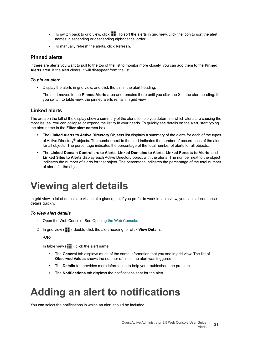- To switch back to grid view, click ■■. To sort the alerts in grid view, click the icon to sort the alert names in ascending or descending alphabetical order.
- **▪** To manually refresh the alerts, click **Refresh**.

#### **Pinned alerts**

If there are alerts you want to pull to the top of the list to monitor more closely, you can add them to the **Pinned Alerts** area. If the alert clears, it will disappear from the list.

#### *To pin an alert*

**•** Display the alerts in grid view, and click the pin in the alert heading.

The alert moves to the **Pinned Alerts** area and remains there until you click the **X** in the alert heading. If you switch to table view, the pinned alerts remain in grid view.

#### **Linked alerts**

The area on the left of the display show a summary of the alerts to help you determine which alerts are causing the most issues. You can collapse or expand the list to fit your needs. To quickly see details on the alert, start typing the alert name in the **Filter alert names** box.

- **•** The **Linked Alerts to Active Directory Objects** list displays a summary of the alerts for each of the types of Active Directory® objects. The number next to the alert indicates the number of occurrences of the alert for all objects. The percentage indicates the percentage of the total number of alerts for all objects.
- **•** The **Linked Domain Controllers to Alerts**, **Linked Domains to Alerts**, **Linked Forests to Alerts**, and **Linked Sites to Alerts** display each Active Directory object with the alerts. The number next to the object indicates the number of alerts for that object. The percentage indicates the percentage of the total number of alerts for the object.

## <span id="page-20-3"></span><span id="page-20-0"></span>**Viewing alert details**

In grid view, a lot of details are visible at a glance, but if you prefer to work in table view, you can still see these details quickly.

#### *To view alert details*

- 1 Open the Web Console. [See Opening the Web Console.](#page-5-2)
- 2 In grid view ( $\blacksquare$ ), double-click the alert heading, or click View Details.

-OR-

In table view  $($   $\equiv$   $)$ , click the alert name.

- **▪** The **General** tab displays much of the same information that you see in grid view. The list of **Observed Values** shows the number of times the alert was triggered.
- **▪** The **Details** tab provides more information to help you troubleshoot the problem.
- **▪** The **Notifications** tab displays the notifications sent for the alert.

## <span id="page-20-2"></span><span id="page-20-1"></span>**Adding an alert to notifications**

You can select the notifications in which an alert should be included.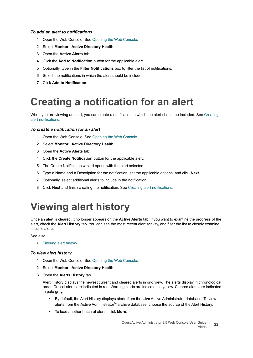#### *To add an alert to notifications*

- 1 Open the Web Console. [See Opening the Web Console.](#page-5-2)
- 2 Select **Monitor | Active Directory Health**.
- 3 Open the **Active Alerts** tab.
- 4 Click the **Add to Notification** button for the applicable alert.
- 5 Optionally, type in the **Filter Notifications** box to filter the list of notifications.
- 6 Select the notifications in which the alert should be included.
- <span id="page-21-2"></span>7 Click **Add to Notification**.

### <span id="page-21-0"></span>**Creating a notification for an alert**

When you are viewing an alert, you can create a notification in which the alert should be included. See Creating [alert notifications.](#page-28-1)

#### *To create a notification for an alert*

- 1 Open the Web Console. [See Opening the Web Console.](#page-5-2)
- 2 Select **Monitor | Active Directory Health**.
- 3 Open the **Active Alerts** tab.
- 4 Click the **Create Notification** button for the applicable alert.
- 5 The Create Notification wizard opens with the alert selected.
- 6 Type a Name and a Description for the notification, set the applicable options, and click **Next**.
- 7 Optionally, select additional alerts to include in the notification.
- 8 Click **Next** and finish creating the notification. [See Creating alert notifications.](#page-28-1)

## <span id="page-21-1"></span>**Viewing alert history**

Once an alert is cleared, it no longer appears on the **Active Alerts** tab. If you want to examine the progress of the alert, check the **Alert History** tab. You can see the most recent alert activity, and filter the list to closely examine specific alerts.

See also:

**•** [Filtering alert history](#page-22-0)

#### *To view alert history*

- 1 Open the Web Console. [See Opening the Web Console.](#page-5-2)
- 2 Select **Monitor | Active Directory Health**.
- 3 Open the **Alerts History** tab.

Alert History displays the newest current and cleared alerts in grid view. The alerts display in chronological order. Critical alerts are indicated in red. Warning alerts are indicated in yellow. Cleared alerts are indicated in pale gray.

- **▪** By default, the Alert History displays alerts from the **Live** Active Administrator database. To view alerts from the Active Administrator® archive database, choose the source of the Alert History.
- **▪** To load another batch of alerts, click **More**.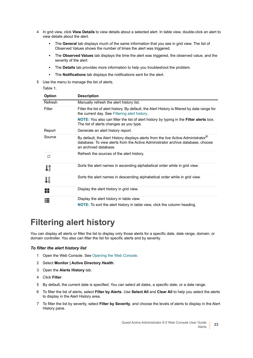- 4 In grid view, click **View Details** to view details about a selected alert. In table view, double-click an alert to view details about the alert.
	- **▪** The **General** tab displays much of the same information that you see in grid view. The list of Observed Values shows the number of times the alert was triggered.
	- **▪** The **Observed Values** tab displays the time the alert was triggered, the observed value, and the severity of the alert.
	- **▪** The **Details** tab provides more information to help you troubleshoot the problem.
	- **▪** The **Notifications** tab displays the notifications sent for the alert.
- 5 Use the menu to manage the list of alerts.

#### **Table 1.**

| <b>Option</b> | <b>Description</b>                                                                                                                                                                            |
|---------------|-----------------------------------------------------------------------------------------------------------------------------------------------------------------------------------------------|
| Refresh       | Manually refresh the alert history list.                                                                                                                                                      |
| Filter        | Filter the list of alert history. By default, the Alert History is filtered by date range for<br>the current day. See Filtering alert history.                                                |
|               | NOTE: You also can filter the list of alert history by typing in the Filter alerts box.<br>The list of alerts changes as you type.                                                            |
| Report        | Generate an alert history report.                                                                                                                                                             |
| Source        | By default, the Alert History displays alerts from the live Active Administrator®<br>database. To view alerts from the Active Administrator archive database, choose<br>an archived database. |
| ø             | Refresh the sources of the alert history.                                                                                                                                                     |
| IJ            | Sorts the alert names in ascending alphabetical order while in grid view.                                                                                                                     |
| Τŝ            | Sorts the alert names in descending alphabetical order while in grid view.                                                                                                                    |
|               | Display the alert history in grid view.                                                                                                                                                       |
|               | Display the alert history in table view.<br><b>NOTE:</b> To sort the alert history in table view, click the column heading.                                                                   |

### <span id="page-22-0"></span>**Filtering alert history**

You can display all alerts or filter the list to display only those alerts for a specific date, date range, domain, or domain controller. You also can filter the list for specific alerts and by severity.

#### *To filter the alert history list*

- 1 Open the Web Console. [See Opening the Web Console.](#page-5-2)
- 2 Select **Monitor | Active Directory Health**.
- 3 Open the **Alerts History** tab.
- 4 Click **Filter**.
- 5 By default, the current date is specified. You can select all dates, a specific date, or a date range.
- 6 To filter the list of alerts, select **Filter by Alerts**. Use **Select All** and **Clear All** to help you select the alerts to display in the Alert History area.
- 7 To filter the list by severity, select **Filter by Severity**, and choose the levels of alerts to display in the Alert History pane.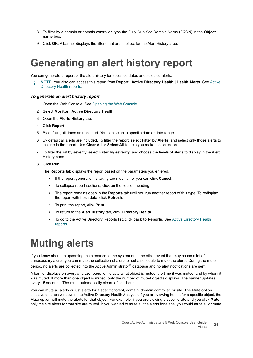- 8 To filter by a domain or domain controller, type the Fully Qualified Domain Name (FQDN) in the **Object name** box.
- 9 Click **OK**. A banner displays the filters that are in effect for the Alert History area.

### <span id="page-23-0"></span>**Generating an alert history report**

You can generate a report of the alert history for specified dates and selected alerts.

**NOTE:** You also can access this report from **Report | Active Directory Health | Health Alerts**. See [Active](#page-87-1)  [Directory Health reports.](#page-87-1)

#### *To generate an alert history report*

- 1 Open the Web Console. [See Opening the Web Console.](#page-5-2)
- 2 Select **Monitor | Active Directory Health**.
- 3 Open the **Alerts History** tab.
- 4 Click **Report**.
- 5 By default, all dates are included. You can select a specific date or date range.
- 6 By default all alerts are included. To filter the report, select **Filter by Alerts**, and select only those alerts to include in the report. Use **Clear All** or **Select All** to help you make the selection.
- 7 To filter the list by severity, select **Filter by severity**, and choose the levels of alerts to display in the Alert History pane.
- 8 Click **Run**.

The **Reports** tab displays the report based on the parameters you entered.

- **▪** If the report generation is taking too much time, you can click **Cancel**.
- To collapse report sections, click on the section heading.
- **▪** The report remains open in the **Reports** tab until you run another report of this type. To redisplay the report with fresh data, click **Refresh**.
- **▪** To print the report, click **Print**.
- **▪** To return to the **Alert History** tab, click **Directory Health**.
- **▪** To go to the Active Directory Reports list, click **back to Reports**. See [Active Directory Health](#page-87-1)  [reports.](#page-87-1)

### <span id="page-23-1"></span>**Muting alerts**

If you know about an upcoming maintenance to the system or some other event that may cause a lot of unnecessary alerts, you can mute the collection of alerts or set a schedule to mute the alerts. During the mute period, no alerts are collected into the Active Administrator® database and no alert notifications are sent.

A banner displays on every analyzer page to indicate what object is muted, the time it was muted, and by whom it was muted. If more than one object is muted, only the number of muted objects displays. The banner updates every 15 seconds. The mute automatically clears after 1 hour.

You can mute all alerts or just alerts for a specific forest, domain, domain controller, or site. The Mute option displays on each window in the Active Directory Health Analyzer. If you are viewing health for a specific object, the Mute option will mute the alerts for that object. For example, if you are viewing a specific site and you click **Mute**, only the site alerts for that site are muted. If you wanted to mute all the alerts for a site, you could mute all or mute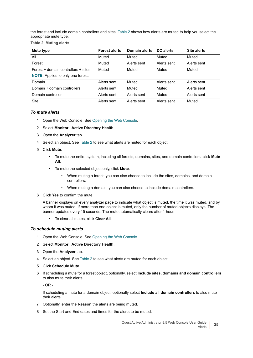the forest and include domain controllers and sites. Table 2 shows how alerts are muted to help you select the appropriate mute type.

**Table 2. Muting alerts**

| Mute type                                | <b>Forest alerts</b> | Domain alerts | DC alerts   | <b>Site alerts</b> |
|------------------------------------------|----------------------|---------------|-------------|--------------------|
| All                                      | Muted                | Muted         | Muted       | Muted              |
| Forest                                   | Muted                | Alerts sent   | Alerts sent | Alerts sent        |
| Forest + domain controllers + sites      | Muted                | Muted         | Muted       | Muted              |
| <b>NOTE:</b> Applies to only one forest. |                      |               |             |                    |
| Domain                                   | Alerts sent          | Muted         | Alerts sent | Alerts sent        |
| Domain + domain controllers              | Alerts sent          | Muted         | Muted       | Alerts sent        |
| Domain controller                        | Alerts sent          | Alerts sent   | Muted       | Alerts sent        |
| Site                                     | Alerts sent          | Alerts sent   | Alerts sent | Muted              |

#### *To mute alerts*

- 1 Open the Web Console. [See Opening the Web Console.](#page-5-2)
- 2 Select **Monitor | Active Directory Health**.
- 3 Open the **Analyzer** tab.
- 4 Select an object. See Table 2 to see what alerts are muted for each object.
- 5 Click **Mute**.
	- **▪** To mute the entire system, including all forests, domains, sites, and domain controllers, click **Mute All**.
	- **▪** To mute the selected object only, click **Mute**.
		- **▫** When muting a forest, you can also choose to include the sites, domains, and domain controllers.
		- **▫** When muting a domain, you can also choose to include domain controllers.
- 6 Click **Yes** to confirm the mute.

A banner displays on every analyzer page to indicate what object is muted, the time it was muted, and by whom it was muted. If more than one object is muted, only the number of muted objects displays. The banner updates every 15 seconds. The mute automatically clears after 1 hour.

**▪** To clear all mutes, click **Clear All**.

#### *To schedule muting alerts*

- 1 Open the Web Console. [See Opening the Web Console.](#page-5-2)
- 2 Select **Monitor | Active Directory Health**.
- 3 Open the **Analyzer** tab.
- 4 Select an object. See Table 2 to see what alerts are muted for each object.
- 5 Click **Schedule Mute**.
- 6 If scheduling a mute for a forest object, optionally, select **Include sites, domains and domain controllers** to also mute their alerts.

 $-$  OR  $-$ 

If scheduling a mute for a domain object, optionally select **Include all domain controllers** to also mute their alerts.

- 7 Optionally, enter the **Reason** the alerts are being muted.
- 8 Set the Start and End dates and times for the alerts to be muted.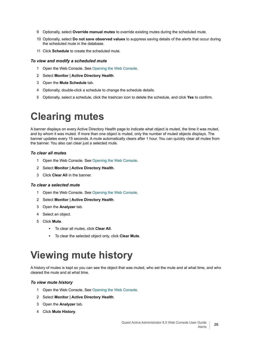- 9 Optionally, select **Override manual mutes** to override existing mutes during the scheduled mute.
- 10 Optionally, select **Do not save observed values** to suppress saving details of the alerts that occur during the scheduled mute in the database.
- 11 Click **Schedule** to create the scheduled mute.

#### *To view and modify a scheduled mute*

- 1 Open the Web Console. [See Opening the Web Console.](#page-5-2)
- 2 Select **Monitor | Active Directory Health**.
- 3 Open the **Mute Schedule** tab.
- 4 Optionally, double-click a schedule to change the schedule details.
- 5 Optionally, select a schedule, click the trashcan icon to delete the schedule, and click **Yes** to confirm.

### <span id="page-25-0"></span>**Clearing mutes**

A banner displays on every Active Directory Health page to indicate what object is muted, the time it was muted, and by whom it was muted. If more than one object is muted, only the number of muted objects displays. The banner updates every 15 seconds. A mute automatically clears after 1 hour. You can quickly clear all mutes from the banner. You also can clear just a selected mute.

#### *To clear all mutes*

- 1 Open the Web Console. [See Opening the Web Console.](#page-5-2)
- 2 Select **Monitor | Active Directory Health**.
- 3 Click **Clear All** in the banner.

#### *To clear a selected mute*

- 1 Open the Web Console. [See Opening the Web Console.](#page-5-2)
- 2 Select **Monitor | Active Directory Health**.
- 3 Open the **Analyzer** tab.
- 4 Select an object.
- 5 Click **Mute**.
	- **▪** To clear all mutes, click **Clear All**.
	- **▪** To clear the selected object only, click **Clear Mute**.

## <span id="page-25-1"></span>**Viewing mute history**

A history of mutes is kept so you can see the object that was muted, who set the mute and at what time, and who cleared the mute and at what time.

#### *To view mute history*

- 1 Open the Web Console. [See Opening the Web Console.](#page-5-2)
- 2 Select **Monitor | Active Directory Health**.
- 3 Open the **Analyzer** tab.
- 4 Click **Mute History**.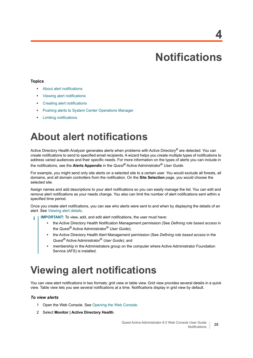# **Notifications**

#### <span id="page-27-0"></span>**Topics**

- **•** [About alert notifications](#page-27-1)
- **•** [Viewing alert notifications](#page-27-2)
- **•** [Creating alert notifications](#page-28-0)
- **•** [Pushing alerts to System Center Operations Manager](#page-30-0)
- **•** [Limiting notifications](#page-30-1)

### <span id="page-27-1"></span>**About alert notifications**

Active Directory Health Analyzer generates alerts when problems with Active Directory® are detected. You can create notifications to send to specified email recipients. A wizard helps you create multiple types of notifications to address varied audiences and their specific needs. For more information on the types of alerts you can include in the notifications, see the **Alerts Appendix** in the *Quest®* Active Administrator® *User Guide*.

For example, you might send only site alerts on a selected site to a certain user. You would exclude all forests, all domains, and all domain controllers from the notification. On the **Site Selection** page, you would choose the selected site.

Assign names and add descriptions to your alert notifications so you can easily manage the list. You can edit and remove alert notifications as your needs change. You also can limit the number of alert notifications sent within a specified time period.

Once you create alert notifications, you can see who alerts were sent to and when by displaying the details of an alert. [See Viewing alert details.](#page-20-3)

- **IMPORTANT:** To view, add, and edit alert notifications, the user must have:
	- **•** the Active Directory Health Notification Management permission (See *Defining role based access* in the *Quest®* Active Administrator® *User Guide*);
	- **•** the Active Directory Health Alert Management permission (See *Defining role based access* in the *Quest®* Active Administrator® *User Guide*); and
	- **•** membership in the Administrators group on the computer where Active Administrator Foundation Service (AFS) is installed.

## <span id="page-27-2"></span>**Viewing alert notifications**

You can view alert notifications in two formats: grid view or table view. Grid view provides several details in a quick view. Table view lets you see several notifications at a time. Notifications display in grid view by default.

#### *To view alerts*

- 1 Open the Web Console. [See Opening the Web Console.](#page-5-2)
- 2 Select **Monitor | Active Directory Health**.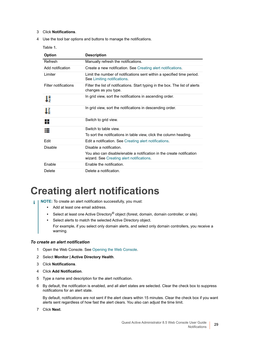- 3 Click **Notifications**.
- 4 Use the tool bar options and buttons to manage the notifications.

**Table 1.** 

| <b>Option</b>               | <b>Description</b>                                                                                                 |
|-----------------------------|--------------------------------------------------------------------------------------------------------------------|
| Refresh                     | Manually refresh the notifications.                                                                                |
| Add notification            | Create a new notification. See Creating alert notifications.                                                       |
| Limiter                     | Limit the number of notifications sent within a specified time period.<br>See Limiting notifications.              |
| <b>Filter notifications</b> | Filter the list of notifications. Start typing in the box. The list of alerts<br>changes as you type.              |
| Tà                          | In grid view, sort the notifications in ascending order.                                                           |
| Τŝ                          | In grid view, sort the notifications in descending order.                                                          |
| ₩                           | Switch to grid view.                                                                                               |
|                             | Switch to table view.                                                                                              |
|                             | To sort the notifications in table view, click the column heading.                                                 |
| Edit                        | Edit a notification. See Creating alert notifications.                                                             |
| <b>Disable</b>              | Disable a notification.                                                                                            |
|                             | You also can disable/enable a notification in the create notification<br>wizard. See Creating alert notifications. |
| Enable                      | Enable the notification.                                                                                           |
| Delete                      | Delete a notification.                                                                                             |

### <span id="page-28-1"></span><span id="page-28-0"></span>**Creating alert notifications**

- **i** | **NOTE**: To create an alert notification successfully, you must:
	- **•** Add at least one email address.
	- **•** Select at least one Active Directory® object (forest, domain, domain controller, or site).
	- **•** Select alerts to match the selected Active Directory object.
	- For example, if you select only domain alerts, and select only domain controllers, you receive a warning.

#### *To create an alert notification*

- 1 Open the Web Console. [See Opening the Web Console.](#page-5-2)
- 2 Select **Monitor | Active Directory Health**.
- 3 Click **Notifications**.
- 4 Click **Add Notification**.
- 5 Type a name and description for the alert notification.
- 6 By default, the notification is enabled, and all alert states are selected. Clear the check box to suppress notifications for an alert state.

By default, notifications are not sent if the alert clears within 15 minutes. Clear the check box if you want alerts sent regardless of how fast the alert clears. You also can adjust the time limit.

7 Click **Next**.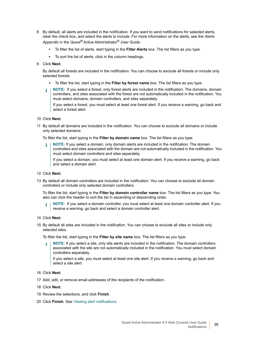- 8 By default, all alerts are included in the notification. If you want to send notifications for selected alerts, clear the check box, and select the alerts to include. For more information on the alerts, see the *Alerts Appendix* in the *Quest®* Active Administrator® *User Guide*.
	- **▪** To filter the list of alerts, start typing in the **Filter Alerts** box. The list filters as you type.
	- **▪** To sort the list of alerts, click in the column headings.
- 9 Click **Next**.

By default all forests are included in the notification. You can choose to exclude all forests or include only selected forests.

- **▪** To filter the list, start typing in the **Filter by forest name** box. The list filters as you type.
- **NOTE:** If you select a forest, only forest alerts are included in the notification. The domains, domain  $\ddot{\mathbf{i}}$ controllers, and sites associated with the forest are not automatically included in the notification. You must select domains, domain controllers, and sites separately.

If you select a forest, you must select at least one forest alert. If you receive a warning, go back and select a forest alert.

- 10 Click **Next**.
- 11 By default all domains are included in the notification. You can choose to exclude all domains or include only selected domains.

To filter the list, start typing in the **Filter by domain name** box. The list filters as you type.

**NOTE:** If you select a domain, only domain alerts are included in the notification. The domain i controllers and sites associated with the domain are not automatically included in the notification. You must select domain controllers and sites separately.

If you select a domain, you must select at least one domain alert. If you receive a warning, go back and select a domain alert.

- 12 Click **Next**.
- 13 By default all domain controllers are included in the notification. You can choose to exclude all domain controllers or include only selected domain controllers.

To filter the list, start typing in the **Filter by domain controller name** box. The list filters as you type. You also can click the header to sort the list in ascending or descending order.

- **NOTE:** If you select a domain controller, you must select at least one domain controller alert. If you i receive a warning, go back and select a domain controller alert.
- 14 Click **Next**.
- 15 By default all sites are included in the notification. You can choose to exclude all sites or include only selected sites.

To filter the list, start typing in the **Filter by site name** box. The list filters as you type.

**NOTE:** If you select a site, only site alerts are included in the notification. The domain controllers f. associated with the site are not automatically included in the notification. You must select domain controllers separately.

If you select a site, you must select at least one site alert. If you receive a warning, go back and select a site alert.

- 16 Click **Next**.
- 17 Add, edit, or remove email addresses of the recipients of the notification.
- 18 Click **Next**.
- 19 Review the selections, and click **Finish**.
- 20 Click **Finish**. [See Viewing alert notifications.](#page-27-2)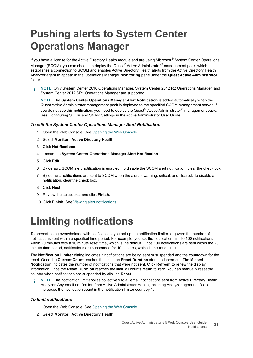# <span id="page-30-0"></span>**Pushing alerts to System Center Operations Manager**

If you have a license for the Active Directory Health module and are using Microsoft® System Center Operations Manager (SCOM), you can choose to deploy the Quest<sup>®</sup> Active Administrator<sup>®</sup> management pack, which establishes a connection to SCOM and enables Active Directory Health alerts from the Active Directory Health Analyzer agent to appear in the Operations Manager **Monitoring** pane under the **Quest Active Administrator** folder.

**NOTE:** Only System Center 2016 Operations Manager, System Center 2012 R2 Operations Manager, and System Center 2012 SP1 Operations Manager are supported.

**NOTE:** The **System Center Operations Manager Alert Notification** is added automatically when the Quest Active Administrator management pack is deployed to the specified SCOM management server. If you do not see this notification, you need to deploy the Quest® Active Administrator<sup>®</sup> management pack. See Configuring SCOM and SNMP Settings in the Active Administrator User Guide.

#### *To edit the System Center Operations Manager Alert Notification*

- 1 Open the Web Console. [See Opening the Web Console.](#page-5-2)
- 2 Select **Monitor | Active Directory Health**.
- 3 Click **Notifications**.
- 4 Locate the **System Center Operations Manager Alert Notification**.
- 5 Click **Edit**.
- 6 By default, SCOM alert notification is enabled. To disable the SCOM alert notification, clear the check box.
- 7 By default, notifications are sent to SCOM when the alert is warning, critical, and cleared. To disable a notification, clear the check box.
- 8 Click **Next**.
- 9 Review the selections, and click **Finish**.
- 10 Click **Finish**. [See Viewing alert notifications.](#page-27-2)

# <span id="page-30-1"></span>**Limiting notifications**

To prevent being overwhelmed with notifications, you set up the notification limiter to govern the number of notifications sent within a specified time period. For example, you set the notification limit to 100 notifications within 20 minutes with a 10 minute reset time, which is the default. Once 100 notifications are sent within the 20 minute time period, notifications are suspended for 10 minutes, which is the reset time.

The **Notification Limiter** dialog indicates if notifications are being sent or suspended and the countdown for the reset. Once the **Current Count** reaches the limit, the **Reset Duration** starts to increment. The **Missed Notification** indicates the number of notifications that were not sent. Click **Refresh** to renew the display information.Once the **Reset Duration** reaches the limit, all counts return to zero. You can manually reset the counter when notifications are suspended by clicking **Reset**.

**NOTE:** The notification limit applies collectively to all email notifications sent from Active Directory Health Analyzer. Any email notification from Active Administrator Health, including Analyzer agent notifications, increases the notification count in the notification limiter count by 1.

#### *To limit notifications*

- 1 Open the Web Console. [See Opening the Web Console.](#page-5-2)
- 2 Select **Monitor | Active Directory Health**.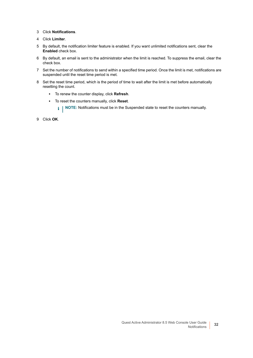- 3 Click **Notifications**.
- 4 Click **Limiter**.
- 5 By default, the notification limiter feature is enabled. If you want unlimited notifications sent, clear the **Enabled** check box.
- 6 By default, an email is sent to the administrator when the limit is reached. To suppress the email, clear the check box.
- 7 Set the number of notifications to send within a specified time period. Once the limit is met, notifications are suspended until the reset time period is met.
- 8 Set the reset time period, which is the period of time to wait after the limit is met before automatically resetting the count.
	- **▪** To renew the counter display, click **Refresh**.
	- **▪** To reset the counters manually, click **Reset**.
		- **i** | NOTE: Notifications must be in the Suspended state to reset the counters manually.
- 9 Click **OK**.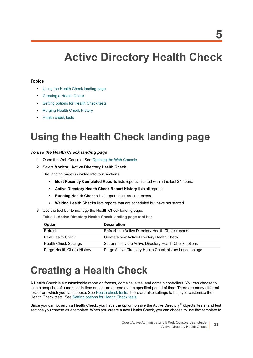# **Active Directory Health Check**

#### <span id="page-32-0"></span>**Topics**

- **•** [Using the Health Check landing page](#page-32-1)
- **•** [Creating a Health Check](#page-32-2)
- **•** [Setting options for Health Check tests](#page-35-0)
- **•** [Purging Health Check History](#page-36-0)
- **•** [Health check tests](#page-36-1)

# <span id="page-32-1"></span>**Using the Health Check landing page**

#### *To use the Health Check landing page*

- 1 Open the Web Console. [See Opening the Web Console.](#page-5-2)
- 2 Select **Monitor | Active Directory Health Check**.

The landing page is divided into four sections.

- **▪ Most Recently Completed Reports** lists reports initiated within the last 24 hours.
- **▪ Active Directory Health Check Report History** lists all reports.
- **▪ Running Health Checks** lists reports that are in process.
- **▪ Waiting Health Checks** lists reports that are scheduled but have not started.
- 3 Use the tool bar to manage the Health Check landing page.

**Table 1. Active Directory Health Check landing page tool bar**

| <b>Option</b>                | <b>Description</b>                                       |
|------------------------------|----------------------------------------------------------|
| Refresh                      | Refresh the Active Directory Health Check reports        |
| New Health Check             | Create a new Active Directory Health Check               |
| <b>Health Check Settings</b> | Set or modify the Active Directory Health Check options  |
| Purge Health Check History   | Purge Active Directory Health Check history based on age |

## <span id="page-32-3"></span><span id="page-32-2"></span>**Creating a Health Check**

A Health Check is a customizable report on forests, domains, sites, and domain controllers. You can choose to take a snapshot of a moment in time or capture a trend over a specified period of time. There are many different tests from which you can choose. [See Health check tests.](#page-36-1) There are also settings to help you customize the Health Check tests. [See Setting options for Health Check tests.](#page-35-0)

Since you cannot rerun a Health Check, you have the option to save the Active Directory® objects, tests, and test settings you choose as a template. When you create a new Health Check, you can choose to use that template to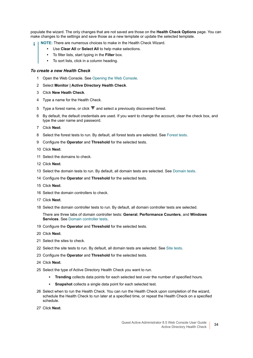populate the wizard. The only changes that are not saved are those on the **Health Check Options** page. You can make changes to the settings and save those as a new template or update the selected template.

- **NOTE:** There are numerous choices to make in the Health Check Wizard.
	- **•** Use **Clear All** or **Select All** to help make selections.
	- **•** To filter lists, start typing in the **Filter** box.
	- **•** To sort lists, click in a column heading.

#### *To create a new Health Check*

- 1 Open the Web Console. [See Opening the Web Console.](#page-5-2)
- 2 Select **Monitor | Active Directory Health Check**.
- 3 Click **New Heath Check**.
- 4 Type a name for the Health Check.
- 5 Type a forest name, or click  $\blacktriangledown$  and select a previously discovered forest.
- 6 By default, the default credentials are used. If you want to change the account, clear the check box, and type the user name and password.
- 7 Click **Next**.
- 8 Select the forest tests to run. By default, all forest tests are selected. [See Forest tests.](#page-36-2)
- 9 Configure the **Operator** and **Threshold** for the selected tests.
- 10 Click **Next**.
- 11 Select the domains to check.
- 12 Click **Next**.
- 13 Select the domain tests to run. By default, all domain tests are selected. [See Domain tests.](#page-40-0)
- 14 Configure the **Operator** and **Threshold** for the selected tests.
- 15 Click **Next**.
- 16 Select the domain controllers to check.
- 17 Click **Next**.
- 18 Select the domain controller tests to run. By default, all domain controller tests are selected.

There are three tabs of domain controller tests: **General**, **Performance Counters**, and **Windows Services**. [See Domain controller tests.](#page-48-0)

- 19 Configure the **Operator** and **Threshold** for the selected tests.
- 20 Click **Next**.
- 21 Select the sites to check.
- 22 Select the site tests to run. By default, all domain tests are selected. [See Site tests.](#page-78-0)
- 23 Configure the **Operator** and **Threshold** for the selected tests.
- 24 Click **Next**.
- 25 Select the type of Active Directory Health Check you want to run.
	- **▪ Trending** collects data points for each selected test over the number of specified hours.
	- **▪ Snapshot** collects a single data point for each selected test.
- 26 Select when to run the Health Check. You can run the Health Check upon completion of the wizard, schedule the Health Check to run later at a specified time, or repeat the Health Check on a specified schedule.
- 27 Click **Next**.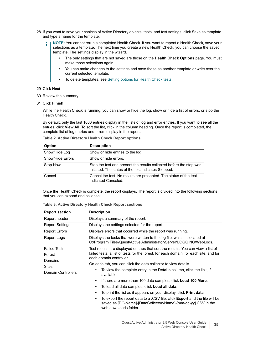- 28 If you want to save your choices of Active Directory objects, tests, and test settings, click Save as template and type a name for the template.
	- **NOTE:** You cannot rerun a completed Health Check. If you want to repeat a Health Check, save your ÷. selections as a template. The next time you create a new Health Check, you can choose the saved template. The settings display in the wizard.
		- **•** The only settings that are not saved are those on the **Health Check Options** page. You must make those selections again.
		- **•** You can make changes to the settings and save those as another template or write over the current selected template.
		- **•** To delete templates, see [Setting options for Health Check tests.](#page-35-0)
- 29 Click **Next**.
- 30 Review the summary.
- 31 Click **Finish**.

While the Health Check is running, you can show or hide the log, show or hide a list of errors, or stop the Health Check.

By default, only the last 1000 entries display in the lists of log and error entries. If you want to see all the entries, click **View All**. To sort the list, click in the column heading. Once the report is completed, the complete list of log entries and errors display in the report.

**Table 2. Active Directory Health Check Report options**

| <b>Option</b>    | <b>Description</b>                                                                                                          |
|------------------|-----------------------------------------------------------------------------------------------------------------------------|
| Show/Hide Log    | Show or hide entries to the log.                                                                                            |
| Show/Hide Errors | Show or hide errors.                                                                                                        |
| Stop Now         | Stop the test and present the results collected before the stop was<br>initiated. The status of the test indicates Stopped. |
| Cancel           | Cancel the test. No results are presented. The status of the test<br>indicated Canceled.                                    |

Once the Health Check is complete, the report displays. The report is divided into the following sections that you can expand and collapse:

| Table 3. Active Directory Health Check Report sections |  |  |  |
|--------------------------------------------------------|--|--|--|
|--------------------------------------------------------|--|--|--|

| <b>Report section</b>                    | <b>Description</b>                                                                                                                                                                                   |  |
|------------------------------------------|------------------------------------------------------------------------------------------------------------------------------------------------------------------------------------------------------|--|
| Report header                            | Displays a summary of the report.                                                                                                                                                                    |  |
| <b>Report Settings</b>                   | Displays the settings selected for the report.                                                                                                                                                       |  |
| <b>Report Errors</b>                     | Displays errors that occurred while the report was running.                                                                                                                                          |  |
| Report Logs                              | Displays the tasks that were written to the log file, which is located at<br>C:\Program Files\Quest\Active Administrator\Server\LOGGING\WebLogs.                                                     |  |
| <b>Failed Tests</b><br>Forest<br>Domains | Test results are displayed on tabs that sort the results. You can view a list of<br>failed tests, a list of tests for the forest, for each domain, for each site, and for<br>each domain controller. |  |
| <b>Sites</b>                             | On each tab, you can click the data collector to view details.                                                                                                                                       |  |
| Domain Controllers                       | To view the complete entry in the <b>Details</b> column, click the link, if<br>available.                                                                                                            |  |
|                                          | If there are more than 100 data samples, click Load 100 More.<br>٠                                                                                                                                   |  |
|                                          | To load all data samples, click Load all data.                                                                                                                                                       |  |
|                                          | To print the list as it appears on your display, click <b>Print data</b> .                                                                                                                           |  |
|                                          | To export the report data to a .CSV file, click <b>Export</b> and the file will be<br>٠<br>saved as [DC-Name]-[DataCollectoryName]-[mm-dd-yy].CSV in the<br>web downloads folder.                    |  |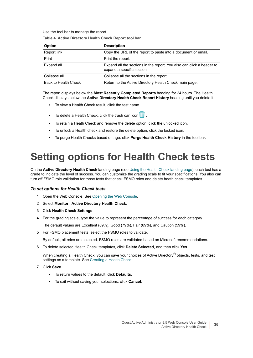Use the tool bar to manage the report.

| <b>Option</b> | <b>Description</b>                                                                                  |
|---------------|-----------------------------------------------------------------------------------------------------|
| Report link   | Copy the URL of the report to paste into a document or email.                                       |
| Print         | Print the report.                                                                                   |
| Expand all    | Expand all the sections in the report. You also can click a header to<br>expand a specific section. |
| Collapse all  | Collapse all the sections in the report.                                                            |

Back to Health Check Return to the Active Directory Health Check main page.

**Table 4. Active Directory Health Check Report tool bar**

The report displays below the **Most Recently Completed Reports** heading for 24 hours. The Health Check displays below the **Active Directory Health Check Report History** heading until you delete it.

- To view a Health Check result, click the test name.
- To delete a Health Check, click the trash can icon **....**
- **▪** To retain a Heath Check and remove the delete option, click the unlocked icon.
- **▪** To unlock a Health check and restore the delete option, click the locked icon.
- **▪** To purge Health Checks based on age, click **Purge Health Check History** in the tool bar.

# <span id="page-35-0"></span>**Setting options for Health Check tests**

On the **Active Directory Health Check** landing page (see [Using the Health Check landing page\)](#page-32-1), each test has a grade to indicate the level of success. You can customize the grading scale to fit your specifications. You also can turn off FSMO role validation for those tests that check FSMO roles and delete heath check templates.

#### *To set options for Health Check tests*

- 1 Open the Web Console. [See Opening the Web Console.](#page-5-2)
- 2 Select **Monitor | Active Directory Health Check**.
- 3 Click **Health Check Settings**.
- 4 For the grading scale, type the value to represent the percentage of success for each category.

The default values are Excellent (89%), Good (79%), Fair (69%), and Caution (59%).

5 For FSMO placement tests, select the FSMO roles to validate.

By default, all roles are selected. FSMO roles are validated based on Microsoft recommendations.

6 To delete selected Health Check templates, click **Delete Selected**, and then click **Yes**.

When creating a Health Check, you can save your choices of Active Directory<sup>®</sup> objects, tests, and test settings as a template. [See Creating a Health Check.](#page-32-2)

- 7 Click **Save**.
	- **▪** To return values to the default, click **Defaults**.
	- **▪** To exit without saving your selections, click **Cancel**.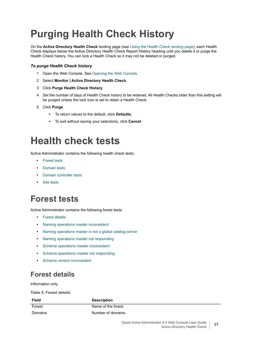# **Purging Health Check History**

On the **Active Directory Health Check** landing page (see [Using the Health Check landing page\)](#page-32-0), each Health Check displays below the Active Directory Health Check Report History heading until you delete it or purge the Health Check history. You can lock a Health Check so it may not be deleted or purged.

### *To purge Health Check history*

- 1 Open the Web Console. [See Opening the Web Console.](#page-5-0)
- 2 Select **Monitor | Active Directory Health Check**.
- 3 Click **Purge Health Check History**.
- 4 Set the number of days of Health Check history to be retained. All Health Checks older than this setting will be purged unless the lock icon is set to retain a Health Check.
- 5 Click **Purge**.
	- **▪** To return values to the default, click **Defaults**.
	- **▪** To exit without saving your selections, click **Cancel**.

# **Health check tests**

Active Administrator contains the following health check tests:

- **•** [Forest tests](#page-36-1)
- **•** [Domain tests](#page-40-1)
- **•** [Domain controller tests](#page-48-0)
- **•** [Site tests](#page-78-0)

# <span id="page-36-1"></span>**Forest tests**

Active Administrator contains the following forest tests:

- **•** [Forest details](#page-36-0)
- **•** [Naming operations master inconsistent](#page-37-0)
- **•** [Naming operations master is not a global catalog server](#page-37-1)
- **•** [Naming operations master not responding](#page-38-0)
- **•** [Schema operations master inconsistent](#page-38-1)
- **•** [Schema operations master not responding](#page-39-0)
- **•** [Schema version inconsistent](#page-40-0)

# <span id="page-36-0"></span>**Forest details**

Information only.

**Table 5. Forest details**

| <b>Field</b> | <b>Description</b>  |
|--------------|---------------------|
| Forest       | Name of the forest. |
| Domains      | Number of domains.  |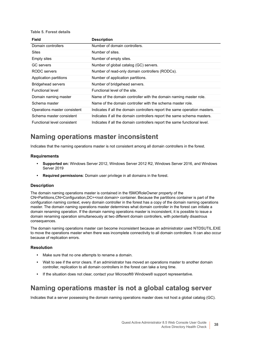#### **Table 5. Forest details**

| Field                        | <b>Description</b>                                                         |
|------------------------------|----------------------------------------------------------------------------|
| Domain controllers           | Number of domain controllers.                                              |
| <b>Sites</b>                 | Number of sites.                                                           |
| <b>Empty sites</b>           | Number of empty sites.                                                     |
| <b>GC</b> servers            | Number of global catalog (GC) servers.                                     |
| RODC servers                 | Number of read-only domain controllers (RODCs).                            |
| Application partitions       | Number of application partitions.                                          |
| <b>Bridgehead servers</b>    | Number of bridgehead servers.                                              |
| <b>Functional level</b>      | Functional level of the site.                                              |
| Domain naming master         | Name of the domain controller with the domain naming master role.          |
| Schema master                | Name of the domain controller with the schema master role.                 |
| Operations master consistent | Indicates if all the domain controllers report the same operation masters. |
| Schema master consistent     | Indicates if all the domain controllers report the same schema masters.    |
| Functional level consistent  | Indicates if all the domain controllers report the same functional level.  |

# <span id="page-37-0"></span>**Naming operations master inconsistent**

Indicates that the naming operations master is not consistent among all domain controllers in the forest.

#### **Requirements**

- **Supported on:** Windows Server 2012, Windows Server 2012 R2, Windows Server 2016, and Windows Server 2019
- **Required permissions**: Domain user privilege in all domains in the forest.

#### **Description**

The domain naming operations master is contained in the fSMORoleOwner property of the CN=Partitions,CN=Configuration,DC=<root domain> container. Because the partitions container is part of the configuration naming context, every domain controller in the forest has a copy of the domain naming operations master. The domain naming operations master determines what domain controller in the forest can initiate a domain renaming operation. If the domain naming operations master is inconsistent, it is possible to issue a domain renaming operation simultaneously at two different domain controllers, with potentially disastrous consequences.

The domain naming operations master can become inconsistent because an administrator used NTDSUTIL.EXE to move the operations master when there was incomplete connectivity to all domain controllers. It can also occur because of replication errors.

#### **Resolution**

- **•** Make sure that no one attempts to rename a domain.
- **•** Wait to see if the error clears. If an administrator has moved an operations master to another domain controller, replication to all domain controllers in the forest can take a long time.
- **•** If the situation does not clear, contact your Microsoft® Windows® support representative.

# <span id="page-37-1"></span>**Naming operations master is not a global catalog server**

Indicates that a server possessing the domain naming operations master does not host a global catalog (GC).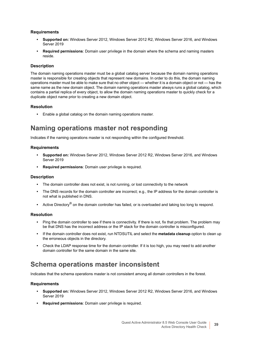### **Requirements**

- **Supported on:** Windows Server 2012, Windows Server 2012 R2, Windows Server 2016, and Windows Server 2019
- **Required permissions**: Domain user privilege in the domain where the schema and naming masters reside.

#### **Description**

The domain naming operations master must be a global catalog server because the domain naming operations master is responsible for creating objects that represent new domains. In order to do this, the domain naming operations master must be able to make sure that no other object — whether it is a domain object or not — has the same name as the new domain object. The domain naming operations master always runs a global catalog, which contains a partial replica of every object, to allow the domain naming operations master to quickly check for a duplicate object name prior to creating a new domain object.

### **Resolution**

**•** Enable a global catalog on the domain naming operations master.

# <span id="page-38-0"></span>**Naming operations master not responding**

Indicates if the naming operations master is not responding within the configured threshold.

#### **Requirements**

- **Supported on:** Windows Server 2012, Windows Server 2012 R2, Windows Server 2016, and Windows Server 2019
- **Required permissions**: Domain user privilege is required.

#### **Description**

- **•** The domain controller does not exist, is not running, or lost connectivity to the network
- **•** The DNS records for the domain controller are incorrect; e.g., the IP address for the domain controller is not what is published in DNS.
- **•** Active Directory® on the domain controller has failed, or is overloaded and taking too long to respond.

#### **Resolution**

- **•** Ping the domain controller to see if there is connectivity. If there is not, fix that problem. The problem may be that DNS has the incorrect address or the IP stack for the domain controller is misconfigured.
- **•** If the domain controller does not exist, run NTDSUTIL and select the **metadata cleanup** option to clean up the erroneous objects in the directory.
- **•** Check the LDAP response time for the domain controller. If it is too high, you may need to add another domain controller for the same domain in the same site.

# <span id="page-38-1"></span>**Schema operations master inconsistent**

Indicates that the schema operations master is not consistent among all domain controllers in the forest.

- **Supported on:** Windows Server 2012, Windows Server 2012 R2, Windows Server 2016, and Windows Server 2019
- **Required permissions**: Domain user privilege is required.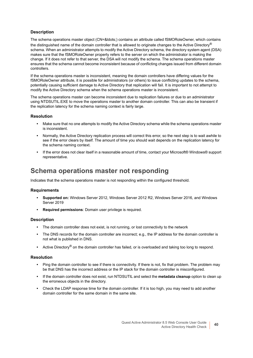The schema operations master object (CN=&ldots;) contains an attribute called fSMORoleOwner, which contains the distinguished name of the domain controller that is allowed to originate changes to the Active Directory® schema. When an administrator attempts to modify the Active Directory schema, the directory system agent (DSA) makes sure that the fSMORoleOwner property refers to the server on which the administrator is making the change. If it does not refer to that server, the DSA will not modify the schema. The schema operations master ensures that the schema cannot become inconsistent because of conflicting changes issued from different domain controllers.

If the schema operations master is inconsistent, meaning the domain controllers have differing values for the fSMORoleOwner attribute, it is possible for administrators (or others) to issue conflicting updates to the schema, potentially causing sufficient damage to Active Directory that replication will fail. It is important to not attempt to modify the Active Directory schema when the schema operations master is inconsistent.

The schema operations master can become inconsistent due to replication failures or due to an administrator using NTDSUTIL.EXE to move the operations master to another domain controller. This can also be transient if the replication latency for the schema naming context is fairly large.

### **Resolution**

- **•** Make sure that no one attempts to modify the Active Directory schema while the schema operations master is inconsistent.
- **•** Normally, the Active Directory replication process will correct this error, so the next step is to wait awhile to see if the error clears by itself. The amount of time you should wait depends on the replication latency for the schema naming context.
- **•** If the error does not clear itself in a reasonable amount of time, contact your Microsoft® Windows® support representative.

# <span id="page-39-0"></span>**Schema operations master not responding**

Indicates that the schema operations master is not responding within the configured threshold.

#### **Requirements**

- **Supported on:** Windows Server 2012, Windows Server 2012 R2, Windows Server 2016, and Windows Server 2010
- **Required permissions**: Domain user privilege is required.

#### **Description**

- **•** The domain controller does not exist, is not running, or lost connectivity to the network
- **•** The DNS records for the domain controller are incorrect; e.g., the IP address for the domain controller is not what is published in DNS.
- Active Directory<sup>®</sup> on the domain controller has failed, or is overloaded and taking too long to respond.

#### **Resolution**

- **•** Ping the domain controller to see if there is connectivity. If there is not, fix that problem. The problem may be that DNS has the incorrect address or the IP stack for the domain controller is misconfigured.
- **•** If the domain controller does not exist, run NTDSUTIL and select the **metadata cleanup** option to clean up the erroneous objects in the directory.
- **•** Check the LDAP response time for the domain controller. If it is too high, you may need to add another domain controller for the same domain in the same site.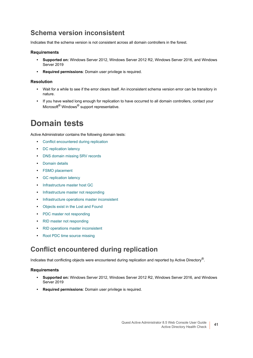# <span id="page-40-0"></span>**Schema version inconsistent**

Indicates that the schema version is not consistent across all domain controllers in the forest.

### **Requirements**

- **Supported on:** Windows Server 2012, Windows Server 2012 R2, Windows Server 2016, and Windows Server 2019
- **Required permissions**: Domain user privilege is required.

### **Resolution**

- **•** Wait for a while to see if the error clears itself. An inconsistent schema version error can be transitory in nature.
- **•** If you have waited long enough for replication to have occurred to all domain controllers, contact your Microsoft<sup>®</sup> Windows<sup>®</sup> support representative.

# <span id="page-40-1"></span>**Domain tests**

Active Administrator contains the following domain tests:

- **•** [Conflict encountered during replication](#page-40-2)
- **•** [DC replication latency](#page-41-0)
- **•** [DNS domain missing SRV records](#page-41-1)
- **•** [Domain details](#page-42-0)
- **•** [FSMO placement](#page-42-1)
- **•** [GC replication latency](#page-43-0)
- **•** [Infrastructure master host GC](#page-43-1)
- **•** [Infrastructure master not responding](#page-44-0)
- **•** [Infrastructure operations master inconsistent](#page-44-1)
- **•** [Objects exist in the Lost and Found](#page-45-0)
- **•** [PDC master not responding](#page-45-1)
- **•** [RID master not responding](#page-46-0)
- **•** [RID operations master inconsistent](#page-47-0)
- **•** [Root PDC time source missing](#page-47-1)

# <span id="page-40-2"></span>**Conflict encountered during replication**

Indicates that conflicting objects were encountered during replication and reported by Active Directory<sup>®</sup>.

- **Supported on:** Windows Server 2012, Windows Server 2012 R2, Windows Server 2016, and Windows Server 2019
- **Required permissions**: Domain user privilege is required.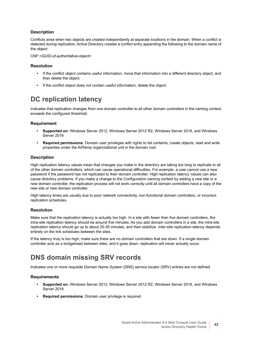Conflicts arise when two objects are created independently at separate locations in the domain. When a conflict is detected during replication, Active Directory creates a conflict entry appending the following to the domain name of the object:

CNF:<GUID-of-authoritative-object>

#### **Resolution**

- **•** If the conflict object contains useful information, move that information into a different directory object, and then delete the object.
- **•** If the conflict object does not contain useful information, delete the object.

# <span id="page-41-0"></span>**DC replication latency**

Indicates that replication changes from one domain controller to all other domain controllers in the naming context exceeds the configured threshold.

#### **Requirement**

- **Supported on:** Windows Server 2012, Windows Server 2012 R2, Windows Server 2016, and Windows Server 2010
- **Required permissions**: Domain user privileges with rights to list contents, create objects, read and write properties under the AATemp organizational unit in the domain root.

#### **Description**

High replication latency values mean that changes you make in the directory are taking too long to replicate to all of the other domain controllers, which can cause operational difficulties. For example, a user cannot use a new password if the password has not replicated to their domain controller. High replication latency values can also cause directory problems. If you make a change to the Configuration naming context by adding a new site or a new domain controller, the replication process will not work correctly until all domain controllers have a copy of the new site or new domain controller.

High latency times are usually due to poor network connectivity, non-functional domain controllers, or incorrect replication schedules.

#### **Resolution**

Make sure that the replication latency is actually too high. In a site with fewer than five domain controllers, the intra-site replication latency should be around five minutes. As you add domain controllers in a site, the intra-site replication latency should go up to about 20-30 minutes, and then stabilize. Inter-site replication latency depends entirely on the link schedules between the sites.

If the latency truly is too high, make sure there are no domain controllers that are down. If a single domain controller acts as a bridgehead between sites, and it goes down, replication will never actually occur.

# <span id="page-41-1"></span>**DNS domain missing SRV records**

Indicates one or more requisite Domain Name System (DNS) service locator (SRV) entries are not defined.

- **Supported on:** Windows Server 2012, Windows Server 2012 R2, Windows Server 2016, and Windows Server 2019
- **Required permissions**: Domain user privilege is required.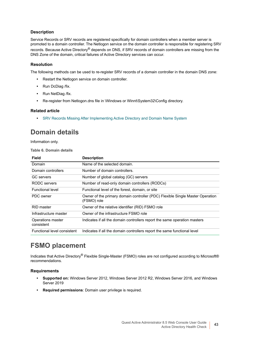Service Records or SRV records are registered specifically for domain controllers when a member server is promoted to a domain controller. The Netlogon service on the domain controller is responsible for registering SRV records. Because Active Directory<sup>®</sup> depends on DNS, if SRV records of domain controllers are missing from the DNS Zone of the domain, critical failures of Active Directory services can occur.

### **Resolution**

The following methods can be used to re-register SRV records of a domain controller in the domain DNS zone:

- **•** Restart the Netlogon service on domain controller.
- **•** Run DcDiag /fix.
- **•** Run NetDiag /fix.
- **•** Re-register from Netlogon.dns file in \Windows or Winnt\System32\Config directory.

#### **Related article**

**•** [SRV Records Missing After Implementing Active Directory and Domain Name System](https://support.microsoft.com/en-us/kb/241505)

# <span id="page-42-0"></span>**Domain details**

Information only.

#### **Table 6. Domain details**

| Field                           | <b>Description</b>                                                                           |
|---------------------------------|----------------------------------------------------------------------------------------------|
| Domain                          | Name of the selected domain.                                                                 |
| Domain controllers              | Number of domain controllers.                                                                |
| <b>GC</b> servers               | Number of global catalog (GC) servers                                                        |
| RODC servers                    | Number of read-only domain controllers (RODCs)                                               |
| <b>Functional level</b>         | Functional level of the forest, domain, or site                                              |
| PDC owner                       | Owner of the primary domain controller (PDC) Flexible Single Master Operation<br>(FSMO) role |
| RID master                      | Owner of the relative identifier (RID) FSMO role                                             |
| Infrastructure master           | Owner of the infrastructure FSMO role                                                        |
| Operations master<br>consistent | Indicates if all the domain controllers report the same operation masters                    |
| Functional level consistent     | Indicates if all the domain controllers report the same functional level                     |

# <span id="page-42-1"></span>**FSMO placement**

Indicates that Active Directory® Flexible Single-Master (FSMO) roles are not configured according to Microsoft® recommendations.

- **Supported on:** Windows Server 2012, Windows Server 2012 R2, Windows Server 2016, and Windows Server 2019
- **Required permissions**: Domain user privilege is required.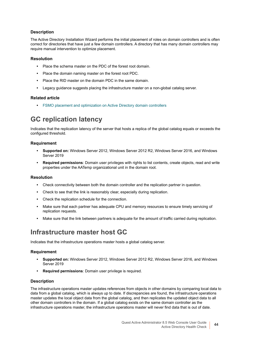The Active Directory Installation Wizard performs the initial placement of roles on domain controllers and is often correct for directories that have just a few domain controllers. A directory that has many domain controllers may require manual intervention to optimize placement.

### **Resolution**

- **•** Place the schema master on the PDC of the forest root domain.
- **•** Place the domain naming master on the forest root PDC.
- **•** Place the RID master on the domain PDC in the same domain.
- **•** Legacy guidance suggests placing the infrastructure master on a non-global catalog server.

### **Related article**

**•** [FSMO placement and optimization on Active Directory domain controllers](https://support.microsoft.com/en-us/kb/223346)

# <span id="page-43-0"></span>**GC replication latency**

Indicates that the replication latency of the server that hosts a replica of the global catalog equals or exceeds the configured threshold.

### **Requirement**

- **Supported on:** Windows Server 2012, Windows Server 2012 R2, Windows Server 2016, and Windows Server 2019
- **Required permissions**: Domain user privileges with rights to list contents, create objects, read and write properties under the AATemp organizational unit in the domain root.

### **Resolution**

- **•** Check connectivity between both the domain controller and the replication partner in question.
- **•** Check to see that the link is reasonably clear, especially during replication.
- **•** Check the replication schedule for the connection.
- Make sure that each partner has adequate CPU and memory resources to ensure timely servicing of replication requests.
- **•** Make sure that the link between partners is adequate for the amount of traffic carried during replication.

# <span id="page-43-1"></span>**Infrastructure master host GC**

Indicates that the infrastructure operations master hosts a global catalog server.

### **Requirement**

- **Supported on:** Windows Server 2012, Windows Server 2012 R2, Windows Server 2016, and Windows Server 2019
- **Required permissions**: Domain user privilege is required.

#### **Description**

The infrastructure operations master updates references from objects in other domains by comparing local data to data from a global catalog, which is always up to date. If discrepancies are found, the infrastructure operations master updates the local object data from the global catalog, and then replicates the updated object data to all other domain controllers in the domain. If a global catalog exists on the same domain controller as the infrastructure operations master, the infrastructure operations master will never find data that is out of date.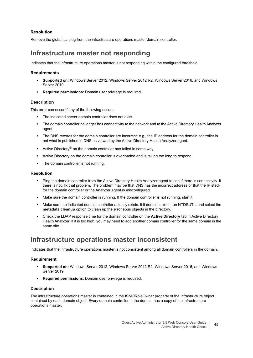### **Resolution**

Remove the global catalog from the infrastructure operations master domain controller.

# <span id="page-44-0"></span>**Infrastructure master not responding**

Indicates that the infrastructure operations master is not responding within the configured threshold.

### **Requirements**

- **Supported on:** Windows Server 2012, Windows Server 2012 R2, Windows Server 2016, and Windows Server 2019
- **Required permissions**: Domain user privilege is required.

### **Description**

This error can occur if any of the following occurs:

- **•** The indicated server domain controller does not exist.
- **•** The domain controller no longer has connectivity to the network and to the Active Directory Health Analyzer agent.
- **•** The DNS records for the domain controller are incorrect; e.g., the IP address for the domain controller is not what is published in DNS as viewed by the Active Directory Health Analyzer agent.
- **•** Active Directory® on the domain controller has failed in some way.
- **•** Active Directory on the domain controller is overloaded and is taking too long to respond.
- **•** The domain controller is not running.

#### **Resolution**

- **•** Ping the domain controller from the Active Directory Health Analyzer agent to see if there is connectivity. If there is not, fix that problem. The problem may be that DNS has the incorrect address or that the IP stack for the domain controller or the Analyzer agent is misconfigured.
- **•** Make sure the domain controller is running. If the domain controller is not running, start it.
- **•** Make sure the indicated domain controller actually exists. If it does not exist, run NTDSUTIL and select the **metadata cleanup** option to clean up the erroneous objects in the directory.
- **•** Check the LDAP response time for the domain controller on the **Active Directory** tab in Active Directory Health Analyzer. If it is too high, you may need to add another domain controller for the same domain in the same site.

# <span id="page-44-1"></span>**Infrastructure operations master inconsistent**

Indicates that the infrastructure operations master is not consistent among all domain controllers in the domain.

#### **Requirement**

- **Supported on:** Windows Server 2012, Windows Server 2012 R2, Windows Server 2016, and Windows Server 2019
- **Required permissions**: Domain user privilege is required.

#### **Description**

The infrastructure operations master is contained in the fSMORoleOwner property of the infrastructure object contained by each domain object. Every domain controller in the domain has a copy of the infrastructure operations master.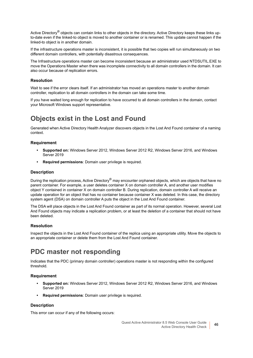Active Directory<sup>®</sup> objects can contain links to other objects in the directory. Active Directory keeps these links upto-date even if the linked-to object is moved to another container or is renamed. This update cannot happen if the linked-to object is in another domain.

If the infrastructure operations master is inconsistent, it is possible that two copies will run simultaneously on two different domain controllers, with potentially disastrous consequences.

The Infrastructure operations master can become inconsistent because an administrator used NTDSUTIL.EXE to move the Operations Master when there was incomplete connectivity to all domain controllers in the domain. It can also occur because of replication errors.

#### **Resolution**

Wait to see if the error clears itself. If an administrator has moved an operations master to another domain controller, replication to all domain controllers in the domain can take some time.

If you have waited long enough for replication to have occurred to all domain controllers in the domain, contact your Microsoft Windows support representative.

# <span id="page-45-0"></span>**Objects exist in the Lost and Found**

Generated when Active Directory Health Analyzer discovers objects in the Lost And Found container of a naming context.

#### **Requirement**

- **Supported on:** Windows Server 2012, Windows Server 2012 R2, Windows Server 2016, and Windows Server 2019
- **Required permissions**: Domain user privilege is required.

#### **Description**

During the replication process, Active Directory® may encounter orphaned objects, which are objects that have no parent container. For example, a user deletes container X on domain controller A, and another user modifies object Y contained in container X on domain controller B. During replication, domain controller A will receive an update operation for an object that has no container because container X was deleted. In this case, the directory system agent (DSA) on domain controller A puts the object in the Lost And Found container.

The DSA will place objects in the Lost And Found container as part of its normal operation. However, several Lost And Found objects may indicate a replication problem, or at least the deletion of a container that should not have been deleted.

#### **Resolution**

Inspect the objects in the Lost And Found container of the replica using an appropriate utility. Move the objects to an appropriate container or delete them from the Lost And Found container.

# <span id="page-45-1"></span>**PDC master not responding**

Indicates that the PDC (primary domain controller) operations master is not responding within the configured threshold.

#### **Requirement**

- **Supported on:** Windows Server 2012, Windows Server 2012 R2, Windows Server 2016, and Windows Server 2019
- **Required permissions**: Domain user privilege is required.

#### **Description**

This error can occur if any of the following occurs: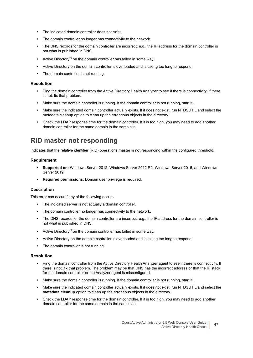- **•** The indicated domain controller does not exist.
- **•** The domain controller no longer has connectivity to the network.
- **•** The DNS records for the domain controller are incorrect; e.g., the IP address for the domain controller is not what is published in DNS.
- **•** Active Directory® on the domain controller has failed in some way.
- **•** Active Directory on the domain controller is overloaded and is taking too long to respond.
- **•** The domain controller is not running.

#### **Resolution**

- **•** Ping the domain controller from the Active Directory Health Analyzer to see if there is connectivity. If there is not, fix that problem.
- **•** Make sure the domain controller is running. If the domain controller is not running, start it.
- **•** Make sure the indicated domain controller actually exists. If it does not exist, run NTDSUTIL and select the metadata cleanup option to clean up the erroneous objects in the directory.
- **•** Check the LDAP response time for the domain controller. If it is too high, you may need to add another domain controller for the same domain in the same site.

# <span id="page-46-0"></span>**RID master not responding**

Indicates that the relative identifier (RID) operations master is not responding within the configured threshold.

#### **Requirement**

- **Supported on:** Windows Server 2012, Windows Server 2012 R2, Windows Server 2016, and Windows Server 2019
- **Required permissions**: Domain user privilege is required.

#### **Description**

This error can occur if any of the following occurs:

- **•** The indicated server is not actually a domain controller.
- **•** The domain controller no longer has connectivity to the network.
- **•** The DNS records for the domain controller are incorrect; e.g., the IP address for the domain controller is not what is published in DNS.
- **•** Active Directory® on the domain controller has failed in some way.
- **•** Active Directory on the domain controller is overloaded and is taking too long to respond.
- **•** The domain controller is not running.

#### **Resolution**

- **•** Ping the domain controller from the Active Directory Health Analyzer agent to see if there is connectivity. If there is not, fix that problem. The problem may be that DNS has the incorrect address or that the IP stack for the domain controller or the Analyzer agent is misconfigured.
- **•** Make sure the domain controller is running. If the domain controller is not running, start it.
- **•** Make sure the indicated domain controller actually exists. If it does not exist, run NTDSUTIL and select the **metadata cleanup** option to clean up the erroneous objects in the directory.
- **•** Check the LDAP response time for the domain controller. If it is too high, you may need to add another domain controller for the same domain in the same site.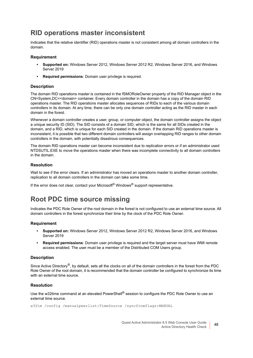# <span id="page-47-0"></span>**RID operations master inconsistent**

Indicates that the relative identifier (RID) operations master is not consistent among all domain controllers in the domain.

### **Requirement**

- **Supported on:** Windows Server 2012, Windows Server 2012 R2, Windows Server 2016, and Windows Server 2019
- **Required permissions**: Domain user privilege is required.

#### **Description**

The domain RID operations master is contained in the fSMORoleOwner property of the RID Manager object in the CN=System,DC=<domain> container. Every domain controller in the domain has a copy of the domain RID operations master. The RID operations master allocates sequences of RIDs to each of the various domain controllers in its domain. At any time, there can be only one domain controller acting as the RID master in each domain in the forest.

Whenever a domain controller creates a user, group, or computer object, the domain controller assigns the object a unique security ID (SID). The SID consists of a domain SID, which is the same for all SIDs created in the domain, and a RID, which is unique for each SID created in the domain. If the domain RID operations master is inconsistent, it is possible that two different domain controllers will assign overlapping RID ranges to other domain controllers in the domain, with potentially disastrous consequences.

The domain RID operations master can become inconsistent due to replication errors or if an administrator used NTDSUTIL.EXE to move the operations master when there was incomplete connectivity to all domain controllers in the domain.

#### **Resolution**

Wait to see if the error clears. If an administrator has moved an operations master to another domain controller, replication to all domain controllers in the domain can take some time.

If the error does not clear, contact your Microsoft<sup>®</sup> Windows<sup>®</sup> support representative.

# <span id="page-47-1"></span>**Root PDC time source missing**

Indicates the PDC Role Owner of the root domain in the forest is not configured to use an external time source. All domain controllers in the forest synchronize their time by the clock of the PDC Role Owner.

#### **Requirement**

- **Supported on:** Windows Server 2012, Windows Server 2012 R2, Windows Server 2016, and Windows Server 2019
- **Required permissions**: Domain user privilege is required and the target server must have WMI remote access enabled. The user must be a member of the Distributed COM Users group.

#### **Description**

Since Active Directory<sup>®</sup>, by default, sets all the clocks on all of the domain controllers in the forest from the PDC Role Owner of the root domain, it is recommended that the domain controller be configured to synchronize its time with an external time source.

#### **Resolution**

Use the w32time command at an elevated PowerShell<sup>®</sup> session to configure the PDC Role Owner to use an external time source.

w32tm /config /manualpeerlist:TimeSource /syncfromflags:MANUAL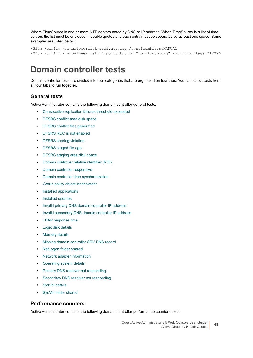Where TimeSource is one or more NTP servers noted by DNS or IP address. When TimeSource is a list of time servers the list must be enclosed in double quotes and each entry must be separated by at least one space. Some examples are listed below:

```
w32tm /config /manualpeerlist:pool.ntp.org /syncfromflags:MANUAL
w32tm /config /manualpeerlist:"1.pool.ntp.org 2.pool.ntp.org" /syncfromflags:MANUAL
```
# <span id="page-48-0"></span>**Domain controller tests**

Domain controller tests are divided into four categories that are organized on four tabs. You can select tests from all four tabs to run together.

# **General tests**

Active Administrator contains the following domain controller general tests:

- **•** [Consecutive replication failures threshold exceeded](#page-51-0)
- **•** [DFSRS conflict area disk space](#page-55-0)
- **•** [DFSRS conflict files generated](#page-55-1)
- **•** [DFSRS RDC is not enabled](#page-56-0)
- **•** [DFSRS sharing violation](#page-56-1)
- **•** [DFSRS staged file age](#page-57-0)
- **•** [DFSRS staging area disk space](#page-58-0)
- **•** [Domain controller relative identifier \(RID\)](#page-59-0)
- **•** [Domain controller responsive](#page-60-0)
- **•** [Domain controller time synchronization](#page-60-1)
- **•** [Group policy object inconsistent](#page-63-0)
- **•** [Installed applications](#page-63-1)
- **•** [Installed updates](#page-63-2)
- **•** [Invalid primary DNS domain controller IP address](#page-64-0)
- **•** [Invalid secondary DNS domain controller IP address](#page-64-1)
- **•** [LDAP response time](#page-65-0)
- **•** [Logic disk details](#page-66-0)
- **•** [Memory details](#page-68-0)
- **•** [Missing domain controller SRV DNS record](#page-69-0)
- **•** [NetLogon folder shared](#page-70-0)
- **•** [Network adapter information](#page-72-0)
- **•** [Operating system details](#page-74-0)
- **•** [Primary DNS resolver not responding](#page-74-1)
- **•** [Secondary DNS resolver not responding](#page-75-0)
- **•** [SysVol details](#page-76-0)
- **•** [SysVol folder shared](#page-76-1)

# **Performance counters**

Active Administrator contains the following domain controller performance counters tests: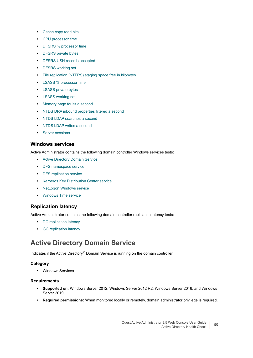- **•** [Cache copy read hits](#page-50-0)
- **•** [CPU processor time](#page-52-0)
- **•** [DFSRS % processor time](#page-54-0)
- **•** [DFSRS private bytes](#page-56-2)
- **•** [DFSRS USN records accepted](#page-58-1)
- **•** [DFSRS working set](#page-59-1)
- **•** [File replication \(NTFRS\) staging space free in kilobytes](#page-61-0)
- **•** [LSASS % processor time](#page-66-1)
- **•** [LSASS private bytes](#page-67-0)
- **•** [LSASS working set](#page-67-1)
- **•** [Memory page faults a second](#page-68-1)
- **•** [NTDS DRA inbound properties filtered a second](#page-72-1)
- **•** [NTDS LDAP searches a second](#page-73-0)
- **•** [NTDS LDAP writes a second](#page-74-2)
- **•** [Server sessions](#page-75-1)

### **Windows services**

Active Administrator contains the following domain controller Windows services tests:

- **•** [Active Directory Domain Service](#page-49-0)
- **•** [DFS namespace service](#page-53-0)
- **•** [DFS replication service](#page-54-1)
- **•** [Kerberos Key Distribution Center service](#page-65-1)
- **•** [NetLogon Windows service](#page-71-0)
- **•** [Windows Time service](#page-78-1)

# **Replication latency**

Active Administrator contains the following domain controller replication latency tests:

- **•** [DC replication latency](#page-41-0)
- **•** [GC replication latency](#page-43-0)

# <span id="page-49-0"></span>**Active Directory Domain Service**

Indicates if the Active Directory® Domain Service is running on the domain controller.

#### **Category**

**•** Windows Services

- **Supported on:** Windows Server 2012, Windows Server 2012 R2, Windows Server 2016, and Windows Server 2019
- **Required permissions:** When monitored locally or remotely, domain administrator privilege is required.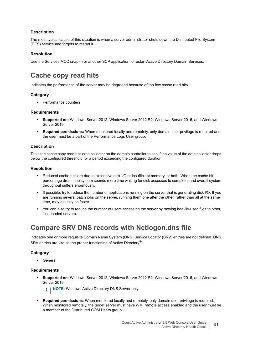The most typical cause of this situation is when a server administrator shuts down the Distributed File System (DFS) service and forgets to restart it.

### **Resolution**

Use the Services MCC snap-in or another SCP application to restart Active Directory Domain Services.

# <span id="page-50-0"></span>**Cache copy read hits**

Indicates the performance of the server may be degraded because of too few cache read hits.

# **Category**

**•** Performance counters

### **Requirements**

- **Supported on:** Windows Server 2012, Windows Server 2012 R2, Windows Server 2016, and Windows Server 2019
- **Required permissions:** When monitored locally and remotely, only domain user privilege is required and the user must be a part of the Performance Logs User group.

### **Description**

Tests the cache copy read hits data collector on the domain controller to see if the value of the data collector drops below the configured threshold for a period exceeding the configured duration.

### **Resolution**

- **•** Reduced cache hits are due to excessive disk I/O or insufficient memory, or both. When the cache hit percentage drops, the system spends more time waiting for disk accesses to complete, and overall system throughput suffers enormously.
- **•** If possible, try to reduce the number of applications running on the server that is generating disk I/O. If you are running several batch jobs on the server, running them one after the other, rather than all at the same time, may actually be faster.
- **•** You can also try to reduce the number of users accessing the server by moving heavily-used files to other, less-loaded servers.

# **Compare SRV DNS records with Netlogon.dns file**

Indicates one or more requisite Domain Name System (DNS) Service Locator (SRV) entries are not defined. DNS SRV entries are vital to the proper functioning of Active Directory®.

# **Category**

**•** General

### **Requirements**

**• Supported on:** Windows Server 2012, Windows Server 2012 R2, Windows Server 2016, and Windows Server 2019

**i** | NOTE: Windows Active Directory DNS Server only.

**• Required permissions**: When monitored locally and remotely, only domain user privilege is required. When monitored remotely, the target server must have WMI remote access enabled and the user must be a member of the Distributed COM Users group.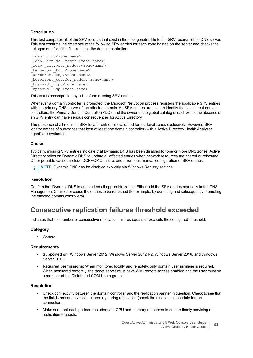This test compares all of the SRV records that exist in the netlogon.dns file to the SRV records int he DNS server. This test confirms the existence of the following SRV entries for each zone hosted on the server and checks the netlogon.dns file if the file exists on the domain controller:

```
_ldap._tcp.<zone-name>
_ldap._tcp.dc._msdcs.<zone-name>
ldap. tcp.pdc. msdcs.<zone-name>
_kerberos._tcp.<zone-name>
_kerberos._udp.<zone-name>
kerberos. tcp.dc. msdcs.<zone-name>
_kpasswd._tcp.<zone-name>
_kpasswd._udp.<zone-name>
```
This test is accompanied by a list of the missing SRV entries.

Whenever a domain controller is promoted, the Microsoft NetLogon process registers the applicable SRV entries with the primary DNS server of the affected domain. As SRV entries are used to identify the constituent domain controllers, the Primary Domain Controller(PDC), and the owner of the global catalog of each zone, the absence of an SRV entry can have serious consequences for Active Directory.

The presence of all requisite SRV locator entries is evaluated for top-level zones exclusively. However, SRV locator entries of sub-zones that host at least one domain controller (with a Active Directory Health Analyzer agent) are evaluated.

#### **Cause**

Typically, missing SRV entries indicate that Dynamic DNS has been disabled for one or more DNS zones. Active Directory relies on Dynamic DNS to update all affected entries when network resources are altered or relocated. Other possible causes include DCPROMO failure, and erroneous manual configuration of SRV entries.

**i** | NOTE: Dynamic DNS can be disabled explicitly via Windows Registry settings.

#### **Resolution**

Confirm that Dynamic DNS is enabled on all applicable zones. Either add the SRV entries manually in the DNS Management Console or cause the entries to be refreshed (for example, by demoting and subsequently promoting the effected domain controllers).

# <span id="page-51-0"></span>**Consecutive replication failures threshold exceeded**

Indicates that the number of consecutive replication failures equals or exceeds the configured threshold.

#### **Category**

**•** General

#### **Requirements**

- **Supported on:** Windows Server 2012, Windows Server 2012 R2, Windows Server 2016, and Windows Server 2019
- **Required permissions:** When monitored locally and remotely, only domain user privilege is required. When monitored remotely, the target server must have WMI remote access enabled and the user must be a member of the Distributed COM Users group.

#### **Resolution**

- **•** Check connectivity between the domain controller and the replication partner in question. Check to see that the link is reasonably clear, especially during replication (check the replication schedule for the connection).
- **•** Make sure that each partner has adequate CPU and memory resources to ensure timely servicing of replication requests.

Quest Active Administrator 8.5 Web Console User Guide Active Directory Health Check **<sup>52</sup>**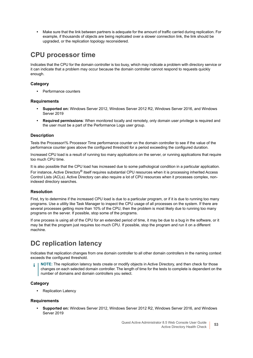**•** Make sure that the link between partners is adequate for the amount of traffic carried during replication. For example, if thousands of objects are being replicated over a slower connection link, the link should be upgraded, or the replication topology reconsidered.

# <span id="page-52-0"></span>**CPU processor time**

Indicates that the CPU for the domain controller is too busy, which may indicate a problem with directory service or it can indicate that a problem may occur because the domain controller cannot respond to requests quickly enough.

### **Category**

**•** Performance counters

### **Requirements**

- **Supported on:** Windows Server 2012, Windows Server 2012 R2, Windows Server 2016, and Windows Server 2019
- **Required permissions**: When monitored locally and remotely, only domain user privilege is required and the user must be a part of the Performance Logs user group.

### **Description**

Tests the Processor\% Processor Time performance counter on the domain controller to see if the value of the performance counter goes above the configured threshold for a period exceeding the configured duration.

Increased CPU load is a result of running too many applications on the server, or running applications that require too much CPU time.

It is also possible that the CPU load has increased due to some pathological condition in a particular application. For instance, Active Directory<sup>®</sup> itself requires substantial CPU resources when it is processing inherited Access Control Lists (ACLs). Active Directory can also require a lot of CPU resources when it processes complex, nonindexed directory searches.

### **Resolution**

First, try to determine if the increased CPU load is due to a particular program, or if it is due to running too many programs. Use a utility like Task Manager to inspect the CPU usage of all processes on the system. If there are several processes getting more than 10% of the CPU, then the problem is most likely due to running too many programs on the server. If possible, stop some of the programs.

If one process is using all of the CPU for an extended period of time, it may be due to a bug in the software, or it may be that the program just requires too much CPU. If possible, stop the program and run it on a different machine.

# **DC replication latency**

Indicates that replication changes from one domain controller to all other domain controllers in the naming context exceeds the configured threshold.

**NOTE:** The replication latency tests create or modify objects in Active Directory, and then check for those changes on each selected domain controller. The length of time for the tests to complete is dependent on the number of domains and domain controllers you select.

### **Category**

**•** Replication Latency

#### **Requirements**

**• Supported on:** Windows Server 2012, Windows Server 2012 R2, Windows Server 2016, and Windows Server 2019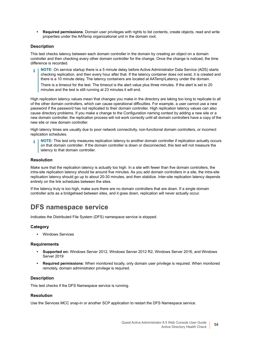**• Required permissions**: Domain user privileges with rights to list contents, create objects, read and write properties under the AATemp organizational unit in the domain root.

### **Description**

This test checks latency between each domain controller in the domain by creating an object on a domain controller and then checking every other domain controller for the change. Once the change is noticed, the time difference is recorded.

**NOTE:** On service startup there is a 5 minute delay before Active Administrator Data Service (ADS) starts checking replication, and then every hour after that. If the latency container does not exist, it is created and there is a 10 minute delay. The latency containers are located at AATemp\Latency under the domain.

There is a timeout for the test. The timeout is the alert value plus three minutes. If the alert is set to 20 minutes and the test is still running at 23 minutes it will end.

High replication latency values mean that changes you make in the directory are taking too long to replicate to all of the other domain controllers, which can cause operational difficulties. For example, a user cannot use a new password if the password has not replicated to their domain controller. High replication latency values can also cause directory problems. If you make a change to the Configuration naming context by adding a new site or a new domain controller, the replication process will not work correctly until all domain controllers have a copy of the new site or new domain controller.

High latency times are usually due to poor network connectivity, non-functional domain controllers, or incorrect replication schedules.

**NOTE:** This test only measures replication latency to another domain controller if replication actually occurs on that domain controller. If the domain controller is down or disconnected, this test will not measure the latency to that domain controller.

### **Resolution**

Make sure that the replication latency is actually too high. In a site with fewer than five domain controllers, the intra-site replication latency should be around five minutes. As you add domain controllers in a site, the intra-site replication latency should go up to about 20-30 minutes, and then stabilize. Inter-site replication latency depends entirely on the link schedules between the sites.

If the latency truly is too high, make sure there are no domain controllers that are down. If a single domain controller acts as a bridgehead between sites, and it goes down, replication will never actually occur.

# <span id="page-53-0"></span>**DFS namespace service**

Indicates the Distributed File System (DFS) namespace service is stopped.

### **Category**

**•** Windows Services

#### **Requirements**

- **Supported on:** Windows Server 2012, Windows Server 2012 R2, Windows Server 2016, and Windows Server 2019
- **Required permissions**: When monitored locally, only domain user privilege is required. When monitored remotely, domain administrator privilege is required.

#### **Description**

This test checks if the DFS Namespace service is running.

#### **Resolution**

Use the Services MCC snap-in or another SCP application to restart the DFS Namespace service.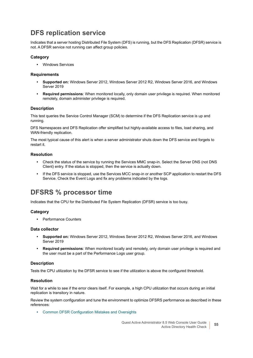# <span id="page-54-1"></span>**DFS replication service**

Indicates that a server hosting Distributed File System (DFS) is running, but the DFS Replication (DFSR) service is not. A DFSR service not running can affect group policies.

### **Category**

**•** Windows Services

### **Requirements**

- **Supported on:** Windows Server 2012, Windows Server 2012 R2, Windows Server 2016, and Windows Server 2019
- **Required permissions**: When monitored locally, only domain user privilege is required. When monitored remotely, domain administer privilege is required.

### **Description**

This test queries the Service Control Manager (SCM) to determine if the DFS Replication service is up and running.

DFS Namespaces and DFS Replication offer simplified but highly-available access to files, load sharing, and WAN-friendly replication.

The most typical cause of this alert is when a server administrator shuts down the DFS service and forgets to restart it.

### **Resolution**

- **•** Check the status of the service by running the Services MMC snap-in. Select the Server DNS (not DNS Client) entry. If the status is stopped, then the service is actually down.
- **•** If the DFS service is stopped, use the Services MCC snap-in or another SCP application to restart the DFS Service. Check the Event Logs and fix any problems indicated by the logs.

# <span id="page-54-0"></span>**DFSRS % processor time**

Indicates that the CPU for the Distributed File System Replication (DFSR) service is too busy.

### **Category**

**•** Performance Counters

#### **Data collector**

- **Supported on:** Windows Server 2012, Windows Server 2012 R2, Windows Server 2016, and Windows Server 2019
- **Required permissions**: When monitored locally and remotely, only domain user privilege is required and the user must be a part of the Performance Logs user group.

### **Description**

Tests the CPU utilization by the DFSR service to see if the utilization is above the configured threshold.

#### **Resolution**

Wait for a while to see if the error clears itself. For example, a high CPU utilization that occurs during an initial replication is transitory in nature.

Review the system configuration and tune the environment to optimize DFSRS performance as described in these references:

**•** [Common DFSR Configuration Mistakes and Oversights](https://blogs.technet.microsoft.com/askds/2010/11/01/common-dfsr-configuration-mistakes-and-oversights/)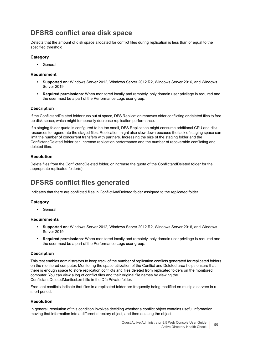# <span id="page-55-0"></span>**DFSRS conflict area disk space**

Detects that the amount of disk space allocated for conflict files during replication is less than or equal to the specified threshold.

### **Category**

**•** General

### **Requirement**

- **Supported on:** Windows Server 2012, Windows Server 2012 R2, Windows Server 2016, and Windows Server 2019
- **Required permissions**: When monitored locally and remotely, only domain user privilege is required and the user must be a part of the Performance Logs user group.

### **Description**

If the ConflictandDeleted folder runs out of space, DFS Replication removes older conflicting or deleted files to free up disk space, which might temporarily decrease replication performance.

If a staging folder quota is configured to be too small, DFS Replication might consume additional CPU and disk resources to regenerate the staged files. Replication might also slow down because the lack of staging space can limit the number of concurrent transfers with partners. Increasing the size of the staging folder and the ConflictandDeleted folder can increase replication performance and the number of recoverable conflicting and deleted files.

### **Resolution**

Delete files from the ConflictandDeleted folder, or increase the quota of the ConflictandDeleted folder for the appropriate replicated folder(s).

# <span id="page-55-1"></span>**DFSRS conflict files generated**

Indicates that there are conflicted files in ConflictAndDeleted folder assigned to the replicated folder.

### **Category**

**•** General

#### **Requirements**

- **Supported on:** Windows Server 2012, Windows Server 2012 R2, Windows Server 2016, and Windows Server 2019
- **Required permissions**: When monitored locally and remotely, only domain user privilege is required and the user must be a part of the Performance Logs user group.

#### **Description**

This test enables administrators to keep track of the number of replication conflicts generated for replicated folders on the monitored computer. Monitoring the space utilization of the Conflict and Deleted area helps ensure that there is enough space to store replication conflicts and files deleted from replicated folders on the monitored computer. You can view a log of conflict files and their original file names by viewing the ConflictandDeletedManifest.xml file in the DfsrPrivate folder.

Frequent conflicts indicate that files in a replicated folder are frequently being modified on multiple servers in a short period.

### **Resolution**

In general, resolution of this condition involves deciding whether a conflict object contains useful information, moving that information into a different directory object, and then deleting the object.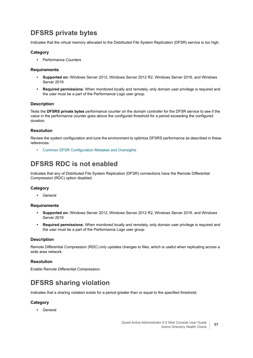# <span id="page-56-2"></span>**DFSRS private bytes**

Indicates that the virtual memory allocated to the Distributed File System Replication (DFSR) service is too high.

### **Category**

**•** Performance Counters

#### **Requirements**

- **Supported on:** Windows Server 2012, Windows Server 2012 R2, Windows Server 2016, and Windows Server 2019
- **Required permissions**: When monitored locally and remotely, only domain user privilege is required and the user must be a part of the Performance Logs user group.

#### **Description**

Tests the **DFSRS private bytes** performance counter on the domain controller for the DFSR service to see if the value in the performance counter goes above the configured threshold for a period exceeding the configured duration.

#### **Resolution**

Review the system configuration and tune the environment to optimize DFSRS performance as described in these references:

**•** [Common DFSR Configuration Mistakes and Oversights](https://blogs.technet.microsoft.com/askds/2010/11/01/common-dfsr-configuration-mistakes-and-oversights/)

# <span id="page-56-0"></span>**DFSRS RDC is not enabled**

Indicates that any of Distributed File System Replication (DFSR) connections have the Remote Differential Compression (RDC) option disabled.

#### **Category**

**•** General

#### **Requirements**

- **Supported on:** Windows Server 2012, Windows Server 2012 R2, Windows Server 2016, and Windows Server 2019
- **Required permissions**: When monitored locally and remotely, only domain user privilege is required and the user must be a part of the Performance Logs user group.

#### **Description**

Remote Differential Compression (RDC) only updates changes to files, which is useful when replicating across a wide area network.

#### **Resolution**

Enable Remote Differential Compression.

# <span id="page-56-1"></span>**DFSRS sharing violation**

Indicates that a sharing violation exists for a period greater than or equal to the specified threshold.

#### **Category**

**•** General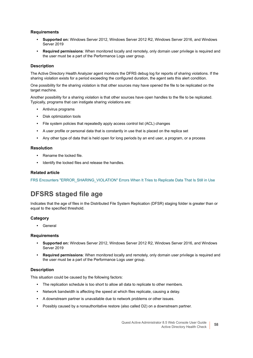### **Requirements**

- **Supported on:** Windows Server 2012, Windows Server 2012 R2, Windows Server 2016, and Windows Server 2019
- **Required permissions**: When monitored locally and remotely, only domain user privilege is required and the user must be a part of the Performance Logs user group.

#### **Description**

The Active Directory Health Analyzer agent monitors the DFRS debug log for reports of sharing violations. If the sharing violation exists for a period exceeding the configured duration, the agent sets this alert condition.

One possibility for the sharing violation is that other sources may have opened the file to be replicated on the target machine.

Another possibility for a sharing violation is that other sources have open handles to the file to be replicated. Typically, programs that can instigate sharing violations are:

- **•** Antivirus programs
- **•** Disk optimization tools
- **•** File system policies that repeatedly apply access control list (ACL) changes
- **•** A user profile or personal data that is constantly in use that is placed on the replica set
- **•** Any other type of data that is held open for long periods by an end user, a program, or a process

#### **Resolution**

- **•** Rename the locked file.
- **•** Identify the locked files and release the handles.

#### **Related article**

[FRS Encounters "ERROR\\_SHARING\\_VIOLATION" Errors When It Tries to Replicate Data That Is Still in Use](https://support.microsoft.com/sr-latn-rs/kb/822300)

# <span id="page-57-0"></span>**DFSRS staged file age**

Indicates that the age of files in the Distributed File System Replication (DFSR) staging folder is greater than or equal to the specified threshold.

#### **Category**

**•** General

#### **Requirements**

- **Supported on:** Windows Server 2012, Windows Server 2012 R2, Windows Server 2016, and Windows Server 2019
- **Required permissions**: When monitored locally and remotely, only domain user privilege is required and the user must be a part of the Performance Logs user group.

#### **Description**

This situation could be caused by the following factors:

- **•** The replication schedule is too short to allow all data to replicate to other members.
- **•** Network bandwidth is affecting the speed at which files replicate, causing a delay.
- **•** A downstream partner is unavailable due to network problems or other issues.
- **•** Possibly caused by a nonauthoritative restore (also called D2) on a downstream partner.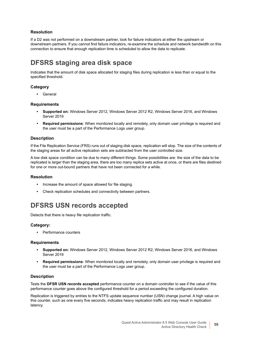# **Resolution**

If a D2 was not performed on a downstream partner, look for failure indicators at either the upstream or downstream partners. If you cannot find failure indicators, re-examine the schedule and network bandwidth on this connection to ensure that enough replication time is scheduled to allow the data to replicate.

# <span id="page-58-0"></span>**DFSRS staging area disk space**

Indicates that the amount of disk space allocated for staging files during replication is less than or equal to the specified threshold.

### **Category**

**•** General

#### **Requirements**

- **Supported on:** Windows Server 2012, Windows Server 2012 R2, Windows Server 2016, and Windows Server 2019
- **Required permissions**: When monitored locally and remotely, only domain user privilege is required and the user must be a part of the Performance Logs user group.

### **Description**

If the File Replication Service (FRS) runs out of staging disk space, replication will stop. The size of the contents of the staging areas for all active replication sets are subtracted from the user controlled size.

A low disk space condition can be due to many different things. Some possibilities are: the size of the data to be replicated is larger than the staging area, there are too many replica sets active at once, or there are files destined for one or more out-bound partners that have not been connected for a while.

### **Resolution**

- **•** Increase the amount of space allowed for file staging.
- **•** Check replication schedules and connectivity between partners.

# <span id="page-58-1"></span>**DFSRS USN records accepted**

Detects that there is heavy file replication traffic.

#### **Category:**

**•** Performance counters

#### **Requirements**

- **Supported on:** Windows Server 2012, Windows Server 2012 R2, Windows Server 2016, and Windows Server 2019
- **Required permissions**: When monitored locally and remotely, only domain user privilege is required and the user must be a part of the Performance Logs user group.

#### **Description**

Tests the **DFSR USN records accepted** performance counter on a domain controller to see if the value of this performance counter goes above the configured threshold for a period exceeding the configured duration.

Replication is triggered by entries to the NTFS update sequence number (USN) change journal. A high value on this counter, such as one every five seconds, indicates heavy replication traffic and may result in replication latency.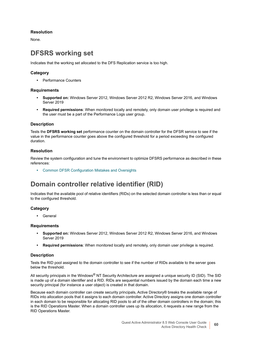### **Resolution**

None.

# <span id="page-59-1"></span>**DFSRS working set**

Indicates that the working set allocated to the DFS Replication service is too high.

# **Category**

**•** Performance Counters

### **Requirements**

- **Supported on:** Windows Server 2012, Windows Server 2012 R2, Windows Server 2016, and Windows Server 2019
- **Required permissions**: When monitored locally and remotely, only domain user privilege is required and the user must be a part of the Performance Logs user group.

### **Description**

Tests the **DFSRS working set** performance counter on the domain controller for the DFSR service to see if the value in the performance counter goes above the configured threshold for a period exceeding the configured duration.

### **Resolution**

Review the system configuration and tune the environment to optimize DFSRS performance as described in these references:

**•** [Common DFSR Configuration Mistakes and Oversights](https://blogs.technet.microsoft.com/askds/2010/11/01/common-dfsr-configuration-mistakes-and-oversights/)

# <span id="page-59-0"></span>**Domain controller relative identifier (RID)**

Indicates that the available pool of relative identifiers (RIDs) on the selected domain controller is less than or equal to the configured threshold.

### **Category**

**•** General

### **Requirements**

- **Supported on:** Windows Server 2012, Windows Server 2012 R2, Windows Server 2016, and Windows Server 2019
- **Required permissions**: When monitored locally and remotely, only domain user privilege is required.

#### **Description**

Tests the RID pool assigned to the domain controller to see if the number of RIDs available to the server goes below the threshold.

All security principals in the Windows<sup>®</sup> NT Security Architecture are assigned a unique security ID (SID). The SID is made up of a domain identifier and a RID. RIDs are sequential numbers issued by the domain each time a new security principal (for instance a user object) is created in that domain.

Because each domain controller can create security principals, Active Directory® breaks the available range of RIDs into allocation pools that it assigns to each domain controller. Active Directory assigns one domain controller in each domain to be responsible for allocating RID pools to all of the other domain controllers in the domain; this is the RID Operations Master. When a domain controller uses up its allocation, it requests a new range from the RID Operations Master.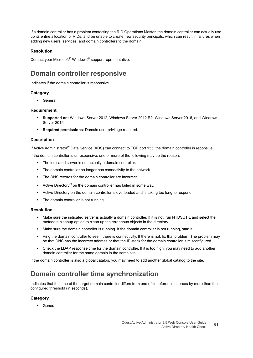If a domain controller has a problem contacting the RID Operations Master, the domain controller can actually use up its entire allocation of RIDs, and be unable to create new security principals, which can result in failures when adding new users, services, and domain controllers to the domain.

### **Resolution**

Contact your Microsoft® Windows® support representative.

# <span id="page-60-0"></span>**Domain controller responsive**

Indicates if the domain controller is responsive.

# **Category**

**•** General

### **Requirement**

- **Supported on:** Windows Server 2012, Windows Server 2012 R2, Windows Server 2016, and Windows Server 2019
- **Required permissions**: Domain user privilege required.

### **Description**

If Active Administrator® Data Service (ADS) can connect to TCP port 135, the domain controller is reponsive.

If the domain controller is unresponsive, one or more of the following may be the reason:

- **•** The indicated server is not actually a domain controller.
- **•** The domain controller no longer has connectivity to the network.
- **•** The DNS records for the domain controller are incorrect.
- **•** Active Directory® on the domain controller has failed in some way.
- **•** Active Directory on the domain controller is overloaded and is taking too long to respond.
- **•** The domain controller is not running.

#### **Resolution**

- **•** Make sure the indicated server is actually a domain controller. If it is not, run NTDSUTIL and select the metadata cleanup option to clean up the erroneous objects in the directory.
- **•** Make sure the domain controller is running. If the domain controller is not running, start it.
- **•** Ping the domain controller to see if there is connectivity. If there is not, fix that problem. The problem may be that DNS has the incorrect address or that the IP stack for the domain controller is misconfigured.
- **•** Check the LDAP response time for the domain controller. If it is too high, you may need to add another domain controller for the same domain in the same site.

If the domain controller is also a global catalog, you may need to add another global catalog to the site.

# <span id="page-60-1"></span>**Domain controller time synchronization**

Indicates that the time of the target domain controller differs from one of its reference sources by more than the configured threshold (in seconds).

### **Category**

**•** General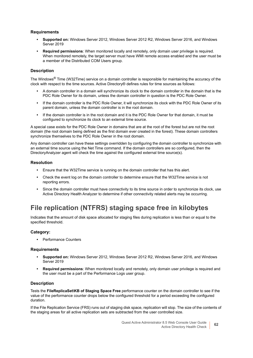### **Requirements**

- **Supported on:** Windows Server 2012, Windows Server 2012 R2, Windows Server 2016, and Windows Server 2019
- **Required permissions**: When monitored locally and remotely, only domain user privilege is required. When monitored remotely, the target server must have WMI remote access enabled and the user must be a member of the Distributed COM Users group.

### **Description**

The Windows<sup>®</sup> Time (W32Time) service on a domain controller is responsible for maintaining the accuracy of the clock with respect to the time sources. Active Directory® defines rules for time sources as follows:

- **•** A domain controller in a domain will synchronize its clock to the domain controller in the domain that is the PDC Role Owner for its domain, unless the domain controller in question is the PDC Role Owner.
- **•** If the domain controller is the PDC Role Owner, it will synchronize its clock with the PDC Role Owner of its parent domain, unless the domain controller is in the root domain.
- **•** If the domain controller is in the root domain and it is the PDC Role Owner for that domain, it must be configured to synchronize its clock to an external time source.

A special case exists for the PDC Role Owner in domains that are at the root of the forest but are not the root domain (the root domain being defined as the first domain ever created in the forest). These domain controllers synchronize themselves to the PDC Role Owner in the root domain.

Any domain controller can have these settings overridden by configuring the domain controller to synchronize with an external time source using the Net Time command. If the domain controllers are so configured, then the DirectoryAnalyzer agent will check the time against the configured external time source(s).

#### **Resolution**

- **•** Ensure that the W32Time service is running on the domain controller that has this alert.
- **•** Check the event log on the domain controller to determine ensure that the W32Time service is not reporting errors.
- **•** Since the domain controller must have connectivity to its time source in order to synchronize its clock, use Active Directory Health Analyzer to determine if other connectivity related alerts may be occurring.

# <span id="page-61-0"></span>**File replication (NTFRS) staging space free in kilobytes**

Indicates that the amount of disk space allocated for staging files during replication is less than or equal to the specified threshold.

#### **Category:**

**•** Performance Counters

#### **Requirements**

- **Supported on:** Windows Server 2012, Windows Server 2012 R2, Windows Server 2016, and Windows Server 2019
- **Required permissions**: When monitored locally and remotely, only domain user privilege is required and the user must be a part of the Performance Logs user group.

#### **Description**

Tests the **FileReplicaSet\KB of Staging Space Free** performance counter on the domain controller to see if the value of the performance counter drops below the configured threshold for a period exceeding the configured duration.

If the File Replication Service (FRS) runs out of staging disk space, replication will stop. The size of the contents of the staging areas for all active replication sets are subtracted from the user controlled size.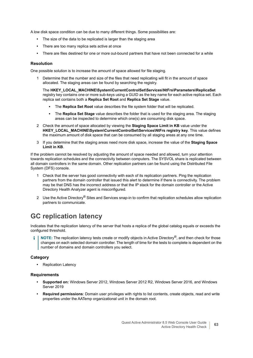A low disk space condition can be due to many different things. Some possibilities are:

- **•** The size of the data to be replicated is larger than the staging area
- **•** There are too many replica sets active at once
- **•** There are files destined for one or more out-bound partners that have not been connected for a while

#### **Resolution**

One possible solution is to increase the amount of space allowed for file staging.

1 Determine that the number and size of the files that need replicating will fit in the amount of space allocated. The staging areas can be found by searching the registry.

The **HKEY\_LOCAL\_MACHINE\System\CurrentControlSet\Services\NtFrs\Parameters\ReplicaSet** registry key contains one or more sub-keys using a GUID as the key name for each active replica set. Each replica set contains both a **Replica Set Root** and **Replica Set Stage** value.

- **▪** The **Replica Set Root** value describes the file system folder that will be replicated.
- **▪** The **Replica Set Stage** value describes the folder that is used for the staging area. The staging areas can be inspected to determine which one(s) are consuming disk space.
- 2 Check the amount of space allocated by viewing the **Staging Space Limit in KB** value under the **HKEY\_LOCAL\_MACHINE\System\CurrentControlSet\Services\NtFrs registry key**. This value defines the maximum amount of disk space that can be consumed by all staging areas at any one time.
- 3 If you determine that the staging areas need more disk space, increase the value of the **Staging Space Limit in KB**.

If the problem cannot be resolved by adjusting the amount of space needed and allowed, turn your attention towards replication schedules and the connectivity between computers. The SYSVOL share is replicated between all domain controllers in the same domain. Other replication partners can be found using the Distributed File System (DFS) console.

- 1 Check that the server has good connectivity with each of its replication partners. Ping the replication partners from the domain controller that issued this alert to determine if there is connectivity. The problem may be that DNS has the incorrect address or that the IP stack for the domain controller or the Active Directory Health Analyzer agent is misconfigured.
- 2 Use the Active Directory<sup>®</sup> Sites and Services snap-in to confirm that replication schedules allow replication partners to communicate.

# **GC replication latency**

Indicates that the replication latency of the server that hosts a replica of the global catalog equals or exceeds the configured threshold.

**NOTE:** The replication latency tests create or modify objects in Active Directory®, and then check for those i. changes on each selected domain controller. The length of time for the tests to complete is dependent on the number of domains and domain controllers you select.

#### **Category**

**•** Replication Latency

- **Supported on:** Windows Server 2012, Windows Server 2012 R2, Windows Server 2016, and Windows Server 2019
- **Required permissions**: Domain user privileges with rights to list contents, create objects, read and write properties under the AATemp organizational unit in the domain root.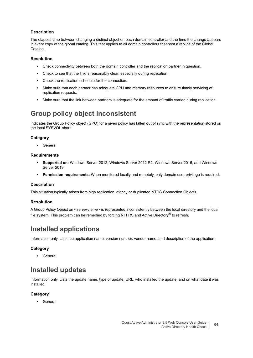The elapsed time between changing a distinct object on each domain controller and the time the change appears in every copy of the global catalog. This test applies to all domain controllers that host a replica of the Global Catalog.

### **Resolution**

- **•** Check connectivity between both the domain controller and the replication partner in question.
- **•** Check to see that the link is reasonably clear, especially during replication.
- **•** Check the replication schedule for the connection.
- **•** Make sure that each partner has adequate CPU and memory resources to ensure timely servicing of replication requests.
- **•** Make sure that the link between partners is adequate for the amount of traffic carried during replication.

# <span id="page-63-0"></span>**Group policy object inconsistent**

Indicates the Group Policy object (GPO) for a given policy has fallen out of sync with the representation stored on the local SYSVOL share.

### **Category**

**•** General

### **Requirements**

- **Supported on:** Windows Server 2012, Windows Server 2012 R2, Windows Server 2016, and Windows Server 2019
- **Permission requirements:** When monitored locally and remotely, only domain user privilege is required.

#### **Description**

This situation typically arises from high replication latency or duplicated NTDS Connection Objects.

#### **Resolution**

A Group Policy Object on <*server-name*> is represented inconsistently between the local directory and the local file system. This problem can be remedied by forcing NTFRS and Active Directory<sup>®</sup> to refresh.

# <span id="page-63-1"></span>**Installed applications**

Information only. Lists the application name, version number, vendor name, and description of the application.

### **Category**

**•** General

# <span id="page-63-2"></span>**Installed updates**

Information only. Lists the update name, type of update, URL, who installed the update, and on what date it was installed.

### **Category**

**•** General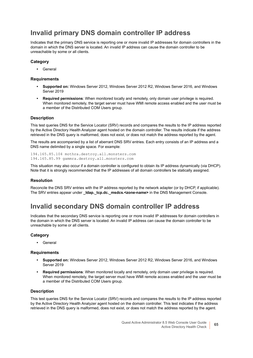# <span id="page-64-0"></span>**Invalid primary DNS domain controller IP address**

Indicates that the primary DNS service is reporting one or more invalid IP addresses for domain controllers in the domain in which the DNS server is located. An invalid IP address can cause the domain controller to be unreachable by some or all clients.

### **Category**

**•** General

#### **Requirements**

- **Supported on:** Windows Server 2012, Windows Server 2012 R2, Windows Server 2016, and Windows Server 2019
- **Required permissions**: When monitored locally and remotely, only domain user privilege is required. When monitored remotely, the target server must have WMI remote access enabled and the user must be a member of the Distributed COM Users group.

#### **Description**

This test queries DNS for the Service Locator (SRV) records and compares the results to the IP address reported by the Active Directory Health Analyzer agent hosted on the domain controller. The results indicate if the address retrieved in the DNS query is malformed, does not exist, or does not match the address reported by the agent.

The results are accompanied by a list of aberrant DNS SRV entries. Each entry consists of an IP address and a DNS name delimited by a single space. For example:

194.165.85.104 mothra.destroy.all.monsters.com 194.165.85.99 gammra.destroy.all.monsters.com

This situation may also occur if a domain controller is configured to obtain its IP address dynamically (via DHCP). Note that it is strongly recommended that the IP addresses of all domain controllers be statically assigned.

#### **Resolution**

Reconcile the DNS SRV entries with the IP address reported by the network adapter (or by DHCP, if applicable). The SRV entries appear under **Idap. tcp.dc. msdcs.<zone-name>** in the DNS Management Console.

# <span id="page-64-1"></span>**Invalid secondary DNS domain controller IP address**

Indicates that the secondary DNS service is reporting one or more invalid IP addresses for domain controllers in the domain in which the DNS server is located. An invalid IP address can cause the domain controller to be unreachable by some or all clients.

#### **Category**

**•** General

#### **Requirements**

- **Supported on:** Windows Server 2012, Windows Server 2012 R2, Windows Server 2016, and Windows Server 2019
- **Required permissions**: When monitored locally and remotely, only domain user privilege is required. When monitored remotely, the target server must have WMI remote access enabled and the user must be a member of the Distributed COM Users group.

#### **Description**

This test queries DNS for the Service Locator (SRV) records and compares the results to the IP address reported by the Active Directory Health Analyzer agent hosted on the domain controller. This test indicates if the address retrieved in the DNS query is malformed, does not exist, or does not match the address reported by the agent.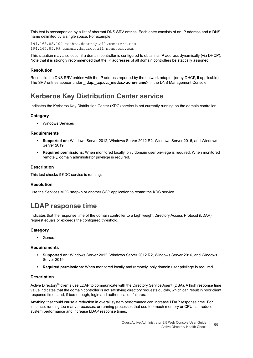This test is accompanied by a list of aberrant DNS SRV entries. Each entry consists of an IP address and a DNS name delimited by a single space. For example:

194.165.85.104 mothra.destroy.all.monsters.com 194.165.85.99 gammra.destroy.all.monsters.com

This situation may also occur if a domain controller is configured to obtain its IP address dynamically (via DHCP). Note that it is strongly recommended that the IP addresses of all domain controllers be statically assigned.

### **Resolution**

Reconcile the DNS SRV entries with the IP address reported by the network adapter (or by DHCP, if applicable). The SRV entries appear under **\_ldap.\_tcp.dc.\_msdcs.<zone-name>** in the DNS Management Console.

# <span id="page-65-1"></span>**Kerberos Key Distribution Center service**

Indicates the Kerberos Key Distribution Center (KDC) service is not currently running on the domain controller.

### **Category**

**•** Windows Services

#### **Requirements**

- **Supported on:** Windows Server 2012, Windows Server 2012 R2, Windows Server 2016, and Windows Server 2019
- **Required permissions**: When monitored locally, only domain user privilege is required. When monitored remotely, domain administrator privilege is required.

### **Description**

This test checks if KDC service is running.

#### **Resolution**

Use the Services MCC snap-in or another SCP application to restart the KDC service.

# <span id="page-65-0"></span>**LDAP response time**

Indicates that the response time of the domain controller to a Lightweight Directory Access Protocol (LDAP) request equals or exceeds the configured threshold.

### **Category**

**•** General

#### **Requirements**

- **Supported on:** Windows Server 2012, Windows Server 2012 R2, Windows Server 2016, and Windows Server 2019
- **Required permissions**: When monitored locally and remotely, only domain user privilege is required.

#### **Description**

Active Directory<sup>®</sup> clients use LDAP to communicate with the Directory Service Agent (DSA). A high response time value indicates that the domain controller is not satisfying directory requests quickly, which can result in poor client response times and, if bad enough, login and authentication failures.

Anything that could cause a reduction in overall system performance can increase LDAP response time. For instance, running too many processes, or running processes that use too much memory or CPU can reduce system performance and increase LDAP response times.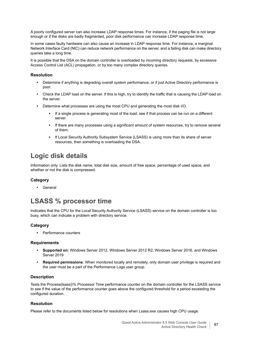A poorly configured server can also increase LDAP response times. For instance, if the paging file is not large enough or if the disks are badly fragmented, poor disk performance can increase LDAP response time.

In some cases faulty hardware can also cause an increase in LDAP response time. For instance, a marginal Network Interface Card (NIC) can reduce network performance on the server, and a failing disk can make directory queries take a long time.

It is possible that the DSA on the domain controller is overloaded by incoming directory requests, by excessive Access Control List (ACL) propagation, or by too many complex directory queries.

#### **Resolution**

- **•** Determine if anything is degrading overall system performance, or if just Active Directory performance is poor.
- **•** Check the LDAP load on the server. If this is high, try to identify the traffic that is causing the LDAP load on the server.
- **•** Determine what processes are using the most CPU and generating the most disk I/O.
	- **▪** If a single process is generating most of the load, see if that process can be run on a different server.
	- **▪** If there are many processes using a significant amount of system resources, try to remove several of them.
	- **▪** If Local Security Authority Subsystem Service (LSASS) is using more than its share of server resources, then something is overloading the DSA.

# <span id="page-66-0"></span>**Logic disk details**

Information only. Lists the disk name, total disk size, amount of free space, percentage of used space, and whether or not the disk is compressed.

#### **Category**

**•** General

# <span id="page-66-1"></span>**LSASS % processor time**

Indicates that the CPU for the Local Security Authority Service (LSASS) service on the domain controller is too busy, which can indicate a problem with directory service.

#### **Category**

**•** Performance counters

#### **Requirements**

- **Supported on:** Windows Server 2012, Windows Server 2012 R2, Windows Server 2016, and Windows Server 2019
- **Required permissions**: When monitored locally and remotely, only domain user privilege is required and the user must be a part of the Performance Logs user group.

#### **Description**

Tests the Process(lsass)\% Processor Time performance counter on the domain controller for the LSASS service to see if the value of the performance counter goes above the configured threshold for a period exceeding the configured duration.

#### **Resolution**

Please refer to the documents listed below for resolutions when Lsass.exe causes high CPU usage.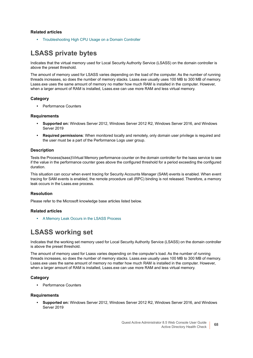### **Related articles**

**•** [Troubleshooting High CPU Usage on a Domain Controller](https://msdn.microsoft.com/en-us/library/bb727054.aspx)

# <span id="page-67-0"></span>**LSASS private bytes**

Indicates that the virtual memory used for Local Security Authority Service (LSASS) on the domain controller is above the preset threshold.

The amount of memory used for LSASS varies depending on the load of the computer. As the number of running threads increases, so does the number of memory stacks. Lsass.exe usually uses 100 MB to 300 MB of memory. Lsass.exe uses the same amount of memory no matter how much RAM is installed in the computer. However, when a larger amount of RAM is installed, Lsass.exe can use more RAM and less virtual memory.

#### **Category**

**•** Performance Counters

#### **Requirements**

- **Supported on:** Windows Server 2012, Windows Server 2012 R2, Windows Server 2016, and Windows Server 2019
- **Required permissions**: When monitored locally and remotely, only domain user privilege is required and the user must be a part of the Performance Logs user group.

#### **Description**

Tests the Process(lsass)\Virtual Memory performance counter on the domain controller for the lsass service to see if the value in the performance counter goes above the configured threshold for a period exceeding the configured duration.

This situation can occur when event tracing for Security Accounts Manager (SAM) events is enabled. When event tracing for SAM events is enabled, the remote procedure call (RPC) binding is not released. Therefore, a memory leak occurs in the Lsass.exe process.

#### **Resolution**

Please refer to the Microsoft knowledge base articles listed below.

#### **Related articles**

**•** [A Memory Leak Occurs in the LSASS Process](https://support.microsoft.com/en-us/kb/2807831)

# <span id="page-67-1"></span>**LSASS working set**

Indicates that the working set memory used for Local Security Authority Service (LSASS) on the domain controller is above the preset threshold.

The amount of memory used for Lsass varies depending on the computer's load. As the number of running threads increases, so does the number of memory stacks. Lsass.exe usually uses 100 MB to 300 MB of memory. Lsass.exe uses the same amount of memory no matter how much RAM is installed in the computer. However, when a larger amount of RAM is installed, Lsass.exe can use more RAM and less virtual memory.

#### **Category**

**•** Performance Counters

#### **Requirements**

**• Supported on:** Windows Server 2012, Windows Server 2012 R2, Windows Server 2016, and Windows Server 2010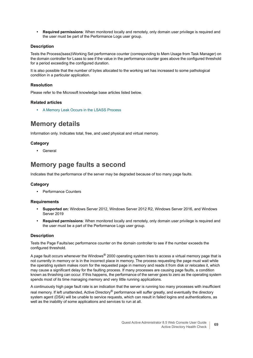**• Required permissions**: When monitored locally and remotely, only domain user privilege is required and the user must be part of the Performance Logs user group.

### **Description**

Tests the Process(lsass)\Working Set performance counter (corresponding to Mem Usage from Task Manager) on the domain controller for Lsass to see if the value in the performance counter goes above the configured threshold for a period exceeding the configured duration.

It is also possible that the number of bytes allocated to the working set has increased to some pathological condition in a particular application.

### **Resolution**

Please refer to the Microsoft knowledge base articles listed below.

### **Related articles**

**•** [A Memory Leak Occurs in the LSASS Process](https://support.microsoft.com/en-us/kb/2807831)

# <span id="page-68-0"></span>**Memory details**

Information only. Indicates total, free, and used physical and virtual memory.

# **Category**

**•** General

# <span id="page-68-1"></span>**Memory page faults a second**

Indicates that the performance of the server may be degraded because of too many page faults.

### **Category**

**•** Performance Counters

#### **Requirements**

- **Supported on:** Windows Server 2012, Windows Server 2012 R2, Windows Server 2016, and Windows Server 2019
- **Required permissions**: When monitored locally and remotely, only domain user privilege is required and the user must be a part of the Performance Logs user group.

#### **Description**

Tests the Page Faults/sec performance counter on the domain controller to see if the number exceeds the configured threshold.

A page fault occurs whenever the Windows® 2000 operating system tries to access a virtual memory page that is not currently in memory or is in the incorrect place in memory. The process requesting the page must wait while the operating system makes room for the requested page in memory and reads it from disk or relocates it, which may cause a significant delay for the faulting process. If many processes are causing page faults, a condition known as thrashing can occur. If this happens, the performance of the server goes to zero as the operating system spends most of its time managing memory and very little running applications.

A continuously high page fault rate is an indication that the server is running too many processes with insufficient real memory. If left unattended, Active Directory<sup>®</sup> performance will suffer greatly, and eventually the directory system agent (DSA) will be unable to service requests, which can result in failed logins and authentications, as well as the inability of some applications and services to run at all.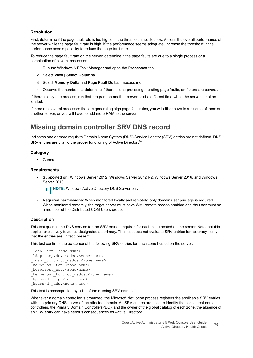### **Resolution**

First, determine if the page fault rate is too high or if the threshold is set too low. Assess the overall performance of the server while the page fault rate is high. If the performance seems adequate, increase the threshold; if the performance seems poor, try to reduce the page fault rate.

To reduce the page fault rate on the server, determine if the page faults are due to a single process or a combination of several processes.

- 1 Run the Windows NT Task Manager and open the **Processes** tab.
- 2 Select **View | Select Columns**.
- 3 Select **Memory Delta** and **Page Fault Delta**, if necessary.
- 4 Observe the numbers to determine if there is one process generating page faults, or if there are several.

If there is only one process, run that program on another server or at a different time when the server is not as loaded.

If there are several processes that are generating high page fault rates, you will either have to run some of them on another server, or you will have to add more RAM to the server.

# <span id="page-69-0"></span>**Missing domain controller SRV DNS record**

Indicates one or more requisite Domain Name System (DNS) Service Locator (SRV) entries are not defined. DNS SRV entries are vital to the proper functioning of Active Directory®.

### **Category**

**•** General

#### **Requirements**

**• Supported on:** Windows Server 2012, Windows Server 2012 R2, Windows Server 2016, and Windows Server 2019

**i** | NOTE: Windows Active Directory DNS Server only.

**• Required permissions**: When monitored locally and remotely, only domain user privilege is required. When monitored remotely, the target server must have WMI remote access enabled and the user must be a member of the Distributed COM Users group.

#### **Description**

This test queries the DNS service for the SRV entries required for each zone hosted on the server. Note that this applies exclusively to zones designated as primary. This test does not evaluate SRV entries for accuracy - only that the entries are, in fact, present.

This test confirms the existence of the following SRV entries for each zone hosted on the server:

```
_ldap._tcp.<zone-name>
_ldap._tcp.dc._msdcs.<zone-name>
_ldap._tcp.pdc._msdcs.<zone-name>
_kerberos._tcp.<zone-name>
_kerberos._udp.<zone-name>
 _kerberos._tcp.dc._msdcs.<zone-name>
_kpasswd._tcp.<zone-name>
_kpasswd. udp.<zone-name>
```
This test is accompanied by a list of the missing SRV entries.

Whenever a domain controller is promoted, the Microsoft NetLogon process registers the applicable SRV entries with the primary DNS server of the affected domain. As SRV entries are used to identify the constituent domain controllers, the Primary Domain Controller(PDC), and the owner of the global catalog of each zone, the absence of an SRV entry can have serious consequences for Active Directory.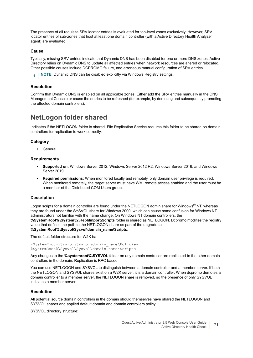The presence of all requisite SRV locator entries is evaluated for top-level zones exclusively. However, SRV locator entries of sub-zones that host at least one domain controller (with a Active Directory Health Analyzer agent) are evaluated.

#### **Cause**

Typically, missing SRV entries indicate that Dynamic DNS has been disabled for one or more DNS zones. Active Directory relies on Dynamic DNS to update all affected entries when network resources are altered or relocated. Other possible causes include DCPROMO failure, and erroneous manual configuration of SRV entries.

**i** | NOTE: Dynamic DNS can be disabled explicitly via Windows Registry settings.

#### **Resolution**

Confirm that Dynamic DNS is enabled on all applicable zones. Either add the SRV entries manually in the DNS Management Console or cause the entries to be refreshed (for example, by demoting and subsequently promoting the effected domain controllers).

# <span id="page-70-0"></span>**NetLogon folder shared**

Indicates if the NETLOGON folder is shared. File Replication Service requires this folder to be shared on domain controllers for replication to work correctly.

#### **Category**

**•** General

#### **Requirements**

- **Supported on:** Windows Server 2012, Windows Server 2012 R2, Windows Server 2016, and Windows Server 2019
- **Required permissions**: When monitored locally and remotely, only domain user privilege is required. When monitored remotely, the target server must have WMI remote access enabled and the user must be a member of the Distributed COM Users group.

#### **Description**

Logon scripts for a domain controller are found under the NETLOGON admin share for Windows® NT, whereas they are found under the SYSVOL share for Windows 2000, which can cause some confusion for Windows NT administrators not familiar with the name change. On Windows NT domain controllers, the **%SystemRoot%\System32\Repl\Import\Scripts** folder is shared as NETLOGON. Dcpromo modifies the registry value that defines the path to the NETLOGON share as part of the upgrade to **%SystemRoot%\Sysvol\Sysvol\domain\_name\Scripts**.

The default folder structure for W2K is:

```
%SystemRoot%\Sysvol\Sysvol\domain_name\Policies
%SystemRoot%\Sysvol\Sysvol\domain_name\Scripts
```
Any changes to the **%systemroot%\SYSVOL** folder on any domain controller are replicated to the other domain controllers in the domain. Replication is RPC based.

You can use NETLOGON and SYSVOL to distinguish between a domain controller and a member server. If both the NETLOGON and SYSVOL shares exist on a W2K server, it is a domain controller. When dcpromo demotes a domain controller to a member server, the NETLOGON share is removed, so the presence of only SYSVOL indicates a member server.

#### **Resolution**

All potential source domain controllers in the domain should themselves have shared the NETLOGON and SYSVOL shares and applied default domain and domain controllers policy.

SYSVOL directory structure: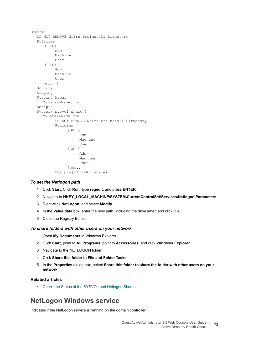```
Domain
  DO NOT REMOVE NtFrs PreInstall Directory
  Policies
     {GUID}
           Adm
          Machine
          User
     {GUID}
           Adm
          Machine
           User
     \{etc.,\}Scripts
  Staging
  Staging Areas
     MyDomainName.com
  Scripts
  Sysvol( sysvol share )
     MyDomainName.com
           DO NOT REMOVE NtFrs PreInstall Directory
           Policies
                {GUID}
                     Adm
                     Machine
                     User
                {GUID}
                     Adm
                     Machine
                     User
                \{etc.,\}Scripts(NETLOGON share)
```
#### *To set the Netlogon path*

- 1 Click **Start**, Click **Run**, type **regedit**, and press **ENTER**.
- 2 Navigate to **HKEY\_LOCAL\_MACHINE\SYSTEM\CurrentControlSet\Services\Netlogon\Parameters**.
- 3 Right-click **NetLogon**, and select **Modify**.
- 4 In the **Value data** box, enter the new path, including the drive letter, and click **OK**.
- 5 Close the Registry Editor.

#### *To share folders with other users on your network*

- 1 Open **My Documents** in Windows Explorer.
- 2 Click **Start**, point to **All Programs**, point to **Accessories**, and click **Windows Explorer**.
- 3 Navigate to the NETLOGON folder.
- 4 Click **Share this folder in File and Folder Tasks**.
- 5 In the **Properties** dialog box, select **Share this folder to share the folder with other users on your network**.

### **Related articles**

**•** [Check the Status of the SYSVOL and Netlogon Shares](https://technet.microsoft.com/en-us/library/cc816833(v=ws.10).aspx)

# <span id="page-71-0"></span>**NetLogon Windows service**

Indicates if the NetLogon service is running on the domain controller.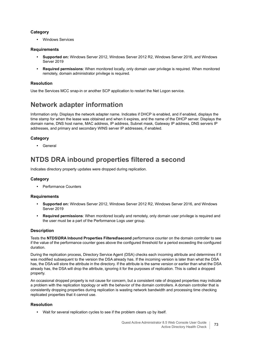### **Category**

**•** Windows Services

### **Requirements**

- **Supported on:** Windows Server 2012, Windows Server 2012 R2, Windows Server 2016, and Windows Server 2019
- **Required permissions**: When monitored locally, only domain user privilege is required. When monitored remotely, domain administrator privilege is required.

### **Resolution**

Use the Services MCC snap-in or another SCP application to restart the Net Logon service.

## **Network adapter information**

Information only. Displays the network adapter name. Indicates if DHCP is enabled, and if enabled, displays the time stamp for when the lease was obtained and when it expires, and the name of the DHCP server. Displays the domain name, DNS host name, MAC address, IP address, Subnet mask, Gateway IP address, DNS servers IP addresses, and primary and secondary WINS server IP addresses, if enabled.

### **Category**

**•** General

## **NTDS DRA inbound properties filtered a second**

Indicates directory property updates were dropped during replication.

### **Category**

**•** Performance Counters

### **Requirements**

- **Supported on:** Windows Server 2012, Windows Server 2012 R2, Windows Server 2016, and Windows Server 2019
- **Required permissions**: When monitored locally and remotely, only domain user privilege is required and the user must be a part of the Performance Logs user group.

### **Description**

Tests the **NTDS\DRA Inbound Properties Filtered\second** performance counter on the domain controller to see if the value of the performance counter goes above the configured threshold for a period exceeding the configured duration.

During the replication process, Directory Service Agent (DSA) checks each incoming attribute and determines if it was modified subsequent to the version the DSA already has. If the incoming version is later than what the DSA has, the DSA will store the attribute in the directory. If the attribute is the same version or earlier than what the DSA already has, the DSA will drop the attribute, ignoring it for the purposes of replication. This is called a dropped property.

An occasional dropped property is not cause for concern, but a consistent rate of dropped properties may indicate a problem with the replication topology or with the behavior of the domain controllers. A domain controller that is consistently dropping properties during replication is wasting network bandwidth and processing time checking replicated properties that it cannot use.

### **Resolution**

**•** Wait for several replication cycles to see if the problem clears up by itself.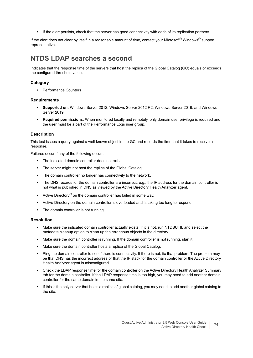**•** If the alert persists, check that the server has good connectivity with each of its replication partners.

If the alert does not clear by itself in a reasonable amount of time, contact your Microsoft® Windows® support representative.

### **NTDS LDAP searches a second**

Indicates that the response time of the servers that host the replica of the Global Catalog (GC) equals or exceeds the configured threshold value.

### **Category**

**•** Performance Counters

### **Requirements**

- **Supported on:** Windows Server 2012, Windows Server 2012 R2, Windows Server 2016, and Windows Server 2019
- **Required permissions:** When monitored locally and remotely, only domain user privilege is required and the user must be a part of the Performance Logs user group.

### **Description**

This test issues a query against a well-known object in the GC and records the time that it takes to receive a response.

Failures occur if any of the following occurs:

- **•** The indicated domain controller does not exist.
- **•** The server might not host the replica of the Global Catalog.
- **•** The domain controller no longer has connectivity to the network.
- **•** The DNS records for the domain controller are incorrect; e.g., the IP address for the domain controller is not what is published in DNS as viewed by the Active Directory Health Analyzer agent.
- **•** Active Directory® on the domain controller has failed in some way.
- **•** Active Directory on the domain controller is overloaded and is taking too long to respond.
- **•** The domain controller is not running.

### **Resolution**

- **•** Make sure the indicated domain controller actually exists. If it is not, run NTDSUTIL and select the metadata cleanup option to clean up the erroneous objects in the directory.
- **•** Make sure the domain controller is running. If the domain controller is not running, start it.
- **•** Make sure the domain controller hosts a replica of the Global Catalog.
- **•** Ping the domain controller to see if there is connectivity. If there is not, fix that problem. The problem may be that DNS has the incorrect address or that the IP stack for the domain controller or the Active Directory Health Analyzer agent is misconfigured.
- **•** Check the LDAP response time for the domain controller on the Active Directory Health Analyzer Summary tab for the domain controller. If the LDAP response time is too high, you may need to add another domain controller for the same domain in the same site.
- **•** If this is the only server that hosts a replica of global catalog, you may need to add another global catalog to the site.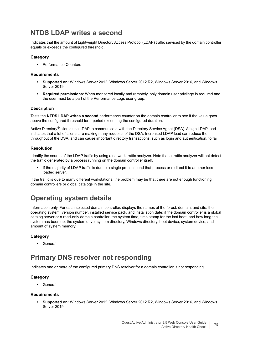## **NTDS LDAP writes a second**

Indicates that the amount of Lightweight Directory Access Protocol (LDAP) traffic serviced by the domain controller equals or exceeds the configured threshold.

### **Category**

**•** Performance Counters

### **Requirements**

- **Supported on:** Windows Server 2012, Windows Server 2012 R2, Windows Server 2016, and Windows Server 2019
- **Required permissions**: When monitored locally and remotely, only domain user privilege is required and the user must be a part of the Performance Logs user group.

### **Description**

Tests the **NTDS LDAP writes a second** performance counter on the domain controller to see if the value goes above the configured threshold for a period exceeding the configured duration.

Active Directory® clients use LDAP to communicate with the Directory Service Agent (DSA). A high LDAP load indicates that a lot of clients are making many requests of the DSA. Increased LDAP load can reduce the throughput of the DSA, and can cause important directory transactions, such as login and authentication, to fail.

### **Resolution**

Identify the source of the LDAP traffic by using a network traffic analyzer. Note that a traffic analyzer will not detect the traffic generated by a process running on the domain controller itself.

**•** If the majority of LDAP traffic is due to a single process, end that process or redirect it to another less loaded server.

If the traffic is due to many different workstations, the problem may be that there are not enough functioning domain controllers or global catalogs in the site.

### **Operating system details**

Information only. For each selected domain controller, displays the names of the forest, domain, and site; the operating system, version number, installed service pack, and installation date; if the domain controller is a global catalog server or a read-only domain controller; the system time, time stamp for the last boot, and how long the system has been up; the system drive, system directory, Windows directory, boot device, system device, and amount of system memory.

### **Category**

**•** General

### **Primary DNS resolver not responding**

Indicates one or more of the configured primary DNS resolver for a domain controller is not responding.

### **Category**

**•** General

### **Requirements**

**• Supported on:** Windows Server 2012, Windows Server 2012 R2, Windows Server 2016, and Windows Server 2019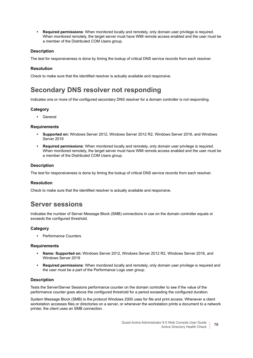**• Required permissions**: When monitored locally and remotely, only domain user privilege is required. When monitored remotely, the target server must have WMI remote access enabled and the user must be a member of the Distributed COM Users group.

### **Description**

The test for responsiveness is done by timing the lookup of critical DNS service records from each resolver.

### **Resolution**

Check to make sure that the identified resolver is actually available and responsive.

## **Secondary DNS resolver not responding**

Indicates one or more of the configured secondary DNS resolver for a domain controller is not responding.

### **Category**

**•** General

### **Requirements**

- **Supported on:** Windows Server 2012, Windows Server 2012 R2, Windows Server 2016, and Windows Server 2019
- **Required permissions**: When monitored locally and remotely, only domain user privilege is required. When monitored remotely, the target server must have WMI remote access enabled and the user must be a member of the Distributed COM Users group.

### **Description**

The test for responsiveness is done by timing the lookup of critical DNS service records from each resolver.

### **Resolution**

Check to make sure that the identified resolver is actually available and responsive.

### **Server sessions**

Indicates the number of Server Message Block (SMB) connections in use on the domain controller equals or exceeds the configured threshold.

### **Category**

**•** Performance Counters

### **Requirements**

- **Name: Supported on:** Windows Server 2012, Windows Server 2012 R2, Windows Server 2016, and Windows Server 2019
- **Required permissions**: When monitored locally and remotely, only domain user privilege is required and the user must be a part of the Performance Logs user group.

### **Description**

Tests the Server\Server Sessions performance counter on the domain controller to see if the value of the performance counter goes above the configured threshold for a period exceeding the configured duration.

System Message Block (SMB) is the protocol Windows 2000 uses for file and print access. Whenever a client workstation accesses files or directories on a server, or whenever the workstation prints a document to a network printer, the client uses an SMB connection.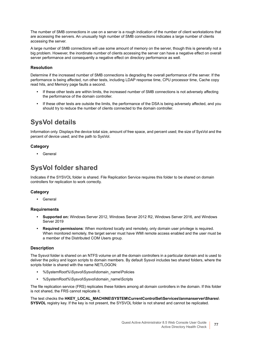The number of SMB connections in use on a server is a rough indication of the number of client workstations that are accessing the servers. An unusually high number of SMB connections indicates a large number of clients accessing the server.

A large number of SMB connections will use some amount of memory on the server, though this is generally not a big problem. However, the inordinate number of clients accessing the server can have a negative effect on overall server performance and consequently a negative effect on directory performance as well.

### **Resolution**

Determine if the increased number of SMB connections is degrading the overall performance of the server. If the performance is being affected, run other tests, including LDAP response time, CPU processor time, Cache copy read hits, and Memory page faults a second.

- **•** If these other tests are within limits, the increased number of SMB connections is not adversely affecting the performance of the domain controller.
- **•** If these other tests are outside the limits, the performance of the DSA is being adversely affected, and you should try to reduce the number of clients connected to the domain controller.

## **SysVol details**

Information only. Displays the device total size, amount of free space, and percent used; the size of SysVol and the percent of device used; and the path to SysVol.

### **Category**

**•** General

## **SysVol folder shared**

Indicates if the SYSVOL folder is shared. File Replication Service requires this folder to be shared on domain controllers for replication to work correctly.

### **Category**

**•** General

### **Requirements**

- **Supported on:** Windows Server 2012, Windows Server 2012 R2, Windows Server 2016, and Windows Server 2019
- **Required permissions**: When monitored locally and remotely, only domain user privilege is required. When monitored remotely, the target server must have WMI remote access enabled and the user must be a member of the Distributed COM Users group.

### **Description**

The Sysvol folder is shared on an NTFS volume on all the domain controllers in a particular domain and is used to deliver the policy and logon scripts to domain members. By default Sysvol includes two shared folders, where the scripts folder is shared with the name NETLOGON:

- **•** %SystemRoot%\Sysvol\Sysvol\domain\_name\Policies
- **•** %SystemRoot%\Sysvol\Sysvol\domain\_name\Scripts

The file replication service (FRS) replicates these folders among all domain controllers in the domain. If this folder is not shared, the FRS cannot replicate it.

The test checks the **HKEY\_LOCAL\_MACHINE\SYSTEM\CurrentControlSet\Services\lanmanserver\Shares\ SYSVOL** registry key. If the key is not present, the SYSVOL folder is not shared and cannot be replicated.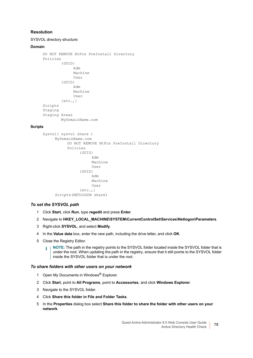### **Resolution**

SYSVOL directory structure:

#### **Domain**

```
DO NOT REMOVE NtFrs PreInstall Directory
Policies
        {GUID}
              Adm
             Machine
              User
        {GUID}
             Adm
             Machine
             User
        \{etc.,\}Scripts
Staging
Staging Areas
       MyDomainName.com
```
### **Scripts**

```
Sysvol( sysvol share )
     MyDomainName.com
          DO NOT REMOVE NtFrs PreInstall Directory
          Policies
                {GUID}
                      Adm
                      Machine
                      User
                {GUID}
                      Adm
                      Machine
                      User
                \{etc.,\}Scripts(NETLOGON share)
```
### *To set the SYSVOL path*

- 1 Click **Start**, click **Run**, type **regedit** and press **Enter**.
- 2 Navigate to **HKEY\_LOCAL\_MACHINE\SYSTEM\CurrentControlSet\Services\Netlogon\Parameters**.
- 3 Right-click **SYSVOL**, and select **Modify**.
- 4 In the **Value data** box, enter the new path, including the drive letter, and click **OK**.
- 5 Close the Registry Editor.
	- **i** | NOTE: The path in the registry points to the SYSVOL folder located inside the SYSVOL folder that is under the root. When updating the path in the registry, ensure that it still points to the SYSVOL folder inside the SYSVOL folder that is under the root.

### *To share folders with other users on your network*

- 1 Open My Documents in Windows<sup>®</sup> Explorer.
- 2 Click **Start**, point to **All Programs**, point to **Accessories**, and click **Windows Explorer**.
- 3 Navigate to the SYSVOL folder.
- 4 Click **Share this folder in File and Folder Tasks**.
- 5 In the **Properties** dialog box select **Share this folder to share the folder with other users on your network**.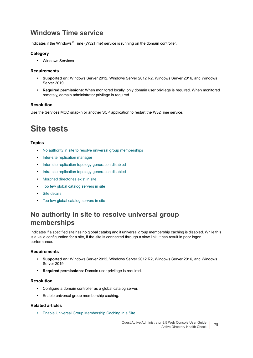## **Windows Time service**

Indicates if the Windows® Time (W32Time) service is running on the domain controller.

### **Category**

**•** Windows Services

### **Requirements**

- **Supported on:** Windows Server 2012, Windows Server 2012 R2, Windows Server 2016, and Windows Server 2019
- **Required permissions**: When monitored locally, only domain user privilege is required. When monitored remotely, domain administrator privilege is required.

### **Resolution**

Use the Services MCC snap-in or another SCP application to restart the W32Time service.

## **Site tests**

### **Topics**

- **•** [No authority in site to resolve universal group memberships](#page-78-0)
- **•** [Inter-site replication manager](#page-79-0)
- **•** [Inter-site replication topology generation disabled](#page-79-1)
- **•** [Intra-site replication topology generation disabled](#page-79-2)
- **•** [Morphed directories exist in site](#page-80-0)
- **•** [Too few global catalog servers in site](#page-81-0)
- **•** [Site details](#page-80-1)
- **•** [Too few global catalog servers in site](#page-81-0)

## <span id="page-78-0"></span>**No authority in site to resolve universal group memberships**

Indicates if a specified site has no global catalog and if universal group membership caching is disabled. While this is a valid configuration for a site, if the site is connected through a slow link, it can result in poor logon performance.

### **Requirements**

- **Supported on:** Windows Server 2012, Windows Server 2012 R2, Windows Server 2016, and Windows Server 2019
- **Required permissions**: Domain user privilege is required.

### **Resolution**

- **•** Configure a domain controller as a global catalog server.
- **•** Enable universal group membership caching.

### **Related articles**

**•** [Enable Universal Group Membership Caching in a Site](https://technet.microsoft.com/en-us/library/cc816928(v=ws.10).aspx)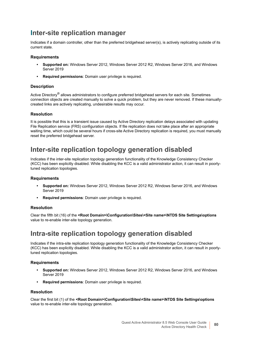### <span id="page-79-0"></span>**[I](https://technet.microsoft.com/en-us/library/cc816928(v=ws.10).aspx)nter-site replication manager**

Indicates if a domain controller, other than the preferred bridgehead server(s), is actively replicating outside of its current state.

### **Requirements**

- **Supported on:** Windows Server 2012, Windows Server 2012 R2, Windows Server 2016, and Windows Server 2019
- **Required permissions**: Domain user privilege is required.

### **Description**

Active Directory<sup>®</sup> allows administrators to configure preferred bridgehead servers for each site. Sometimes connection objects are created manually to solve a quick problem, but they are never removed. If these manuallycreated links are actively replicating, undesirable results may occur.

### **Resolution**

It is possible that this is a transient issue caused by Active Directory replication delays associated with updating File Replication service (FRS) configuration objects. If file replication does not take place after an appropriate waiting time, which could be several hours if cross-site Active Directory replication is required, you must manually reset the preferred bridgehead server.

### <span id="page-79-1"></span>**Inter-site replication topology generation disabled**

Indicates if the inter-site replication topology generation functionality of the Knowledge Consistency Checker (KCC) has been explicitly disabled. While disabling the KCC is a valid administrator action, it can result in poorlytuned replication topologies.

### **Requirements**

- **Supported on:** Windows Server 2012, Windows Server 2012 R2, Windows Server 2016, and Windows Server 2019
- **Required permissions**: Domain user privilege is required.

### **Resolution**

Clear the fifth bit (16) of the **<Root Domain>\Configuration\Sites\<Site name>\NTDS Site Settings\options** value to re-enable inter-site topology generation.

### <span id="page-79-2"></span>**Intra-site replication topology generation disabled**

Indicates if the intra-site replication topology generation functionality of the Knowledge Consistency Checker (KCC) has been explicitly disabled. While disabling the KCC is a valid administrator action, it can result in poorlytuned replication topologies.

### **Requirements**

- **Supported on:** Windows Server 2012, Windows Server 2012 R2, Windows Server 2016, and Windows Server 2019
- **Required permissions**: Domain user privilege is required.

### **Resolution**

Clear the first bit (1) of the **<Root Domain>\Configuration\Sites\<Site name>\NTDS Site Settings\options** value to re-enable inter-site topology generation.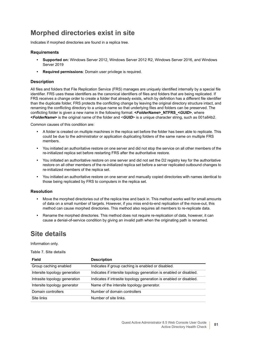## <span id="page-80-0"></span>**Morphed directories exist in site**

Indicates if morphed directories are found in a replica tree.

### **Requirements**

- **Supported on:** Windows Server 2012, Windows Server 2012 R2, Windows Server 2016, and Windows Server 2019
- **Required permissions:** Domain user privilege is required.

### **Description**

All files and folders that File Replication Service (FRS) manages are uniquely identified internally by a special file identifier. FRS uses these identifiers as the canonical identifiers of files and folders that are being replicated. If FRS receives a change order to create a folder that already exists, which by definition has a different file identifier than the duplicate folder, FRS protects the conflicting change by leaving the original directory structure intact, and renaming the conflicting directory to a unique name so that underlying files and folders can be preserved. The conflicting folder is given a new name in the following format: **<***FolderName***>\_NTFRS\_<***GUID***>**, where **<***FolderName***>** is the original name of the folder and <*GUID*> is a unique character string, such as 001a84b2.

Common causes of this condition are:

- **•** A folder is created on multiple machines in the replica set before the folder has been able to replicate. This could be due to the administrator or application duplicating folders of the same name on multiple FRS members.
- **•** You initiated an authoritative restore on one server and did not stop the service on all other members of the re-initialized replica set before restarting FRS after the authoritative restore.
- **•** You initiated an authoritative restore on one server and did not set the D2 registry key for the authoritative restore on all other members of the re-initialized replica set before a server replicated outbound changes to re-initialized members of the replica set.
- **•** You initiated an authoritative restore on one server and manually copied directories with names identical to those being replicated by FRS to computers in the replica set.

### **Resolution**

- **•** Move the morphed directories out of the replica tree and back in. This method works well for small amounts of data on a small number of targets. However, if you miss end-to-end replication of the move-out, this method can cause morphed directories. This method also requires all members to re-replicate data.
- **•** Rename the morphed directories. This method does not require re-replication of data, however, it can cause a denial-of-service condition by giving an invalid path when the originating path is renamed.

### <span id="page-80-1"></span>**Site details**

Information only.

**Table 7. Site details**

| Field                         | <b>Description</b>                                                 |
|-------------------------------|--------------------------------------------------------------------|
| Group caching enabled         | Indicates if group caching is enabled or disabled.                 |
| Intersite topology generation | Indicates if intersite topology generation is enabled or disabled. |
| Intrasite topology generation | Indicates if intrasite topology generation is enabled or disabled. |
| Intersite topology generator  | Name of the intersite topology generator.                          |
| Domain controllers            | Number of domain controllers                                       |
| Site links                    | Number of site links.                                              |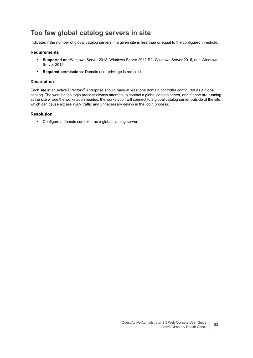### <span id="page-81-0"></span>**Too few global catalog servers in site**

Indicates if the number of global catalog servers in a given site is less than or equal to the configured threshold.

### **Requirements**

- **Supported on:** Windows Server 2012, Windows Server 2012 R2, Windows Server 2016, and Windows Server 2019
- **Required permissions**: Domain user privilege is required.

### **Description**

Each site in an Active Directory® enterprise should have at least one domain controller configured as a global catalog. The workstation login process always attempts to contact a global catalog server, and if none are running at the site where the workstation resides, the workstation will connect to a global catalog server outside of the site, which can cause excess WAN traffic and unnecessary delays in the login process.

### **Resolution**

**•** Configure a domain controller as a global catalog server.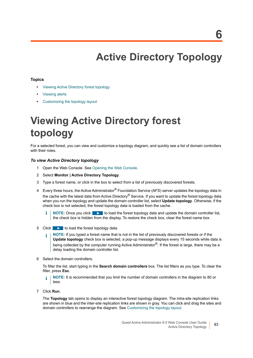# **Active Directory Topology**

### **Topics**

- **•** [Viewing Active Directory forest topology](#page-82-0)
- **•** [Viewing alerts](#page-83-0)
- **•** [Customizing the topology layout](#page-84-0)

# <span id="page-82-0"></span>**Viewing Active Directory forest topology**

For a selected forest, you can view and customize a topology diagram, and quickly see a list of domain controllers with their roles.

### *To view Active Directory topology*

- 1 Open the Web Console. [See Opening the Web Console.](#page-5-0)
- 2 Select **Monitor | Active Directory Topology**.
- 3 Type a forest name, or click in the box to select from a list of previously discovered forests.
- 4 Every three hours, the Active Administrator® Foundation Service (AFS) server updates the topology data in the cache with the latest data from Active Directory® Service. If you want to update the forest topology data when you run the topology and update the domain controller list, select **Update topology**. Otherwise, if the check box is not selected, the forest topology data is loaded from the cache.
	- f. **NOTE:** Once you click **the last of load the forest topology data and update the domain controller list,** the check box is hidden from the display. To restore the check box, clear the forest name box.
- 5 Click  $\triangleright$  to load the forest topology data.
	- **NOTE:** If you typed a forest name that is not in the list of previously discovered forests or if the ÷ **Update topology** check box is selected, a pop-up message displays every 15 seconds while data is being collected by the computer running Active Administrator<sup>®</sup>. If the forest is large, there may be a delay loading the domain controller list.
- 6 Select the domain controllers.

To filter the list, start typing in the **Search domain controllers** box. The list filters as you type. To clear the filter, press **Esc**.

- **NOTE:** It is recommended that you limit the number of domain controllers in the diagram to 80 or î less.
- 7 Click **Run**.

The **Topology** tab opens to display an interactive forest topology diagram. The intra-site replication links are shown in blue and the inter-site replication links are shown in gray. You can click and drag the sites and domain controllers to rearrange the diagram. See [Customizing the topology layout](#page-84-0).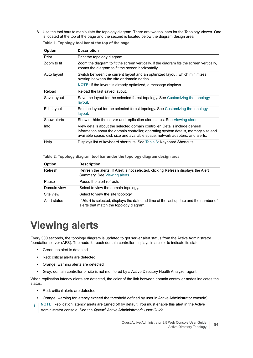8 Use the tool bars to manipulate the topology diagram. There are two tool bars for the Topology Viewer. One is located at the top of the page and the second is located below the diagram design area

| Table 1. Topology tool bar at the top of the page |  |  |  |
|---------------------------------------------------|--|--|--|
|---------------------------------------------------|--|--|--|

| <b>Option</b> | <b>Description</b>                                                                                                                                                                                                                                |
|---------------|---------------------------------------------------------------------------------------------------------------------------------------------------------------------------------------------------------------------------------------------------|
| Print         | Print the topology diagram.                                                                                                                                                                                                                       |
| Zoom to fit   | Zoom the diagram to fit the screen vertically. If the diagram fits the screen vertically,<br>zooms the diagram to fit the screen horizontally.                                                                                                    |
| Auto layout   | Switch between the current layout and an optimized layout, which minimizes<br>overlap between the site or domain nodes.                                                                                                                           |
|               | <b>NOTE:</b> If the layout is already optimized, a message displays.                                                                                                                                                                              |
| Reload        | Reload the last saved layout.                                                                                                                                                                                                                     |
| Save layout   | Save the layout for the selected forest topology. See Customizing the topology<br>layout.                                                                                                                                                         |
| Edit layout   | Edit the layout for the selected forest topology. See Customizing the topology<br>layout.                                                                                                                                                         |
| Show alerts   | Show or hide the server and replication alert status. See Viewing alerts.                                                                                                                                                                         |
| Info          | View details about the selected domain controller. Details include general<br>information about the domain controller, operating system details, memory size and<br>available space, disk size and available space, network adapters, and alerts. |
| Help          | Displays list of keyboard shortcuts. See Table 3: Keyboard Shortcuts.                                                                                                                                                                             |

**Table 2. Topology diagram tool bar under the topology diagram design area**

| Option       | <b>Description</b>                                                                                                               |
|--------------|----------------------------------------------------------------------------------------------------------------------------------|
| Refresh      | Refresh the alerts. If <b>Alert</b> is not selected, clicking <b>Refresh</b> displays the Alert<br>Summary. See Viewing alerts.  |
| Pause        | Pause the alert refresh.                                                                                                         |
| Domain view  | Select to view the domain topology.                                                                                              |
| Site view    | Select to view the site topology.                                                                                                |
| Alert status | If Alert is selected, displays the date and time of the last update and the number of<br>alerts that match the topology diagram. |

# <span id="page-83-0"></span>**Viewing alerts**

Every 300 seconds, the topology diagram is updated to get server alert status from the Active Administrator foundation server (AFS). The node for each domain controller displays in a color to indicate its status.

- **•** Green: no alert is detected
- **•** Red: critical alerts are detected
- **•** Orange: warning alerts are detected
- **•** Grey: domain controller or site is not monitored by a Active Directory Health Analyzer agent

When replication latency alerts are detected, the color of the link between domain controller nodes indicates the status.

- **•** Red: critical alerts are detected
- **•** Orange: warning for latency exceed the threshold defined by user in Active Administrator console).
- **NOTE:** Replication latency alerts are turned off by default. You must enable this alert in the Active ÷ Administrator console. See the *Quest®* Active Administrator® *User Guide*.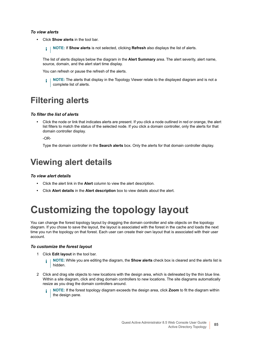### *To view alerts*

**•** Click **Show alerts** in the tool bar.

**i** | NOTE: If Show alerts is not selected, clicking Refresh also displays the list of alerts.

The list of alerts displays below the diagram in the **Alert Summary** area. The alert severity, alert name, source, domain, and the alert start time display.

You can refresh or pause the refresh of the alerts.

**i** | NOTE: The alerts that display in the Topology Viewer relate to the displayed diagram and is not a complete list of alerts.

## **Filtering alerts**

### *To filter the list of alerts*

**•** Click the node or link that indicates alerts are present. If you click a node outlined in red or orange, the alert list filters to match the status of the selected node. If you click a domain controller, only the alerts for that domain controller display.

-OR-

Type the domain controller in the **Search alerts** box. Only the alerts for that domain controller display.

## **Viewing alert details**

### *To view alert details*

- **•** Click the alert link in the **Alert** column to view the alert description.
- **•** Click **Alert details** in the **Alert description** box to view details about the alert.

# <span id="page-84-1"></span><span id="page-84-0"></span>**Customizing the topology layout**

You can change the forest topology layout by dragging the domain controller and site objects on the topology diagram. If you chose to save the layout, the layout is associated with the forest in the cache and loads the next time you run the topology on that forest. Each user can create their own layout that is associated with their user account.

#### *To customize the forest layout*

- 1 Click **Edit layout** in the tool bar.
	- **NOTE:** While you are editing the diagram, the **Show alerts** check box is cleared and the alerts list is i hidden.
- 2 Click and drag site objects to new locations with the design area, which is delineated by the thin blue line. Within a site diagram, click and drag domain controllers to new locations. The site diagrams automatically resize as you drag the domain controllers around.
	- **NOTE:** If the forest topology diagram exceeds the design area, click **Zoom** to fit the diagram within f. the design pane.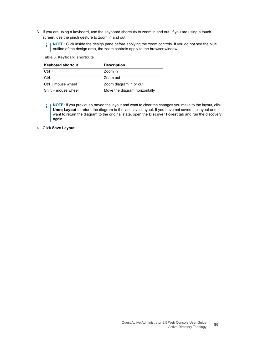- 3 If you are using a keyboard, use the keyboard shortcuts to zoom in and out. If you are using a touch screen, use the pinch gesture to zoom in and out.
	- **i** | NOTE: Click inside the design pane before applying the zoom controls. If you do not see the blue outline of the design area, the zoom controls apply to the browser window.

#### <span id="page-85-0"></span>**Table 3. Keyboard shortcuts**

| <b>Keyboard shortcut</b> | <b>Description</b>            |
|--------------------------|-------------------------------|
| $Ctrl +$                 | Zoom in                       |
| Ctrl -                   | Zoom out                      |
| Ctrl + mouse wheel       | Zoom diagram in or out        |
| Shift + mouse wheel      | Move the diagram horizontally |

**NOTE:** If you previously saved the layout and want to clear the changes you make to the layout, click  $\mathbf{i}$ **Undo Layout** to return the diagram to the last saved layout. If you have not saved the layout and want to return the diagram to the original state, open the **Discover Forest** tab and run the discovery again.

4 Click **Save Layout**.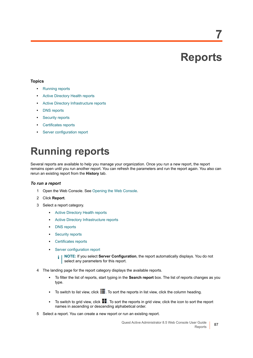# **Reports**

**7**

### **Topics**

- **•** [Running reports](#page-86-0)
- **•** [Active Directory Health reports](#page-87-0)
- **•** [Active Directory Infrastructure reports](#page-99-0)
- **•** [DNS reports](#page-100-1)
- **•** [Security reports](#page-100-0)
- **•** [Certificates reports](#page-101-0)
- **•** [Server configuration report](#page-101-1)

# <span id="page-86-0"></span>**Running reports**

Several reports are available to help you manage your organization. Once you run a new report, the report remains open until you run another report. You can refresh the parameters and run the report again. You also can rerun an existing report from the **History** tab.

### *To run a report*

- 1 Open the Web Console. [See Opening the Web Console.](#page-5-0)
- 2 Click **Report**.
- 3 Select a report category.
	- **▪** [Active Directory Health reports](#page-87-0)
	- [Active Directory Infrastructure reports](#page-99-0)
	- **▪** [DNS reports](#page-100-1)
	- **[Security reports](#page-100-0)**
	- **▪** [Certificates reports](#page-101-0)
	- **[Server configuration report](#page-101-1)** 
		- **i** | NOTE: If you select **Server Configuration**, the report automatically displays. You do not select any parameters for this report.
- 4 The landing page for the report category displays the available reports.
	- **▪** To filter the list of reports, start typing in the **Search report** box. The list of reports changes as you type.
	- **■** To switch to list view, click **.** To sort the reports in list view, click the column heading.
	- **■** To switch to grid view, click **.** To sort the reports in grid view, click the icon to sort the report names in ascending or descending alphabetical order.
- 5 Select a report. You can create a new report or run an existing report.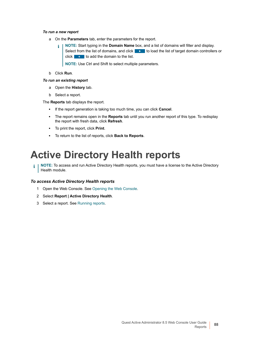#### *To run a new report*

- a On the **Parameters** tab, enter the parameters for the report.
	- **NOTE:** Start typing in the **Domain Name** box, and a list of domains will filter and display. ÷ Select from the list of domains, and click  $\Box$  to load the list of target domain controllers or click  $\begin{array}{|c|c|} \hline \cdots \end{array}$  to add the domain to the list.

**NOTE:** Use Ctrl and Shift to select multiple parameters.

b Click **Run**.

### *To run an existing report*

- a Open the **History** tab.
- b Select a report.

The **Reports** tab displays the report.

- **▪** If the report generation is taking too much time, you can click **Cancel**.
- **▪** The report remains open in the **Reports** tab until you run another report of this type. To redisplay the report with fresh data, click **Refresh**.
- **▪** To print the report, click **Print**.
- **▪** To return to the list of reports, click **Back to Reports**.

# <span id="page-87-0"></span>**Active Directory Health reports**

**i** | NOTE: To access and run Active Directory Health reports, you must have a license to the Active Directory Health module.

### *To access Active Directory Health reports*

- 1 Open the Web Console. [See Opening the Web Console.](#page-5-0)
- 2 Select **Report | Active Directory Health**.
- 3 Select a report. [See Running reports.](#page-86-0)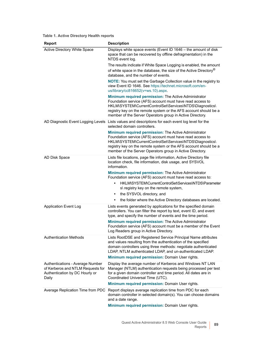| <b>Report</b>                                                                | <b>Description</b>                                                                                                                                                                                                                                                                                                  |
|------------------------------------------------------------------------------|---------------------------------------------------------------------------------------------------------------------------------------------------------------------------------------------------------------------------------------------------------------------------------------------------------------------|
| <b>Active Directory White Space</b>                                          | Displays white space events (Event ID 1646 - the amount of disk<br>space that can be recovered by offline defragmentation) in the<br>NTDS event log.                                                                                                                                                                |
|                                                                              | The results indicate if White Space Logging is enabled, the amount                                                                                                                                                                                                                                                  |
|                                                                              | of white space in the database, the size of the Active Directory <sup>®</sup><br>database, and the number of events.                                                                                                                                                                                                |
|                                                                              | <b>NOTE:</b> You must set the Garbage Collection value in the registry to<br>view Event ID 1646. See https://technet.microsoft.com/en-<br>us/library/cc816652(v=ws.10).aspx.                                                                                                                                        |
|                                                                              | Minimum required permission: The Active Administrator<br>Foundation service (AFS) account must have read access to<br>HKLM\SYSTEM\CurrentControlSet\Services\NTDS\Diagnostics\                                                                                                                                      |
|                                                                              | registry key on the remote system or the AFS account should be a<br>member of the Server Operators group in Active Directory.                                                                                                                                                                                       |
|                                                                              | AD Diagnostic Event Logging Levels Lists values and descriptions for each event log level for the<br>selected domain controllers.                                                                                                                                                                                   |
|                                                                              | Minimum required permission: The Active Administrator<br>Foundation service (AFS) account must have read access to<br>HKLM\SYSTEM\CurrentControlSet\Services\NTDS\Diagnostics\<br>registry key on the remote system or the AFS account should be a<br>member of the Server Operators group in Active Directory.     |
| AD Disk Space                                                                | Lists file locations, page file information, Active Directory file<br>location check, file information, disk usage, and SYSVOL<br>information.                                                                                                                                                                      |
|                                                                              | Minimum required permission: The Active Administrator<br>Foundation service (AFS) account must have read access to:                                                                                                                                                                                                 |
|                                                                              | HKLM\SYSTEM\CurrentControlSet\Services\NTDS\Parameter<br>۰<br>s\ registry key on the remote system,                                                                                                                                                                                                                 |
|                                                                              | the SYSVOL directory, and<br>٠                                                                                                                                                                                                                                                                                      |
|                                                                              | the folder where the Active Directory databases are located.<br>٠                                                                                                                                                                                                                                                   |
| <b>Application Event Log</b>                                                 | Lists events generated by applications for the specified domain<br>controllers. You can filter the report by text, event ID, and event<br>type, and specify the number of events and the time period.                                                                                                               |
|                                                                              | Minimum required permission: The Active Administrator<br>Foundation service (AFS) account must be a member of the Event<br>Log Readers group in Active Directory.                                                                                                                                                   |
| <b>Authentication Methods</b>                                                | Lists RootDSE and Registered Service Principal Name attributes<br>and values resulting from the authentication of the specified<br>domain controllers using three methods: negotiate authenticated<br>LDAP, NTLM authenticated LDAP, and un-authenticated LDAP.<br>Minimum required permission: Domain User rights. |
| Authentications - Average Number                                             | Display the average number of Kerberos and Windows NT LAN                                                                                                                                                                                                                                                           |
| of Kerberos and NTLM Requests for<br>Authentication by DC Hourly or<br>Daily | Manager (NTLM) authentication requests being processed per test<br>for a given domain controller and time period. All dates are in<br>Coordinated Universal Time (UTC).                                                                                                                                             |
|                                                                              | Minimum required permission: Domain User rights.                                                                                                                                                                                                                                                                    |
|                                                                              | Average Replication Time from PDC Report displays average replication time from PDC for each<br>domain controller in selected domain(s). You can choose domains<br>and a date range.                                                                                                                                |
|                                                                              | Minimum required permission: Domain User rights.                                                                                                                                                                                                                                                                    |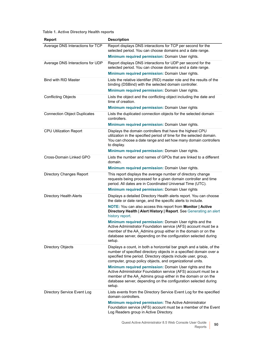| <b>Report</b>                       | <b>Description</b>                                                                                                                                                                                                                                                       |
|-------------------------------------|--------------------------------------------------------------------------------------------------------------------------------------------------------------------------------------------------------------------------------------------------------------------------|
| Average DNS Interactions for TCP    | Report displays DNS interactions for TCP per second for the<br>selected period. You can choose domains and a date range.                                                                                                                                                 |
|                                     | Minimum required permission: Domain User rights.                                                                                                                                                                                                                         |
| Average DNS Interactions for UDP    | Report displays DNS interactions for UDP per second for the<br>selected period. You can choose domains and a date range.                                                                                                                                                 |
|                                     | Minimum required permission: Domain User rights.                                                                                                                                                                                                                         |
| <b>Bind with RID Master</b>         | Lists the relative identifier (RID) master role and the results of the<br>binding (DSBind) with the selected domain controller.                                                                                                                                          |
|                                     | Minimum required permission: Domain User rights.                                                                                                                                                                                                                         |
| <b>Conflicting Objects</b>          | Lists the object and the conflicting object including the date and<br>time of creation.                                                                                                                                                                                  |
|                                     | Minimum required permission: Domain User rights                                                                                                                                                                                                                          |
| <b>Connection Object Duplicates</b> | Lists the duplicated connection objects for the selected domain<br>controllers.                                                                                                                                                                                          |
|                                     | Minimum required permission: Domain User rights.                                                                                                                                                                                                                         |
| <b>CPU Utilization Report</b>       | Displays the domain controllers that have the highest CPU<br>utilization in the specified period of time for the selected domain.<br>You can choose a date range and set how many domain controllers<br>to display.                                                      |
|                                     | Minimum required permission: Domain User rights.                                                                                                                                                                                                                         |
| Cross-Domain Linked GPO             | Lists the number and names of GPOs that are linked to a different<br>domain.                                                                                                                                                                                             |
|                                     | Minimum required permission: Domain User rights.                                                                                                                                                                                                                         |
| <b>Directory Changes Report</b>     | This report displays the average number of directory change<br>requests being processed for a given domain controller and time<br>period. All dates are in Coordinated Universal Time (UTC).                                                                             |
|                                     | Minimum required permission: Domain User rights                                                                                                                                                                                                                          |
| <b>Directory Health Alerts</b>      | Displays a detailed Directory Health alerts report. You can choose<br>the date or date range, and the specific alerts to include.                                                                                                                                        |
|                                     | <b>NOTE:</b> You can also access this report from <b>Monitor</b>   Active<br>Directory Health   Alert History   Report. See Generating an alert<br>history report.                                                                                                       |
|                                     | Minimum required permission: Domain User rights and the<br>Active Administrator Foundation service (AFS) account must be a<br>member of the AA_Admins group either in the domain or on the<br>database server, depending on the configuration selected during<br>setup.  |
| <b>Directory Objects</b>            | Displays a count, in both a horizontal bar graph and a table, of the<br>number of specified directory objects in a specified domain over a<br>specified time period. Directory objects include user, group,<br>computer, group policy objects, and organizational units. |
|                                     | Minimum required permission: Domain User rights and the<br>Active Administrator Foundation service (AFS) account must be a<br>member of the AA_Admins group either in the domain or on the<br>database server, depending on the configuration selected during<br>setup.  |
| Directory Service Event Log         | Lists events from the Directory Service Event Log for the specified<br>domain controllers.                                                                                                                                                                               |
|                                     | Minimum required permission: The Active Administrator<br>Foundation service (AFS) account must be a member of the Event<br>Log Readers group in Active Directory.                                                                                                        |
|                                     | Ouest Active Administrator 8 5 Web Console Llser Guide                                                                                                                                                                                                                   |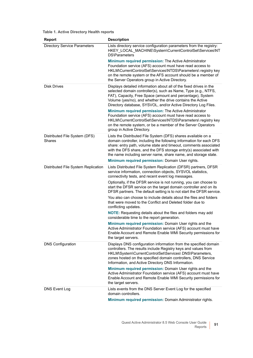| <b>Report</b>                           | <b>Description</b>                                                                                                                                                                                                                                                                                                                                                                          |
|-----------------------------------------|---------------------------------------------------------------------------------------------------------------------------------------------------------------------------------------------------------------------------------------------------------------------------------------------------------------------------------------------------------------------------------------------|
| <b>Directory Service Parameters</b>     | Lists directory service configuration parameters from the registry:<br>HKEY_LOCAL_MACHINE\System\CurrentControlSet\Services\NT<br><b>DS\Parameters</b>                                                                                                                                                                                                                                      |
|                                         | Minimum required permission: The Active Administrator<br>Foundation service (AFS) account must have read access to<br>HKLM\CurrentControlSet\Services\NTDS\Parameters\ registry key<br>on the remote system or the AFS account should be a member of<br>the Server Operators group in Active Directory.                                                                                     |
| <b>Disk Drives</b>                      | Displays detailed information about all of the fixed drives in the<br>selected domain controller(s), such as Name, Type (e.g., NTFS,<br>FAT), Capacity, Free Space (amount and percentage), System<br>Volume (yes/no), and whether the drive contains the Active<br>Directory database, SYSVOL, and/or Active Directory Log Files.<br>Minimum required permission: The Active Administrator |
|                                         | Foundation service (AFS) account must have read access to<br>HKLM\CurrentControlSet\Services\NTDS\Parameters\registry key<br>on the remote system, or be a member of the Server Operators<br>group in Active Directory.                                                                                                                                                                     |
| Distributed File System (DFS)<br>Shares | Lists the Distributed File System (DFS) shares available on a<br>domain controller, including the following information for each DFS<br>share: entry path, volume state and timeout, comments associated<br>with the DFS share, and the DFS storage entry(s) associated with<br>the name including server name, share name, and storage state.                                              |
|                                         | Minimum required permission: Domain User rights.                                                                                                                                                                                                                                                                                                                                            |
| Distributed File System Replication     | Lists Distributed File System Replication (DFSR) partners, DFSR<br>service information, connection objects, SYSVOL statistics,<br>connectivity tests, and recent event log messages.                                                                                                                                                                                                        |
|                                         | Optionally, if the DFSR service is not running, you can choose to<br>start the DFSR service on the target domain controller and on its<br>DFSR partners. The default setting is to not start the DFSR service.                                                                                                                                                                              |
|                                         | You also can choose to include details about the files and folders<br>that were moved to the Conflict and Deleted folder due to<br>conflicting updates.                                                                                                                                                                                                                                     |
|                                         | <b>NOTE:</b> Requesting details about the files and folders may add<br>considerable time to the report generation.                                                                                                                                                                                                                                                                          |
|                                         | Minimum required permission: Domain User rights and the<br>Active Administrator Foundation service (AFS) account must have<br>Enable Account and Remote Enable WMI Security permissions for<br>the target servers.                                                                                                                                                                          |
| <b>DNS Configuration</b>                | Displays DNS configuration information from the specified domain<br>controllers. The results include Registry keys and values from<br>HKLM\System\CurrentControlSet\Services\ DNS\Parameters,<br>zones hosted on the specified domain controllers, DNS Service<br>Information, and Active Directory DNS Information.                                                                        |
|                                         | Minimum required permission: Domain User rights and the<br>Active Administrator Foundation service (AFS) account must have<br>Enable Account and Remote Enable WMI Security permissions for<br>the target servers.                                                                                                                                                                          |
| DNS Event Log                           | Lists events from the DNS Server Event Log for the specified<br>domain controllers.                                                                                                                                                                                                                                                                                                         |
|                                         | Minimum required permission: Domain Administrator rights.                                                                                                                                                                                                                                                                                                                                   |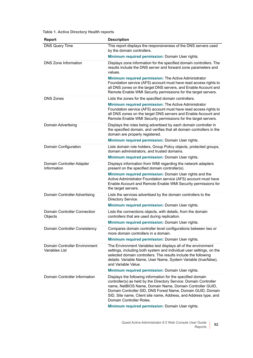| <b>Report</b>                                   | <b>Description</b>                                                                                                                                                                                                                                                                                                                                          |
|-------------------------------------------------|-------------------------------------------------------------------------------------------------------------------------------------------------------------------------------------------------------------------------------------------------------------------------------------------------------------------------------------------------------------|
| <b>DNS Query Time</b>                           | This report displays the responsiveness of the DNS servers used<br>by the domain controllers.                                                                                                                                                                                                                                                               |
|                                                 | Minimum required permission: Domain User rights.                                                                                                                                                                                                                                                                                                            |
| DNS Zone Information                            | Displays zone information for the specified domain controllers. The<br>results include the DNS server and forward zone parameters and<br>values.                                                                                                                                                                                                            |
|                                                 | Minimum required permission: The Active Administrator<br>Foundation service (AFS) account must have read access rights to<br>all DNS zones on the target DNS servers, and Enable Account and<br>Remote Enable WMI Security permissions for the target servers.                                                                                              |
| <b>DNS Zones</b>                                | Lists the zones for the specified domain controllers.                                                                                                                                                                                                                                                                                                       |
|                                                 | Minimum required permission: The Active Administrator<br>Foundation service (AFS) account must have read access rights to<br>all DNS zones on the target DNS servers and Enable Account and<br>Remote Enable WMI Security permissions for the target servers.                                                                                               |
| Domain Advertising                              | Displays the roles being advertised by each domain controller in<br>the specified domain, and verifies that all domain controllers in the<br>domain are properly registered.                                                                                                                                                                                |
|                                                 | Minimum required permission: Domain User rights.                                                                                                                                                                                                                                                                                                            |
| Domain Configuration                            | Lists domain role holders, Group Policy objects, protected groups,<br>domain administrators, and trusted domains.                                                                                                                                                                                                                                           |
|                                                 | Minimum required permission: Domain User rights.                                                                                                                                                                                                                                                                                                            |
| Domain Controller Adapter<br>Information        | Displays information from WMI regarding the network adapters<br>present on the specified domain controller(s).                                                                                                                                                                                                                                              |
|                                                 | Minimum required permission: Domain User rights and the<br>Active Administrator Foundation service (AFS) account must have<br>Enable Account and Remote Enable WMI Security permissions for<br>the target servers.                                                                                                                                          |
| Domain Controller Advertising                   | Lists the services advertised by the domain controllers to the<br>Directory Service.                                                                                                                                                                                                                                                                        |
|                                                 | Minimum required permission: Domain User rights.                                                                                                                                                                                                                                                                                                            |
| <b>Domain Controller Connection</b><br>Objects  | Lists the connections objects, with details, from the domain<br>controllers that are used during replication.                                                                                                                                                                                                                                               |
|                                                 | Minimum required permission: Domain User rights.                                                                                                                                                                                                                                                                                                            |
| Domain Controller Consistency                   | Compares domain controller level configurations between two or<br>more domain controllers in a domain.                                                                                                                                                                                                                                                      |
|                                                 | Minimum required permission: Domain User rights.                                                                                                                                                                                                                                                                                                            |
| Domain Controller Environment<br>Variables List | The Environment Variables test displays all of the environment<br>settings, including both system and individual user settings, on the<br>selected domain controllers. The results include the following<br>details: Variable Name, User Name, System Variable (true/false),<br>and Variable Value.                                                         |
|                                                 | Minimum required permission: Domain User rights.                                                                                                                                                                                                                                                                                                            |
| Domain Controller Information                   | Displays the following information for the specified domain<br>controller(s) as held by the Directory Service: Domain Controller<br>name, NetBIOS Name, Domain Name, Domain Controller GUID,<br>Domain Controller SID, DNS Forest Name, Domain GUID, Domain<br>SID, Site name, Client site name, Address, and Address type, and<br>Domain Controller Roles. |
|                                                 | Minimum required permission: Domain User rights.                                                                                                                                                                                                                                                                                                            |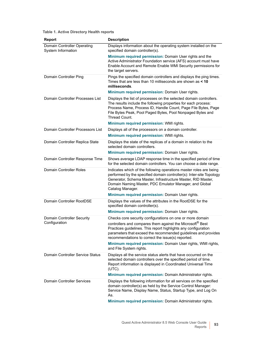| <b>Report</b>                                     | <b>Description</b>                                                                                                                                                                                                                                                                                              |
|---------------------------------------------------|-----------------------------------------------------------------------------------------------------------------------------------------------------------------------------------------------------------------------------------------------------------------------------------------------------------------|
| Domain Controller Operating<br>System Information | Displays information about the operating system installed on the<br>specified domain controller(s).                                                                                                                                                                                                             |
|                                                   | Minimum required permission: Domain User rights and the<br>Active Administrator Foundation service (AFS) account must have<br>Enable Account and Remote Enable WMI Security permissions for<br>the target servers.                                                                                              |
| Domain Controller Ping                            | Pings the specified domain controllers and displays the ping times.<br>Times that are less than 10 milliseconds are shown as < 10<br>milliseconds.                                                                                                                                                              |
|                                                   | Minimum required permission: Domain User rights.                                                                                                                                                                                                                                                                |
| Domain Controller Processes List                  | Displays the list of processes on the selected domain controllers.<br>The results include the following properties for each process:<br>Process Name, Process ID, Handle Count, Page File Bytes, Page<br>File Bytes Peak, Pool Paged Bytes, Pool Nonpaged Bytes and<br>Thread Count.                            |
|                                                   | Minimum required permission: WMI rights.                                                                                                                                                                                                                                                                        |
| Domain Controller Processors List                 | Displays all of the processors on a domain controller.                                                                                                                                                                                                                                                          |
|                                                   | Minimum required permission: WMI rights.                                                                                                                                                                                                                                                                        |
| Domain Controller Replica State                   | Displays the state of the replicas of a domain in relation to the<br>selected domain controllers.                                                                                                                                                                                                               |
|                                                   | Minimum required permission: Domain User rights.                                                                                                                                                                                                                                                                |
| Domain Controller Response Time                   | Shows average LDAP response time in the specified period of time<br>for the selected domain controllers. You can choose a date range.                                                                                                                                                                           |
| <b>Domain Controller Roles</b>                    | Indicates which of the following operations master roles are being<br>performed by the specified domain controller(s): Inter-site Topology<br>Generator, Schema Master, Infrastructure Master, RID Master,<br>Domain Naming Master, PDC Emulator Manager, and Global<br>Catalog Manager.                        |
|                                                   | Minimum required permission: Domain User rights.                                                                                                                                                                                                                                                                |
| Domain Controller RootDSE                         | Displays the values of the attributes in the RootDSE for the<br>specified domain controller(s).                                                                                                                                                                                                                 |
|                                                   | Minimum required permission: Domain User rights.                                                                                                                                                                                                                                                                |
| Domain Controller Security<br>Configuration       | Checks core security configurations on one or more domain<br>controllers and compares them against the Microsoft® Best<br>Practices guidelines. This report highlights any configuration<br>parameters that exceed the recommended guidelines and provides<br>recommendations to correct the issue(s) reported. |
|                                                   | Minimum required permission: Domain User rights, WMI rights,<br>and File System rights.                                                                                                                                                                                                                         |
| Domain Controller Service Status                  | Displays all the service status alerts that have occurred on the<br>selected domain controllers over the specified period of time.<br>Report information is displayed in Coordinated Universal Time<br>$(UTC)$ .                                                                                                |
|                                                   | Minimum required permission: Domain Administrator rights.                                                                                                                                                                                                                                                       |
| <b>Domain Controller Services</b>                 | Displays the following information for all services on the specified<br>domain controller(s) as held by the Service Control Manager:<br>Service Name, Display Name, Status, Startup Type, and Log On<br>As.                                                                                                     |
|                                                   | Minimum required permission: Domain Administrator rights.                                                                                                                                                                                                                                                       |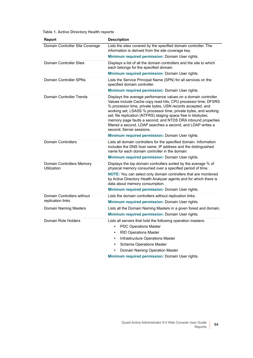| <b>Report</b>                                   | <b>Description</b>                                                                                                                                                                                                                                                                                                                                                                                                                                                                               |
|-------------------------------------------------|--------------------------------------------------------------------------------------------------------------------------------------------------------------------------------------------------------------------------------------------------------------------------------------------------------------------------------------------------------------------------------------------------------------------------------------------------------------------------------------------------|
| Domain Controller Site Coverage                 | Lists the sites covered by the specified domain controller. The<br>information is derived from the site coverage key.                                                                                                                                                                                                                                                                                                                                                                            |
|                                                 | Minimum required permission: Domain User rights.                                                                                                                                                                                                                                                                                                                                                                                                                                                 |
| Domain Controller Sites                         | Displays a list of all the domain controllers and the site to which<br>each belongs for the specified domain.                                                                                                                                                                                                                                                                                                                                                                                    |
|                                                 | Minimum required permission: Domain User rights.                                                                                                                                                                                                                                                                                                                                                                                                                                                 |
| Domain Controller SPNs                          | Lists the Service Principal Name (SPN) for all services on the<br>specified domain controller.                                                                                                                                                                                                                                                                                                                                                                                                   |
|                                                 | <b>Minimum required permission: Domain User rights.</b>                                                                                                                                                                                                                                                                                                                                                                                                                                          |
| Domain Controller Trends                        | Displays the average performance values on a domain controller.<br>Values include Cache copy read hits; CPU processor time; DFSRS<br>% processor time, private bytes, USN records accepted, and<br>working set; LSASS % processor time, private bytes, and working<br>set; file replication (NTFRS) staging space free in kilobytes;<br>memory page faults a second; and NTDS DRA inbound properties<br>filtered a second, LDAP searches a second, and LDAP writes a<br>second; Server sessions. |
|                                                 | Minimum required permission: Domain User rights.                                                                                                                                                                                                                                                                                                                                                                                                                                                 |
| <b>Domain Controllers</b>                       | Lists all domain controllers for the specified domain. Information<br>includes the DNS host name, IP address and the distinguished<br>name for each domain controller in the domain.                                                                                                                                                                                                                                                                                                             |
|                                                 | <b>Minimum required permission: Domain User rights.</b>                                                                                                                                                                                                                                                                                                                                                                                                                                          |
| Domain Controllers Memory<br>Utilization        | Displays the top domain controllers sorted by the average % of<br>physical memory consumed over a specified period of time.                                                                                                                                                                                                                                                                                                                                                                      |
|                                                 | NOTE: You can select only domain controllers that are monitored<br>by Active Directory Health Analyzer agents and for which there is<br>data about memory consumption.                                                                                                                                                                                                                                                                                                                           |
|                                                 | Minimum required permission: Domain User rights.                                                                                                                                                                                                                                                                                                                                                                                                                                                 |
| Domain Controllers without<br>replication links | Lists the domain controllers without replication links.<br>Minimum required permission: Domain User rights.                                                                                                                                                                                                                                                                                                                                                                                      |
| <b>Domain Naming Masters</b>                    | Lists all the Domain Naming Masters in a given forest and domain.<br>Minimum required permission: Domain User rights.                                                                                                                                                                                                                                                                                                                                                                            |
| Domain Role Holders                             | Lists all servers that hold the following operation masters:<br><b>PDC Operations Master</b><br>$\bullet$<br><b>RID Operations Master</b><br>$\bullet$<br>Infrastructure Operations Master<br>$\bullet$<br><b>Schema Operations Master</b><br>$\bullet$<br>Domain Naming Operation Master<br>٠                                                                                                                                                                                                   |

**Minimum required permission:** Domain User rights.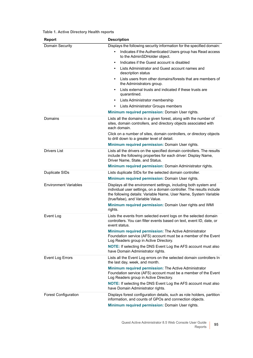| <b>Report</b>                | <b>Description</b>                                                                                                                                                                                                                                 |
|------------------------------|----------------------------------------------------------------------------------------------------------------------------------------------------------------------------------------------------------------------------------------------------|
| Domain Security              | Displays the following security information for the specified domain:                                                                                                                                                                              |
|                              | Indicates if the Authenticated Users group has Read access<br>$\bullet$<br>to the AdminSDHolder object.                                                                                                                                            |
|                              | Indicates if the Guest account is disabled<br>$\bullet$                                                                                                                                                                                            |
|                              | Lists Administrator and Guest account names and<br>description status                                                                                                                                                                              |
|                              | Lists users from other domains/forests that are members of<br>the Administrators group.                                                                                                                                                            |
|                              | Lists external trusts and indicated if these trusts are<br>quarantined.                                                                                                                                                                            |
|                              | Lists Administrator membership<br>$\bullet$                                                                                                                                                                                                        |
|                              | Lists Administrator Groups members<br>$\bullet$                                                                                                                                                                                                    |
|                              | Minimum required permission: Domain User rights.                                                                                                                                                                                                   |
| Domains                      | Lists all the domains in a given forest, along with the number of<br>sites, domain controllers, and directory objects associated with<br>each domain.                                                                                              |
|                              | Click on a number of sites, domain controllers, or directory objects<br>to drill down to a greater level of detail.                                                                                                                                |
|                              | Minimum required permission: Domain User rights.                                                                                                                                                                                                   |
| <b>Drivers List</b>          | Lists all the drivers on the specified domain controllers. The results<br>include the following properties for each driver: Display Name,<br>Driver Name, State, and Status.                                                                       |
|                              | Minimum required permission: Domain Administrator rights.                                                                                                                                                                                          |
| Duplicate SIDs               | Lists duplicate SIDs for the selected domain controller.                                                                                                                                                                                           |
|                              | Minimum required permission: Domain User rights.                                                                                                                                                                                                   |
| <b>Environment Variables</b> | Displays all the environment settings, including both system and<br>individual user settings, on a domain controller. The results include<br>the following details: Variable Name, User Name, System Variable<br>(true/false), and Variable Value. |
|                              | Minimum required permission: Domain User rights and WMI<br>rights.                                                                                                                                                                                 |
| Event Log                    | Lists the events from selected event logs on the selected domain<br>controllers. You can filter events based on text, event ID, date, or<br>event status.                                                                                          |
|                              | Minimum required permission: The Active Administrator<br>Foundation service (AFS) account must be a member of the Event<br>Log Readers group in Active Directory.                                                                                  |
|                              | <b>NOTE:</b> If selecting the DNS Event Log the AFS account must also<br>have Domain Administrator rights.                                                                                                                                         |
| <b>Event Log Errors</b>      | Lists all the Event Log errors on the selected domain controllers In<br>the last day, week, and month.                                                                                                                                             |
|                              | Minimum required permission: The Active Administrator<br>Foundation service (AFS) account must be a member of the Event<br>Log Readers group in Active Directory.                                                                                  |
|                              | <b>NOTE:</b> If selecting the DNS Event Log the AFS account must also<br>have Domain Administrator rights.                                                                                                                                         |
| <b>Forest Configuration</b>  | Displays forest configuration details, such as role holders, partition<br>information, and counts of GPOs and connection objects.                                                                                                                  |
|                              | Minimum required permission: Domain User rights.                                                                                                                                                                                                   |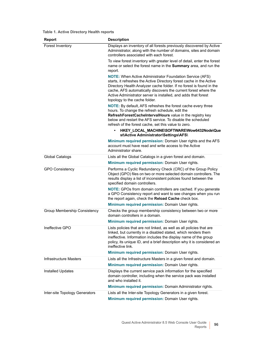| <b>Report</b>                  | <b>Description</b>                                                                                                                                                                                                                                                                                                                                                                    |
|--------------------------------|---------------------------------------------------------------------------------------------------------------------------------------------------------------------------------------------------------------------------------------------------------------------------------------------------------------------------------------------------------------------------------------|
| Forest Inventory               | Displays an inventory of all forests previously discovered by Active<br>Administrator, along with the number of domains, sites and domain<br>controllers associated with each forest.                                                                                                                                                                                                 |
|                                | To view forest inventory with greater level of detail, enter the forest<br>name or select the forest name in the Summary area, and run the<br>report.                                                                                                                                                                                                                                 |
|                                | <b>NOTE:</b> When Active Administrator Foundation Service (AFS)<br>starts, it refreshes the Active Directory forest cache in the Active<br>Directory Health Analyzer cache folder. If no forest is found in the<br>cache, AFS automatically discovers the current forest where the<br>Active Administrator server is installed, and adds that forest<br>topology to the cache folder. |
|                                | NOTE: By default, AFS refreshes the forest cache every three<br>hours. To change the refresh schedule, edit the<br>RefreshForestCacheIntervalHours value in the registry key<br>below and restart the AFS service. To disable the scheduled<br>refresh of the forest cache, set this value to zero.                                                                                   |
|                                | HKEY_LOCAL_MACHINE\SOFTWARE\Wow6432Node\Que<br>st\Active Administrator\Settings\AFS\                                                                                                                                                                                                                                                                                                  |
|                                | Minimum required permission: Domain User rights and the AFS<br>account must have read and write access to the Active<br>Administrator share.                                                                                                                                                                                                                                          |
| <b>Global Catalogs</b>         | Lists all the Global Catalogs in a given forest and domain.                                                                                                                                                                                                                                                                                                                           |
|                                | Minimum required permission: Domain User rights.                                                                                                                                                                                                                                                                                                                                      |
| <b>GPO Consistency</b>         | Performs a Cyclic Redundancy Check (CRC) of the Group Policy<br>Object (GPO) files on two or more selected domain controllers. The<br>results display a list of inconsistent policies found between the<br>specified domain controllers.                                                                                                                                              |
|                                | NOTE: GPOs from domain controllers are cached. If you generate<br>a GPO Consistency report and want to see changes when you run<br>the report again, check the Reload Cache check box.                                                                                                                                                                                                |
|                                | Minimum required permission: Domain User rights.                                                                                                                                                                                                                                                                                                                                      |
| Group Membership Consistency   | Checks the group membership consistency between two or more<br>domain controllers in a domain.                                                                                                                                                                                                                                                                                        |
|                                | Minimum required permission: Domain User rights.                                                                                                                                                                                                                                                                                                                                      |
| Ineffective GPO                | Lists policies that are not linked, as well as all policies that are<br>linked, but currently in a disabled stated, which renders them<br>ineffective. Information includes the display name of the group<br>policy, its unique ID, and a brief description why it is considered an<br>ineffective link.                                                                              |
|                                | Minimum required permission: Domain User rights.                                                                                                                                                                                                                                                                                                                                      |
| Infrastructure Masters         | Lists all the Infrastructure Masters in a given forest and domain.                                                                                                                                                                                                                                                                                                                    |
|                                | Minimum required permission: Domain User rights.                                                                                                                                                                                                                                                                                                                                      |
| Installed Updates              | Displays the current service pack information for the specified<br>domain controller, including when the service pack was installed<br>and who installed it.                                                                                                                                                                                                                          |
|                                | Minimum required permission: Domain Administrator rights.                                                                                                                                                                                                                                                                                                                             |
| Inter-site Topology Generators | Lists all the Inter-site Topology Generators in a given forest.<br>Minimum required permission: Domain User rights.                                                                                                                                                                                                                                                                   |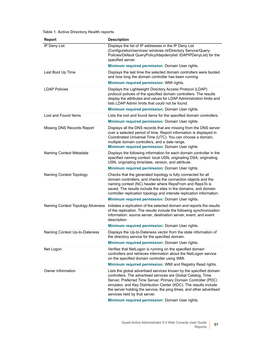| <b>Report</b>                     | <b>Description</b>                                                                                                                                                                                                                                                                                                                                                                                                                     |
|-----------------------------------|----------------------------------------------------------------------------------------------------------------------------------------------------------------------------------------------------------------------------------------------------------------------------------------------------------------------------------------------------------------------------------------------------------------------------------------|
| IP Deny List                      | Displays the list of IP addresses in the IP Deny List<br>(Configuration/services/ windows nt/Directory Service/Query-<br>Policies/Default QueryPolicy/Idapdenylist/ IDAPIPDenyList) for the<br>specified server.                                                                                                                                                                                                                       |
|                                   | Minimum required permission: Domain User rights.                                                                                                                                                                                                                                                                                                                                                                                       |
| Last Boot Up Time                 | Displays the last time the selected domain controllers were booted<br>and how long the domain controller has been running.                                                                                                                                                                                                                                                                                                             |
|                                   | Minimum required permission: WMI rights.                                                                                                                                                                                                                                                                                                                                                                                               |
| <b>LDAP Policies</b>              | Displays the Lightweight Directory Access Protocol (LDAP)<br>protocol policies of the specified domain controllers. The results<br>display the attributes and values for LDAP Administration limits and<br>lists LDAP Admin limits that could not be found.                                                                                                                                                                            |
|                                   | Minimum required permission: Domain User rights.                                                                                                                                                                                                                                                                                                                                                                                       |
| Lost and Found Items              | Lists the lost and found items for the specified domain controllers.                                                                                                                                                                                                                                                                                                                                                                   |
|                                   | Minimum required permission: Domain User rights.                                                                                                                                                                                                                                                                                                                                                                                       |
| Missing DNS Records Report        | Displays all the DNS records that are missing from the DNS server<br>over a selected period of time. Report information is displayed in<br>Coordinated Universal Time (UTC). You can choose a domain,<br>multiple domain controllers, and a date range.<br>Minimum required permission: Domain User rights.                                                                                                                            |
| Naming Context Metadata           | Displays the following information for each domain controller in the<br>specified naming context: local USN, originating DSA, originating<br>USN, originating time/date, version, and attribute.                                                                                                                                                                                                                                       |
|                                   | Minimum required permission: Domain User rights.                                                                                                                                                                                                                                                                                                                                                                                       |
| Naming Context Topology           | Checks that the generated topology is fully connected for all<br>domain controllers, and checks the connection objects and the<br>naming context (NC) header where RepsFrom and RepsTo is<br>saved. The results include the sites in the domains, and domain<br>controller replication topology and intersite replication information.<br>Minimum required permission: Domain User rights.                                             |
| Naming Context Topology Aliveness | Initiates a replication of the selected domain and reports the results                                                                                                                                                                                                                                                                                                                                                                 |
|                                   | of the replication. The results include the following synchronization<br>information: source server, destination server, event, and event<br>description.                                                                                                                                                                                                                                                                              |
|                                   | Minimum required permission: Domain User rights.                                                                                                                                                                                                                                                                                                                                                                                       |
| Naming Context Up-to-Dateness     | Displays the Up-to-Dateness vector from the state information of<br>the directory service for the specified domain.                                                                                                                                                                                                                                                                                                                    |
|                                   | Minimum required permission: Domain User rights.                                                                                                                                                                                                                                                                                                                                                                                       |
| Net Logon                         | Verifies that NetLogon is running on the specified domain<br>controllers and retrieves information about the NetLogon service<br>on the specified domain controller using WMI.                                                                                                                                                                                                                                                         |
|                                   | Minimum required permission: WMI and Registry Read rights.                                                                                                                                                                                                                                                                                                                                                                             |
| Owner Information                 | Lists the global advertised services known by the specified domain<br>controllers. The advertised services are Global Catalog, Time<br>Server, Preferred Time Server, Primary Domain Controller (PDC)<br>emulator, and Key Distribution Center (KDC). The results include<br>the server holding the service, the ping times, and other advertised<br>services held by that server.<br>Minimum required permission: Domain User rights. |
|                                   |                                                                                                                                                                                                                                                                                                                                                                                                                                        |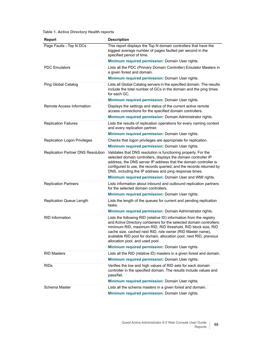| <b>Report</b>                             | <b>Description</b>                                                                                                                                                                                                                                                                                                                                                                 |
|-------------------------------------------|------------------------------------------------------------------------------------------------------------------------------------------------------------------------------------------------------------------------------------------------------------------------------------------------------------------------------------------------------------------------------------|
| Page Faults - Top N DCs                   | This report displays the Top N domain controllers that have the<br>biggest average number of pages faulted per second in the<br>specified period of time.                                                                                                                                                                                                                          |
|                                           | Minimum required permission: Domain User rights.                                                                                                                                                                                                                                                                                                                                   |
| <b>PDC Emulators</b>                      | Lists all the PDC (Primary Domain Controller) Emulator Masters in<br>a given forest and domain.                                                                                                                                                                                                                                                                                    |
|                                           | Minimum required permission: Domain User rights.                                                                                                                                                                                                                                                                                                                                   |
| <b>Ping Global Catalog</b>                | Lists all Global Catalog servers in the specified domain. The results<br>include the total number of GCs in the domain and the ping times<br>for each GC.                                                                                                                                                                                                                          |
|                                           | Minimum required permission: Domain User rights.                                                                                                                                                                                                                                                                                                                                   |
| <b>Remote Access Information</b>          | Displays the settings and status of the current active remote<br>access connections for the specified domain controllers.                                                                                                                                                                                                                                                          |
|                                           | Minimum required permission: Domain Administrator rights.                                                                                                                                                                                                                                                                                                                          |
| <b>Replication Failures</b>               | Lists the results of replication operations for every naming context<br>and every replication partner.                                                                                                                                                                                                                                                                             |
|                                           | Minimum required permission: Domain User rights.                                                                                                                                                                                                                                                                                                                                   |
| <b>Replication Logon Privileges</b>       | Checks that logon privileges are appropriate for replication.                                                                                                                                                                                                                                                                                                                      |
|                                           | Minimum required permission: Domain User rights.                                                                                                                                                                                                                                                                                                                                   |
| <b>Replication Partner DNS Resolution</b> | Validates that DNS resolution is functioning properly. For the<br>selected domain controllers, displays the domain controller IP<br>address, the DNS server IP address that the domain controller is<br>configured to use, the records queried, and the records returned by<br>DNS, including the IP address and ping response times.                                              |
|                                           | Minimum required permission: Domain User and WMI rights.                                                                                                                                                                                                                                                                                                                           |
| <b>Replication Partners</b>               | Lists information about inbound and outbound replication partners<br>for the selected domain controllers.                                                                                                                                                                                                                                                                          |
|                                           | Minimum required permission: Domain User rights.                                                                                                                                                                                                                                                                                                                                   |
| <b>Replication Queue Length</b>           | Lists the length of the queues for current and pending replication<br>tasks.<br>Minimum required permission: Domain Administrator rights.                                                                                                                                                                                                                                          |
| <b>RID Information</b>                    | Lists the following RID (relative ID) information from the registry<br>and Active Directory containers for the selected domain controllers:<br>minimum RID, maximum RID, RID threshold, RID block size, RID<br>cache size, cached next RID, role owner (RID Master name),<br>available RID pool for domain, allocation pool, next RID, previous<br>allocation pool, and used pool. |
|                                           | Minimum required permission: Domain User rights.                                                                                                                                                                                                                                                                                                                                   |
| <b>RID Masters</b>                        | Lists all the RID (relative ID) masters in a given forest and domain.<br>Minimum required permission: Domain User rights.                                                                                                                                                                                                                                                          |
| <b>RIDs</b>                               | Verifies the low and high values of RID sets for each domain                                                                                                                                                                                                                                                                                                                       |
|                                           | controller in the specified domain. The results include values and<br>pass/fail.<br>Minimum required permission: Domain User rights.                                                                                                                                                                                                                                               |
| Schema Master                             | Lists all the schema masters in a given forest and domain.                                                                                                                                                                                                                                                                                                                         |
|                                           | Minimum required permission: Domain User rights.                                                                                                                                                                                                                                                                                                                                   |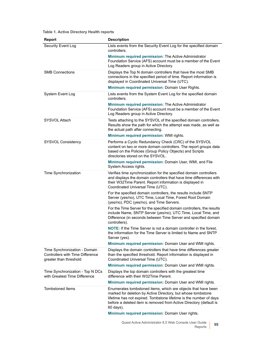| <b>Report</b>                                                                                      | <b>Description</b>                                                                                                                                                                                                                                                                     |
|----------------------------------------------------------------------------------------------------|----------------------------------------------------------------------------------------------------------------------------------------------------------------------------------------------------------------------------------------------------------------------------------------|
| Security Event Log                                                                                 | Lists events from the Security Event Log for the specified domain<br>controllers.                                                                                                                                                                                                      |
|                                                                                                    | Minimum required permission: The Active Administrator<br>Foundation Service (AFS) account must be a member of the Event<br>Log Readers group in Active Directory.                                                                                                                      |
| <b>SMB Connections</b>                                                                             | Displays the Top N domain controllers that have the most SMB<br>connections in the specified period of time. Report information is<br>displayed in Coordinated Universal Time (UTC).                                                                                                   |
|                                                                                                    | Minimum required permission: Domain User Rights.                                                                                                                                                                                                                                       |
| System Event Log                                                                                   | Lists events from the System Event Log for the specified domain<br>controllers.                                                                                                                                                                                                        |
|                                                                                                    | Minimum required permission: The Active Administrator<br>Foundation Service (AFS) account must be a member of the Event<br>Log Readers group in Active Directory.                                                                                                                      |
| <b>SYSVOL Attach</b>                                                                               | Tests attaching to the SYSVOL of the specified domain controllers.<br>Results show the path for which the attempt was made, as well as<br>the actual path after connecting.                                                                                                            |
|                                                                                                    | Minimum required permission: WMI rights.                                                                                                                                                                                                                                               |
| <b>SYSVOL Consistency</b>                                                                          | Performs a Cyclic Redundancy Check (CRC) of the SYSVOL<br>content on two or more domain controllers. The report groups data<br>based on the Policies (Group Policy Objects) and Scripts<br>directories stored on the SYSVOL.                                                           |
|                                                                                                    | Minimum required permission: Domain User, WMI, and File<br>System Access rights.                                                                                                                                                                                                       |
| Time Synchronization                                                                               | Verifies time synchronization for the specified domain controllers<br>and displays the domain controllers that have time differences with<br>their W32Time Parent. Report information is displayed in<br>Coordinated Universal Time (UTC).                                             |
|                                                                                                    | For the specified domain controllers, the results include SNTP<br>Server (yes/no), UTC Time, Local Time, Forest Root Domain<br>(yes/no), PDC (yes/no), and Time Servers.                                                                                                               |
|                                                                                                    | For the Time Server for the specified domain controllers, the results<br>include Name, SNTP Server (yes/no), UTC Time, Local Time, and<br>Difference (in seconds between Time Server and specified domain<br>controllers).                                                             |
|                                                                                                    | NOTE: If the Time Server is not a domain controller in the forest,<br>the information for the Time Server is limited to Name and SNTP<br>Server (yes).                                                                                                                                 |
|                                                                                                    | Minimum required permission: Domain User and WMI rights.                                                                                                                                                                                                                               |
| Time Synchronization - Domain<br><b>Controllers with Time Difference</b><br>greater than threshold | Displays the domain controllers that have time differences greater<br>than the specified threshold. Report information is displayed in<br>Coordinated Universal Time (UTC).                                                                                                            |
|                                                                                                    | Minimum required permission: Domain User and WMI rights.                                                                                                                                                                                                                               |
| Time Synchronization - Top N DCs<br>with Greatest Time Difference                                  | Displays the top domain controllers with the greatest time<br>difference with their W32Time Parent.                                                                                                                                                                                    |
|                                                                                                    | <b>Minimum required permission: Domain User and WMI rights.</b>                                                                                                                                                                                                                        |
| <b>Tombstoned Items</b>                                                                            | Enumerates tombstoned items, which are objects that have been<br>marked for deletion by Active Directory, but whose tombstone<br>lifetime has not expired. Tombstone lifetime is the number of days<br>before a deleted item is removed from Active Directory (default is<br>60 days). |
|                                                                                                    | Minimum required permission: Domain User rights.                                                                                                                                                                                                                                       |
|                                                                                                    | Quest Active Administrator 8.5 Web Console User Guide<br>99<br>Reports                                                                                                                                                                                                                 |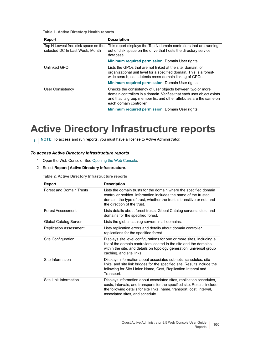| Report                                                                 | <b>Description</b>                                                                                                                                                                                                                                |
|------------------------------------------------------------------------|---------------------------------------------------------------------------------------------------------------------------------------------------------------------------------------------------------------------------------------------------|
| Top N Lowest free disk space on the<br>selected DC In Last Week, Month | This report displays the Top N domain controllers that are running<br>out of disk space on the drive that hosts the directory service<br>database.                                                                                                |
|                                                                        | <b>Minimum required permission: Domain User rights.</b>                                                                                                                                                                                           |
| Unlinked GPO                                                           | Lists the GPOs that are not linked at the site, domain, or<br>organizational unit level for a specified domain. This is a forest-<br>wide search, so it detects cross-domain linking of GPOs.<br>Minimum required permission: Domain User rights. |
| User Consistency                                                       | Checks the consistency of user objects between two or more<br>domain controllers in a domain. Verifies that each user object exists<br>and that its group member list and other attributes are the same on<br>each domain controller.             |
|                                                                        | Minimum roquired permission: Domain Llser rights                                                                                                                                                                                                  |

**Minimum required permission:** Domain User rights.

# <span id="page-99-0"></span>**Active Directory Infrastructure reports**

**i** | NOTE: To access and run reports, you must have a license to Active Administrator.

### *To access Active Directory infrastructure reports*

- 1 Open the Web Console. [See Opening the Web Console.](#page-5-0)
- 2 Select **Report | Active Directory Infrastructure**.

**Table 2. Active Directory Infrastructure reports**

| <b>Report</b>                   | <b>Description</b>                                                                                                                                                                                                                                           |
|---------------------------------|--------------------------------------------------------------------------------------------------------------------------------------------------------------------------------------------------------------------------------------------------------------|
| <b>Forest and Domain Trusts</b> | Lists the domain trusts for the domain where the specified domain<br>controller resides. Information includes the name of the trusted<br>domain, the type of trust, whether the trust is transitive or not, and<br>the direction of the trust.               |
| <b>Forest Assessment</b>        | Lists details about forest trusts, Global Catalog servers, sites, and<br>domains for the specified forest.                                                                                                                                                   |
| Global Catalog Server           | Lists the global catalog servers in all domains.                                                                                                                                                                                                             |
| <b>Replication Assessment</b>   | Lists replication errors and details about domain controller<br>replications for the specified forest.                                                                                                                                                       |
| Site Configuration              | Displays site level configurations for one or more sites, including a<br>list of the domain controllers located in the site and the domains<br>within the site, and details on topology generation, universal group<br>caching, and site links.              |
| Site Information                | Displays information about associated subnets, schedules, site<br>links, and site link bridges for the specified site. Results include the<br>following for Site Links: Name, Cost, Replication Interval and<br>Transport.                                   |
| Site I ink Information          | Displays information about associated sites, replication schedules,<br>costs, intervals, and transports for the specified site. Results include<br>the following details for site links: name, transport, cost, interval,<br>associated sites, and schedule. |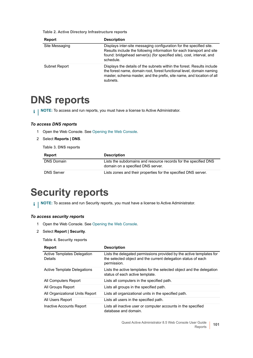**Table 2. Active Directory Infrastructure reports**

| <b>Report</b>  | <b>Description</b>                                                                                                                                                                                                                  |
|----------------|-------------------------------------------------------------------------------------------------------------------------------------------------------------------------------------------------------------------------------------|
| Site Messaging | Displays inter-site messaging configuration for the specified site.<br>Results include the following information for each transport and site<br>found: bridgehead server(s) (for specified site), cost, interval, and<br>schedule.  |
| Subnet Report  | Displays the details of the subnets within the forest. Results include<br>the forest name, domain root, forest functional level, domain naming<br>master, schema master, and the prefix, site name, and location of all<br>subnets. |

## <span id="page-100-1"></span>**DNS reports**

**i** | NOTE: To access and run reports, you must have a license to Active Administrator.

### *To access DNS reports*

- 1 Open the Web Console. [See Opening the Web Console.](#page-5-0)
- 2 Select **Reports | DNS**.

**Table 3. DNS reports**

| Report            | <b>Description</b>                                                                                   |
|-------------------|------------------------------------------------------------------------------------------------------|
| DNS Domain        | Lists the subdomains and resource records for the specified DNS<br>domain on a specified DNS server. |
| <b>DNS Server</b> | Lists zones and their properties for the specified DNS server.                                       |

# <span id="page-100-0"></span>**Security reports**

**i** | NOTE: To access and run Security reports, you must have a license to Active Administrator.

### *To access security reports*

- 1 Open the Web Console. [See Opening the Web Console.](#page-5-0)
- 2 Select **Report | Security**.

#### **Table 4. Security reports**

| Report                                        | <b>Description</b>                                                                                                                                   |
|-----------------------------------------------|------------------------------------------------------------------------------------------------------------------------------------------------------|
| Active Templates Delegation<br><b>Details</b> | Lists the delegated permissions provided by the active templates for<br>the selected object and the current delegation status of each<br>permission. |
| Active Template Delegations                   | Lists the active templates for the selected object and the delegation<br>status of each active template.                                             |
| All Computers Report                          | Lists all computers in the specified path.                                                                                                           |
| All Groups Report                             | Lists all groups in the specified path.                                                                                                              |
| All Organizational Units Report               | Lists all organizational units in the specified path.                                                                                                |
| All Users Report                              | Lists all users in the specified path.                                                                                                               |
| Inactive Accounts Report                      | Lists all inactive user or computer accounts in the specified<br>database and domain.                                                                |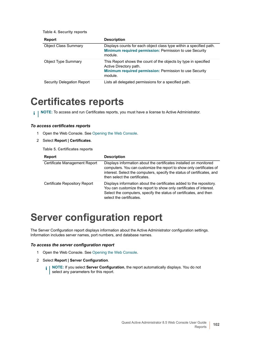| <b>Report</b>               | <b>Description</b>                                                                                                                                              |
|-----------------------------|-----------------------------------------------------------------------------------------------------------------------------------------------------------------|
| <b>Object Class Summary</b> | Displays counts for each object class type within a specified path.<br>Minimum required permission: Permission to use Security<br>module.                       |
| <b>Object Type Summary</b>  | This Report shows the count of the objects by type in specified<br>Active Directory path.<br>Minimum required permission: Permission to use Security<br>module. |
| Security Delegation Report  | Lists all delegated permissions for a specified path.                                                                                                           |

## <span id="page-101-0"></span>**Certificates reports**

**i** | NOTE: To access and run Certificates reports, you must have a license to Active Administrator.

### *To access certificates reports*

- 1 Open the Web Console. [See Opening the Web Console.](#page-5-0)
- 2 Select **Report | Certificates**.

**Table 4. Security reports**

**Table 5. Certificates reports**

| <b>Report</b>                        | <b>Description</b>                                                                                                                                                                                                                                     |
|--------------------------------------|--------------------------------------------------------------------------------------------------------------------------------------------------------------------------------------------------------------------------------------------------------|
| Certificate Management Report        | Displays information about the certificates installed on monitored<br>computers. You can customize the report to show only certificates of<br>interest. Select the computers, specify the status of certificates, and<br>then select the certificates. |
| <b>Certificate Repository Report</b> | Displays information about the certificates added to the repository.<br>You can customize the report to show only certificates of interest.<br>Select the computers, specify the status of certificates, and then<br>select the certificates.          |

# <span id="page-101-1"></span>**Server configuration report**

The Server Configuration report displays information about the Active Administrator configuration settings. Information includes server names, port numbers, and database names.

### *To access the server configuration report*

- 1 Open the Web Console. [See Opening the Web Console.](#page-5-0)
- 2 Select **Report | Server Configuration**.
	- **i** | NOTE: If you select Server Configuration, the report automatically displays. You do not select any parameters for this report.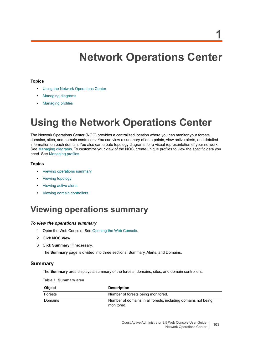# **Network Operations Center**

### **Topics**

- **•** [Using the Network Operations Center](#page-102-0)
- **•** [Managing diagrams](#page-106-1)
- **•** [Managing profiles](#page-108-0)

# <span id="page-102-0"></span>**Using the Network Operations Center**

The Network Operations Center (NOC) provides a centralized location where you can monitor your forests, domains, sites, and domain controllers. You can view a summary of data points, view active alerts, and detailed information on each domain. You also can create topology diagrams for a visual representation of your network. See [Managing diagrams](#page-106-1). To customize your view of the NOC, create unique profiles to view the specific data you need. See [Managing profiles](#page-108-0).

### **Topics**

- **•** [Viewing operations summary](#page-102-1)
- **•** [Viewing topology](#page-104-0)
- **•** [Viewing active alerts](#page-105-0)
- **•** [Viewing domain controllers](#page-106-0)

## <span id="page-102-1"></span>**Viewing operations summary**

### *To view the operations summary*

- 1 Open the Web Console. [See Opening the Web Console.](#page-5-0)
- 2 Click **NOC View**.
- 3 Click **Summary**, if necessary.

The **Summary** page is divided into three sections: Summary, Alerts, and Domains.

### **Summary**

The **Summary** area displays a summary of the forests, domains, sites, and domain controllers.

**Table 1. Summary area**

| <b>Object</b> | <b>Description</b>                                                          |
|---------------|-----------------------------------------------------------------------------|
| Forests       | Number of forests being monitored.                                          |
| Domains       | Number of domains in all forests, including domains not being<br>monitored. |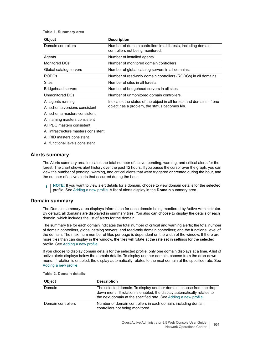#### **Table 1. Summary area**

| <b>Object</b>                                                                                                                                                                                                               | <b>Description</b>                                                                                                    |
|-----------------------------------------------------------------------------------------------------------------------------------------------------------------------------------------------------------------------------|-----------------------------------------------------------------------------------------------------------------------|
| Domain controllers                                                                                                                                                                                                          | Number of domain controllers in all forests, including domain<br>controllers not being monitored.                     |
| Agents                                                                                                                                                                                                                      | Number of installed agents.                                                                                           |
| Monitored DCs                                                                                                                                                                                                               | Number of monitored domain controllers.                                                                               |
| Global catalog servers                                                                                                                                                                                                      | Number of global catalog servers in all domains.                                                                      |
| <b>RODCs</b>                                                                                                                                                                                                                | Number of read-only domain controllers (RODCs) in all domains.                                                        |
| Sites                                                                                                                                                                                                                       | Number of sites in all forests.                                                                                       |
| <b>Bridgehead servers</b>                                                                                                                                                                                                   | Number of bridgehead servers in all sites.                                                                            |
| Unmonitored DCs                                                                                                                                                                                                             | Number of unmonitored domain controllers.                                                                             |
| All agents running<br>All schema versions consistent<br>All schema masters consistent<br>All naming masters consistent<br>All PDC masters consistent<br>All infrastructure masters consistent<br>All RID masters consistent | Indicates the status of the object in all forests and domains. If one<br>object has a problem, the status becomes No. |

All functional levels consistent

### **Alerts summary**

The Alerts summary area indicates the total number of active, pending, warning, and critical alerts for the forest. The chart shows alert history over the past 12 hours. If you pause the cursor over the graph, you can view the number of pending, warning, and critical alerts that were triggered or created during the hour, and the number of active alerts that occurred during the hour.

**NOTE:** If you want to view alert details for a domain, choose to view domain details for the selected ÷ profile. [See Adding a new profile.](#page-108-1) A list of alerts display in the **Domain** summary area.

### **Domain summary**

The Domain summary area displays information for each domain being monitored by Active Administrator. By default, all domains are displayed in summary tiles. You also can choose to display the details of each domain, which includes the list of alerts for the domain.

The summary tile for each domain indicates the total number of critical and warning alerts; the total number of domain controllers, global catalog servers, and read-only domain controllers; and the functional level of the domain. The maximum number of tiles per page is dependent on the width of the window. If there are more tiles than can display in the window, the tiles will rotate at the rate set in settings for the selected profile. [See Adding a new profile.](#page-108-1)

If you choose to display domain details for the selected profile, only one domain displays at a time. A list of active alerts displays below the domain details. To display another domain, choose from the drop-down menu. If rotation is enabled, the display automatically rotates to the next domain at the specified rate. [See](#page-108-1)  [Adding a new profile.](#page-108-1)

| <b>Object</b>      | <b>Description</b>                                                                                                                                                                                                   |
|--------------------|----------------------------------------------------------------------------------------------------------------------------------------------------------------------------------------------------------------------|
| Domain             | The selected domain. To display another domain, choose from the drop-<br>down menu. If rotation is enabled, the display automatically rotates to<br>the next domain at the specified rate. See Adding a new profile. |
| Domain controllers | Number of domain controllers in each domain, including domain<br>controllers not being monitored.                                                                                                                    |

**Table 2. Domain details**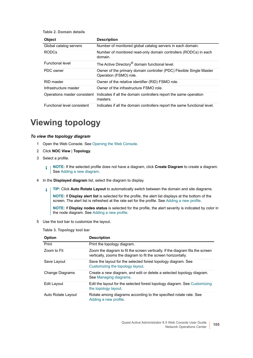#### **Table 2. Domain details**

| <b>Object</b>                | <b>Description</b>                                                                            |
|------------------------------|-----------------------------------------------------------------------------------------------|
| Global catalog servers       | Number of monitored global catalog servers in each domain.                                    |
| RODC <sub>s</sub>            | Number of monitored read-only domain controllers (RODCs) in each<br>domain.                   |
| <b>Functional level</b>      | The Active Directory <sup>®</sup> domain functional level.                                    |
| PDC owner                    | Owner of the primary domain controller (PDC) Flexible Single Master<br>Operation (FSMO) role. |
| RID master                   | Owner of the relative identifier (RID) FSMO role.                                             |
| Infrastructure master        | Owner of the infrastructure FSMO role.                                                        |
| Operations master consistent | Indicates if all the domain controllers report the same operation<br>masters.                 |
| Functional level consistent  | Indicates if all the domain controllers report the same functional level.                     |

## <span id="page-104-0"></span>**Viewing topology**

### *To view the topology diagram*

- 1 Open the Web Console. [See Opening the Web Console.](#page-5-0)
- 2 Click **NOC View** | **Topology**.
- 3 Select a profile.
	- **NOTE:** If the selected profile does not have a diagram, click **Create Diagram** to create a diagram. See [Adding a new diagram.](#page-106-2)
- 4 In the **Displayed diagram** list, select the diagram to display.
	- **TIP:** Click **Auto Rotate Layout** to automatically switch between the domain and site diagrams. f.

**NOTE:** If **Display alert list** is selected for the profile, the alert list displays at the bottom of the screen. The alert list is refreshed at the rate set for the profile. See [Adding a new profile](#page-108-1).

**NOTE:** If **Display nodes status** is selected for the profile, the alert severity is indicated by color in the node diagram. See [Adding a new profile.](#page-108-1)

5 Use the tool bar to customize the layout.

**Table 3. Topology tool bar**

| Option                 | <b>Description</b>                                                                                                                             |
|------------------------|------------------------------------------------------------------------------------------------------------------------------------------------|
| Print                  | Print the topology diagram.                                                                                                                    |
| Zoom to Fit            | Zoom the diagram to fit the screen vertically. If the diagram fits the screen<br>vertically, zooms the diagram to fit the screen horizontally. |
| Save Layout            | Save the layout for the selected forest topology diagram. See<br>Customizing the topology layout.                                              |
| <b>Change Diagrams</b> | Create a new diagram, and edit or delete a selected topology diagram.<br>See Managing diagrams.                                                |
| Edit Layout            | Edit the layout for the selected forest topology diagram. See Customizing<br>the topology layout.                                              |
| Auto Rotate Layout     | Rotate among diagrams according to the specified rotate rate. See<br>Adding a new profile.                                                     |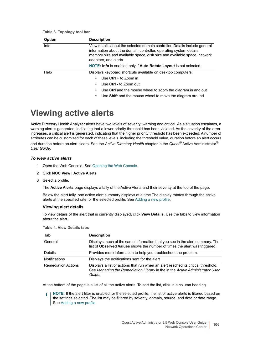| <b>Option</b> | <b>Description</b>                                                                                                                                                                                                                                   |
|---------------|------------------------------------------------------------------------------------------------------------------------------------------------------------------------------------------------------------------------------------------------------|
| Info          | View details about the selected domain controller. Details include general<br>information about the domain controller, operating system details,<br>memory size and available space, disk size and available space, network<br>adapters, and alerts. |
|               | NOTE: Info is enabled only if Auto Rotate Layout is not selected.                                                                                                                                                                                    |
| Help          | Displays keyboard shortcuts available on desktop computers.<br>Use $Ctrl +$ to Zoom in<br>Use Ctrl - to Zoom out                                                                                                                                     |
|               | Use Ctrl and the mouse wheel to zoom the diagram in and out                                                                                                                                                                                          |
|               | Use Shift and the mouse wheel to move the diagram around                                                                                                                                                                                             |

### **Table 3. Topology tool bar**

## <span id="page-105-0"></span>**Viewing active alerts**

Active Directory Health Analyzer alerts have two levels of severity: warning and critical. As a situation escalates, a warning alert is generated, indicating that a lower priority threshold has been violated. As the severity of the error increases, a critical alert is generated, indicating that the higher priority threshold has been exceeded. A number of attributes can be customized for each of these levels, including the threshold value, duration before an alert occurs and duration before an alert clears. See the *Active Directory Health* chapter in the *Quest®* Active Administrator® *User Guide*.

#### *To view active alerts*

- 1 Open the Web Console. [See Opening the Web Console.](#page-5-0)
- 2 Click **NOC View** | **Active Alerts**.
- 3 Select a profile.

The **Active Alerts** page displays a tally of the Active Alerts and their severity at the top of the page.

Below the alert tally, one active alert summary displays at a time.The display rotates through the active alerts at the specified rate for the selected profile. See [Adding a new profile](#page-108-1).

### **Viewing alert details**

To view details of the alert that is currently displayed, click **View Details**. Use the tabs to view information about the alert.

| Tab                        | <b>Description</b>                                                                                                                                                          |
|----------------------------|-----------------------------------------------------------------------------------------------------------------------------------------------------------------------------|
| General                    | Displays much of the same information that you see in the alert summary. The<br>list of Observed Values shows the number of times the alert was triggered.                  |
| <b>Details</b>             | Provides more information to help you troubleshoot the problem.                                                                                                             |
| <b>Notifications</b>       | Displays the notifications sent for the alert                                                                                                                               |
| <b>Remediation Actions</b> | Displays a list of actions that run when an alert reached its critical threshold.<br>See Managing the Remediation Library in the in the Active Administrator User<br>Guide. |

#### **Table 4. View Details tabs**

At the bottom of the page is a list of all the active alerts. To sort the list, click in a column heading.

**NOTE:** If the alert filter is enabled for the selected profile, the list of active alerts is filtered based on i the settings selected. The list may be filtered by severity, domain, source, and date or date range. See [Adding a new profile.](#page-108-1)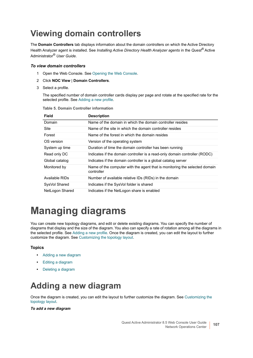## <span id="page-106-0"></span>**Viewing domain controllers**

The **Domain Controllers** tab displays information about the domain controllers on which the Active Directory Health Analyzer agent is installed. See *Installing Active Directory Health Analyzer agents* in the *Quest®* Active Administrator® *User Guide*.

### *To view domain controllers*

- 1 Open the Web Console. [See Opening the Web Console.](#page-5-0)
- 2 Click **NOC View** | **Domain Controllers**.
- 3 Select a profile.

The specified number of domain controller cards display per page and rotate at the specified rate for the selected profile. See [Adding a new profile](#page-108-1).

| <b>Field</b>    | <b>Description</b>                                                                       |
|-----------------|------------------------------------------------------------------------------------------|
| Domain          | Name of the domain in which the domain controller resides                                |
| Site            | Name of the site in which the domain controller resides                                  |
| Forest          | Name of the forest in which the domain resides                                           |
| OS version      | Version of the operating system                                                          |
| System up time  | Duration of time the domain controller has been running                                  |
| Read only DC    | Indicates if the domain controller is a read-only domain controller (RODC)               |
| Global catalog  | Indicates if the domain controller is a global catalog server                            |
| Monitored by    | Name of the computer with the agent that is monitoring the selected domain<br>controller |
| Available RIDs  | Number of available relative IDs (RIDs) in the domain                                    |
| SysVol Shared   | Indicates if the SysVol folder is shared                                                 |
| NetLogon Shared | Indicates if the NetLogon share is enabled                                               |

**Table 5. Domain Controller information**

# <span id="page-106-1"></span>**Managing diagrams**

You can create new topology diagrams, and edit or delete existing diagrams. You can specify the number of diagrams that display and the size of the diagram. You also can specify a rate of rotation among all the diagrams in the selected profile. See [Adding a new profile](#page-108-1). Once the diagram is created, you can edit the layout to further customize the diagram. See [Customizing the topology layout](#page-84-1).

### **Topics**

- **•** [Adding a new diagram](#page-106-2)
- **•** [Editing a diagram](#page-107-0)
- **•** [Deleting a diagram](#page-107-1)

## <span id="page-106-2"></span>**Adding a new diagram**

Once the diagram is created, you can edit the layout to further customize the diagram. See [Customizing the](#page-84-1)  [topology layout](#page-84-1).

### *To add a new diagram*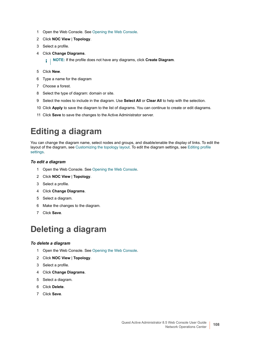- 1 Open the Web Console. [See Opening the Web Console.](#page-5-0)
- 2 Click **NOC View** | **Topology**.
- 3 Select a profile.
- 4 Click **Change Diagrams**.

**i** | NOTE: If the profile does not have any diagrams, click **Create Diagram**.

- 5 Click **New**.
- 6 Type a name for the diagram
- 7 Choose a forest.
- 8 Select the type of diagram: domain or site.
- 9 Select the nodes to include in the diagram. Use **Select All** or **Clear All** to help with the selection.
- 10 Click **Apply** to save the diagram to the list of diagrams. You can continue to create or edit diagrams.
- 11 Click **Save** to save the changes to the Active Administrator server.

## <span id="page-107-0"></span>**Editing a diagram**

You can change the diagram name, select nodes and groups, and disable/enable the display of links. To edit the layout of the diagram, see [Customizing the topology layout](#page-84-1). To edit the diagram settings, see [Editing profile](#page-109-0)  [settings.](#page-109-0)

### *To edit a diagram*

- 1 Open the Web Console. [See Opening the Web Console.](#page-5-0)
- 2 Click **NOC View** | **Topology**.
- 3 Select a profile.
- 4 Click **Change Diagrams**.
- 5 Select a diagram.
- 6 Make the changes to the diagram.
- 7 Click **Save**.

## <span id="page-107-1"></span>**Deleting a diagram**

### *To delete a diagram*

- 1 Open the Web Console. [See Opening the Web Console.](#page-5-0)
- 2 Click **NOC View** | **Topology**.
- 3 Select a profile.
- 4 Click **Change Diagrams**.
- 5 Select a diagram.
- 6 Click **Delete**.
- 7 Click **Save**.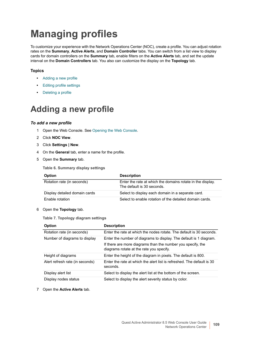# **Managing profiles**

To customize your experience with the Network Operations Center (NOC), create a profile. You can adjust rotation rates on the **Summary**, **Active Alerts**, and **Domain Controller** tabs. You can switch from a list view to display cards for domain controllers on the **Summary** tab, enable filters on the **Active Alerts** tab, and set the update interval on the **Domain Controllers** tab. You also can customize the display on the **Topology** tab.

#### **Topics**

- **•** [Adding a new profile](#page-108-0)
- **•** [Editing profile settings](#page-109-0)
- **•** [Deleting a profile](#page-109-1)

## <span id="page-108-0"></span>**Adding a new profile**

#### *To add a new profile*

- <span id="page-108-2"></span>1 Open the Web Console. [See Opening the Web Console.](#page-5-0)
- 2 Click **NOC View**.
- 3 Click **Settings | New**.
- 4 On the **General** tab, enter a name for the profile.
- 5 Open the **Summary** tab.

<span id="page-108-4"></span>**Table 6. Summary display settings**

<span id="page-108-3"></span><span id="page-108-1"></span>

| <b>Option</b>                 | <b>Description</b>                                                                       |
|-------------------------------|------------------------------------------------------------------------------------------|
| Rotation rate (in seconds)    | Enter the rate at which the domains rotate in the display.<br>The default is 30 seconds. |
| Display detailed domain cards | Select to display each domain in a separate card.                                        |
| <b>Enable rotation</b>        | Select to enable rotation of the detailed domain cards.                                  |

#### 6 Open the **Topology** tab.

**Table 7. Topology diagram settings**

| <b>Option</b>                   | <b>Description</b>                                                                                      |
|---------------------------------|---------------------------------------------------------------------------------------------------------|
| Rotation rate (in seconds)      | Enter the rate at which the nodes rotate. The default is 30 seconds.                                    |
| Number of diagrams to display   | Enter the number of diagrams to display. The default is 1 diagram.                                      |
|                                 | If there are more diagrams than the number you specify, the<br>diagrams rotate at the rate you specify. |
| Height of diagrams              | Enter the height of the diagram in pixels. The default is 800.                                          |
| Alert refresh rate (in seconds) | Enter the rate at which the alert list is refreshed. The default is 30<br>seconds.                      |
| Display alert list              | Select to display the alert list at the bottom of the screen.                                           |
| Display nodes status            | Select to display the alert severity status by color.                                                   |

7 Open the **Active Alerts** tab.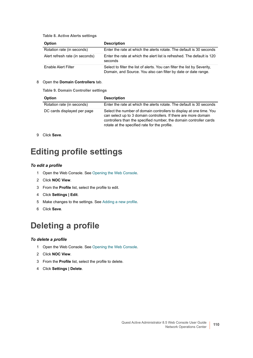**Table 8. Active Alerts settings**

<span id="page-109-4"></span>

| <b>Option</b>                   | <b>Description</b>                                                                                                                          |
|---------------------------------|---------------------------------------------------------------------------------------------------------------------------------------------|
| Rotation rate (in seconds)      | Enter the rate at which the alerts rotate. The default is 30 seconds                                                                        |
| Alert refresh rate (in seconds) | Enter the rate at which the alert list is refreshed. The default is 120<br>seconds                                                          |
| Enable Alert Filter             | Select to filter the list of alerts. You can filter the list by Severity,<br>Domain, and Source. You also can filter by date or date range. |

#### <span id="page-109-2"></span>8 Open the **Domain Controllers** tab.

**Table 9. Domain Controller settings**

<span id="page-109-3"></span>

| <b>Option</b>               | <b>Description</b>                                                                                                                                                                                                                                            |
|-----------------------------|---------------------------------------------------------------------------------------------------------------------------------------------------------------------------------------------------------------------------------------------------------------|
| Rotation rate (in seconds)  | Enter the rate at which the alerts rotate. The default is 30 seconds                                                                                                                                                                                          |
| DC cards displayed per page | Select the number of domain controllers to display at one time. You<br>can select up to 3 domain controllers. If there are more domain<br>controllers than the specified number, the domain controller cards<br>rotate at the specified rate for the profile. |

9 Click **Save**.

## <span id="page-109-0"></span>**Editing profile settings**

#### *To edit a profile*

- 1 Open the Web Console. [See Opening the Web Console.](#page-5-0)
- 2 Click **NOC View**.
- 3 From the **Profile** list, select the profile to edit.
- 4 Click **Settings | Edit**.
- 5 Make changes to the settings. See [Adding a new profile.](#page-108-0)
- 6 Click **Save**.

### <span id="page-109-1"></span>**Deleting a profile**

#### *To delete a profile*

- 1 Open the Web Console. [See Opening the Web Console.](#page-5-0)
- 2 Click **NOC View**.
- 3 From the **Profile** list, select the profile to delete.
- 4 Click **Settings | Delete**.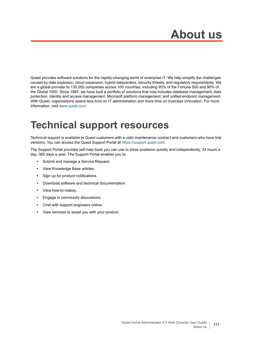# **About us**

Quest provides software solutions for the rapidly-changing world of enterprise IT. We help simplify the challenges caused by data explosion, cloud expansion, hybrid datacenters, security threats, and regulatory requirements. We are a global provider to 130,000 companies across 100 countries, including 95% of the Fortune 500 and 90% of the Global 1000. Since 1987, we have built a portfolio of solutions that now includes database management, data protection, identity and access management, Microsoft platform management, and unified endpoint management. With Quest, organizations spend less time on IT administration and more time on business innovation. For more information, visit [www.quest.com](https://www.quest.com/company/contact-us.aspx).

## **Technical support resources**

Technical support is available to Quest customers with a valid maintenance contract and customers who have trial versions. You can access the Quest Support Portal at [https://support.quest.com.](https://support.quest.com)

The Support Portal provides self-help tools you can use to solve problems quickly and independently, 24 hours a day, 365 days a year. The Support Portal enables you to:

- **•** Submit and manage a Service Request.
- **•** View Knowledge Base articles.
- **•** Sign up for product notifications.
- **•** Download software and technical documentation.
- **•** View how-to-videos.
- **•** Engage in community discussions.
- **•** Chat with support engineers online.
- **•** View services to assist you with your product.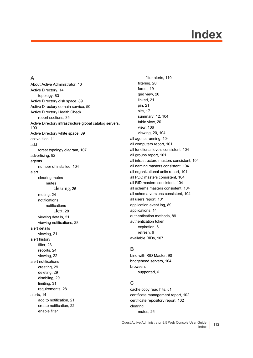# **Index**

#### **A**

[About Active Administrator, 10](#page-9-0) [Active Directory, 14](#page-13-0) [topology, 83](#page-82-0) [Active Directory disk space, 89](#page-88-0) [Active Directory domain service, 50](#page-49-0) Active Directory Health Check [report sections, 35](#page-34-0) [Active Directory infrastructure global catalog servers,](#page-99-0)  100 [Active Directory white space, 89](#page-88-1) [active tiles, 11](#page-10-0) add [forest topology diagram, 107](#page-106-0) [advertising, 92](#page-91-0) agents [number of installed, 104](#page-103-0) alert clearing mutes mutes clearing[, 26](#page-25-0) [muting, 24](#page-23-0) notifications notifications alert[, 28](#page-27-0) [viewing details, 21](#page-20-0) [viewing notifications, 28](#page-27-1) alert details [viewing, 21](#page-20-0) alert history [filter, 23](#page-22-0) [reports, 24](#page-23-1) [viewing, 22](#page-21-0) alert notifications [creating, 29](#page-28-0) [deleting, 29](#page-28-1) [disabling, 29](#page-28-2) [limiting, 31](#page-30-0) [requirements, 28](#page-27-2) [alerts, 14](#page-13-1) [add to notification, 21](#page-20-1) [create notification, 22](#page-21-1) enable filter

[filter alerts, 110](#page-109-2) [filtering, 20](#page-19-0) [forest, 19](#page-18-0) [grid view, 20](#page-19-1) [linked, 21](#page-20-2) [pin, 21](#page-20-3) [site, 17](#page-16-0) [summary, 12,](#page-11-0) [104](#page-103-1) [table view, 20](#page-19-1) [view, 106](#page-105-0) [viewing, 20,](#page-19-2) [104](#page-103-2) [all agents running, 104](#page-103-3) [all computers report, 101](#page-100-0) [all functional levels consistent, 104](#page-103-4) [all groups report, 101](#page-100-1) [all infrastructure masters consistent, 104](#page-103-5) [all naming masters consistent, 104](#page-103-6) [all organizational units report, 101](#page-100-2) [all PDC masters consistent, 104](#page-103-7) [all RID masters consistent, 104](#page-103-8) [all schema masters consistent, 104](#page-103-9) [all schema versions consistent, 104](#page-103-10) [all users report, 101](#page-100-3) [application event log, 89](#page-88-2) [applications, 14](#page-13-2) [authentication methods, 89](#page-88-3) authentication token [expiration, 6](#page-5-1) [refresh, 6](#page-5-1) [available RIDs, 107](#page-106-1)

#### **B**

[bind with RID Master, 90](#page-89-0) [bridgehead servers, 104](#page-103-11) browsers [supported, 6](#page-5-2)

#### **C**

[cache copy read hits, 51](#page-50-0) [certificate management report, 102](#page-101-0) [certificate repository report, 102](#page-101-1) clearing [mutes, 26](#page-25-0)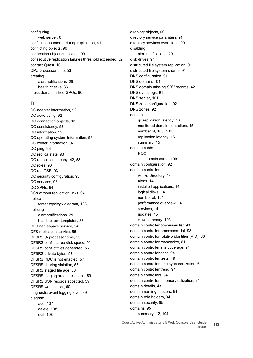configuring [web server, 6](#page-5-3) [conflict encountered during replication, 41](#page-40-0) [conflicting objects, 90](#page-89-1) [connection object duplicates, 90](#page-89-2) [consecutive replication failures threshold exceeded, 52](#page-51-0) [contact Quest, 10](#page-9-0) [CPU processor time, 53](#page-52-0) creating [alert notifications, 29](#page-28-0) [health checks, 33](#page-32-0) [cross-domain linked GPOs, 90](#page-89-3)

#### **D**

[DC adapter information, 92](#page-91-1) [DC advertising, 92](#page-91-2) [DC connection objects, 92](#page-91-3) [DC consistency, 92](#page-91-4) [DC information, 92](#page-91-5) [DC operating system information, 93](#page-92-0) [DC owner information, 97](#page-96-0) [DC ping, 93](#page-92-1) [DC replica state, 93](#page-92-2) [DC replication latency, 42,](#page-41-0) [53](#page-52-1) [DC roles, 93](#page-92-3) [DC rootDSE, 93](#page-92-4) [DC security configuration, 93](#page-92-5) [DC services, 93](#page-92-6) [DC SPNs, 94](#page-93-0) [DCs without replication links, 94](#page-93-1) delete [forest topology diagram, 108](#page-107-0) deleting [alert notifications, 29](#page-28-1) [health check templates, 36](#page-35-0) [DFS namespace service, 54](#page-53-0) [DFS replication service, 55](#page-54-0) [DFSRS % processor time, 55](#page-54-1) [DFSRS conflict area disk space, 56](#page-55-0) [DFSRS conflict files generated, 56](#page-55-1) [DFSRS private bytes, 57](#page-56-0) [DFSRS RDC is not enabled, 57](#page-56-1) [DFSRS sharing violation, 57](#page-56-2) [DFSRS staged file age, 58](#page-57-0) [DFSRS staging area disk space, 59](#page-58-0) [DFSRS USN records accepted, 59](#page-58-1) [DFSRS working set, 60](#page-59-0) [diagnostic event logging level, 89](#page-88-4) diagram [add, 107](#page-106-0) [delete, 108](#page-107-0) [edit, 108](#page-107-1)

[directory objects, 90](#page-89-4) [directory service paramters, 91](#page-90-0) [directory services event logs, 90](#page-89-5) disabling [alert notifications, 29](#page-28-2) [disk drives, 91](#page-90-1) [distributed file system replication, 91](#page-90-2) [distributed file system shares, 91](#page-90-3) [DNS configuration, 91](#page-90-4) [DNS domain, 101](#page-100-4) [DNS domain missing SRV records, 42](#page-41-1) [DNS event logs, 91](#page-90-5) [DNS server, 101](#page-100-5) [DNS zone configuration, 92](#page-91-6) [DNS zones, 92](#page-91-7) domain [gc replication latency, 16](#page-15-0) [monitored domain controllers, 15](#page-14-0) [number of, 103,](#page-102-0) [104](#page-103-12) [replication latency, 16](#page-15-1) [summary, 15](#page-14-1) domain cards NOC [domain cards, 109](#page-108-1) [domain configuration, 92](#page-91-8) domain controller [Active Directory, 14](#page-13-0) [alerts, 14](#page-13-1) [installed applications, 14](#page-13-2) [logical disks, 14](#page-13-3) [number of, 104](#page-103-13) [performance overview, 14](#page-13-4) [services, 14](#page-13-5) [updates, 15](#page-14-2) [view summary, 103](#page-102-1) [domain controller processes list, 93](#page-92-7) [domain controller processors list, 93](#page-92-8) [domain controller relative identifier \(RID\), 60](#page-59-1) [domain controller responsive, 61](#page-60-0) [domain controller site coverage, 94](#page-93-2) [domain controller sites, 94](#page-93-3) [domain controller tests, 49](#page-48-0) [domain controller time synchronization, 61](#page-60-1) [domain controller trend, 94](#page-93-4) [domain controllers, 94](#page-93-5) [domain controllers memory utilization, 94](#page-93-6) [domain details, 43](#page-42-0) [domain naming masters, 94](#page-93-7) [domain role holders, 94](#page-93-8) [domain security, 95](#page-94-0) [domains, 95](#page-94-1) [summary, 12,](#page-11-1) [104](#page-103-14)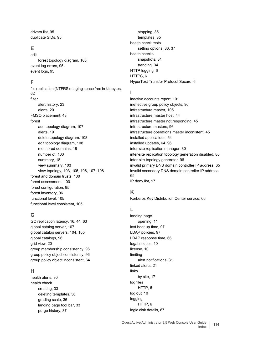[drivers list, 95](#page-94-2) [duplicate SIDs, 95](#page-94-3)

#### **E**

edit [forest topology diagram, 108](#page-107-1) [event log errors, 95](#page-94-4) [event logs, 95](#page-94-5)

#### **F**

[file replication \(NTFRS\) staging space free in kilobytes,](#page-61-0)  62 filter [alert history, 23](#page-22-0) [alerts, 20](#page-19-0) [FMSO placement, 43](#page-42-1) forest [add topology diagram, 107](#page-106-0) [alerts, 19](#page-18-0) [delete topology diagram, 108](#page-107-0) [edit topology diagram, 108](#page-107-1) [monitored domains, 18](#page-17-0) [number of, 103](#page-102-2) [summary, 18](#page-17-1) [view summary, 103](#page-102-1) [view topology, 103,](#page-102-3) [105,](#page-104-0) [106,](#page-105-1) [107,](#page-106-2) [108](#page-107-2) [forest and domain trusts, 100](#page-99-1) [forest assessment, 100](#page-99-2) [forest configuration, 95](#page-94-6) [forest inventory, 96](#page-95-0) [functional level, 105](#page-104-1) [functional level consistent, 105](#page-104-2)

#### **G**

[GC replication latency, 16,](#page-15-0) [44,](#page-43-0) [63](#page-62-0) [global catalog server, 107](#page-106-3) [global catalog servers, 104,](#page-103-15) [105](#page-104-3) [global catalogs, 96](#page-95-1) [grid view, 20](#page-19-1) [group membership consistency, 96](#page-95-2) [group policy object consistency, 96](#page-95-3) [group policy object inconsistent, 64](#page-63-0)

#### **H**

[health alerts, 90](#page-89-6) health check [creating, 33](#page-32-0) [deleting templates, 36](#page-35-0) [grading scale, 36](#page-35-1) [landing page tool bar, 33](#page-32-1) [purge history, 37](#page-36-0)

[stopping, 35](#page-34-1) [templates, 35](#page-34-2) health check tests [setting options, 36,](#page-35-2) [37](#page-36-1) health checks [snapshots, 34](#page-33-0) [trending, 34](#page-33-1) [HTTP logging, 6](#page-5-4) [HTTPS, 6](#page-5-5) [HyperText Transfer Protocol Secure, 6](#page-5-6)

#### **I**

[inactive accounts report, 101](#page-100-6) [ineffective group policy objects, 96](#page-95-4) [infrastructure master, 105](#page-104-4) [infrastructure master host, 44](#page-43-1) [infrastructure master not responding, 45](#page-44-0) [infrastructure masters, 96](#page-95-5) [infrastructure operations master inconistent, 45](#page-44-1) [installed applications, 64](#page-63-1) [installed updates, 64,](#page-63-2) [96](#page-95-6) [inter-site replication manager, 80](#page-79-0) [inter-site replication topology generation disabled, 80](#page-79-1) [inter-site topology generator, 96](#page-95-7) [invalid primary DNS domain controller IP address, 65](#page-64-0) [invalid secondary DNS domain controller IP address,](#page-64-1)  65 [IP deny list, 97](#page-96-1)

#### **K**

[Kerberos Key Distribution Center service, 66](#page-65-0)

#### **L**

landing page [opening, 11](#page-10-0) [last boot up time, 97](#page-96-2) [LDAP policies, 97](#page-96-3) [LDAP response time, 66](#page-65-1) [legal notices, 10](#page-9-0) [license, 10](#page-9-1) limiting [alert notifications, 31](#page-30-0) [linked alerts, 21](#page-20-2) links [by site, 17](#page-16-1) log files [HTTP, 6](#page-5-7) [log out, 10](#page-9-2) logging [HTTP, 6](#page-5-4) [logic disk details, 67](#page-66-0)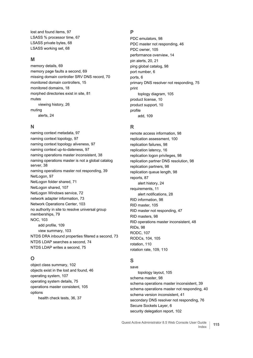[lost and found items, 97](#page-96-4) [LSASS % processor time, 67](#page-66-1) [LSASS private bytes, 68](#page-67-0) [LSASS working set, 68](#page-67-1)

#### **M**

[memory details, 69](#page-68-0) [memory page faults a second, 69](#page-68-1) [missing domain controller SRV DNS record, 70](#page-69-0) [monitored domain controllers, 15](#page-14-0) [monitored domains, 18](#page-17-0) [morphed directories exist in site, 81](#page-80-0) mutes [viewing history, 26](#page-25-1) muting [alerts, 24](#page-23-0)

#### **N**

[naming context metadata, 97](#page-96-5) [naming context topology, 97](#page-96-6) [naming context topology aliveness, 97](#page-96-7) [naming context up-to-dateness, 97](#page-96-8) [naming operations master inconsistent, 38](#page-37-0) [naming operations master is not a global catalog](#page-37-1)  server, 38 [naming operations master not responding, 39](#page-38-0) [NetLogon, 97](#page-96-9) [NetLogon folder shared, 71](#page-70-0) [NetLogon shared, 107](#page-106-4) [NetLogon Windows service, 72](#page-71-0) [network adapter information, 73](#page-72-0) [Network Operations Center, 103](#page-102-4) [no authority in site to resolve universal group](#page-78-0)  memberships, 79 [NOC, 103](#page-102-5) [add profile, 109](#page-108-2) [view summary, 103](#page-102-1) [NTDS DRA inbound properties filtered a second, 73](#page-72-1) [NTDS LDAP searches a second, 74](#page-73-0) [NTDS LDAP writes a second, 75](#page-74-0)

#### **O**

[object class summary, 102](#page-101-2) [objects exist in the lost and found, 46](#page-45-0) [operating system, 107](#page-106-5) [operating system details, 75](#page-74-1) [operations master consistent, 105](#page-104-5) options [health check tests, 36,](#page-35-2) [37](#page-36-1)

#### **P**

[PDC emulators, 98](#page-97-0) [PDC master not responding, 46](#page-45-1) [PDC owner, 105](#page-104-6) [performance overview, 14](#page-13-4) [pin alerts, 20,](#page-19-3) [21](#page-20-3) [ping global catalog, 98](#page-97-1) [port number, 6](#page-5-8) [ports, 6](#page-5-4) [primary DNS resolver not responding, 75](#page-74-2) print [toplogy diagram, 105](#page-104-7) [product license, 10](#page-9-0) [product support, 10](#page-9-3) profile [add, 109](#page-108-2)

#### **R**

[remote access information, 98](#page-97-2) [replication assessment, 100](#page-99-3) [replication failures, 98](#page-97-3) [replication latency, 16](#page-15-1) [replication logon privileges, 98](#page-97-4) [replication partner DNS resolution, 98](#page-97-5) [replication partners, 98](#page-97-6) [replication queue length, 98](#page-97-7) [reports, 87](#page-86-0) [alert history, 24](#page-23-1) [requirements, 11](#page-10-1) [alert notifications, 28](#page-27-2) [RID information, 98](#page-97-8) [RID master, 105](#page-104-8) [RID master not responding, 47](#page-46-0) [RID masters, 98](#page-97-9) [RID operations master inconsistent, 48](#page-47-0) [RIDs, 98](#page-97-10) [RODC, 107](#page-106-6) [RODCs, 104,](#page-103-16) [105](#page-104-9) [rotation, 110](#page-109-3) [rotation rate, 109,](#page-108-3) [110](#page-109-4)

#### **S**

save [topology layout, 105](#page-104-10) [schema master, 98](#page-97-11) [schema operations master inconsistent, 39](#page-38-1) [schema operations master not responding, 40](#page-39-0) [schema version inconsistent, 41](#page-40-1) [secondary DNS resolver not responding, 76](#page-75-0) [Secure Sockets Layer, 6](#page-5-9) [security delegation report, 102](#page-101-3)